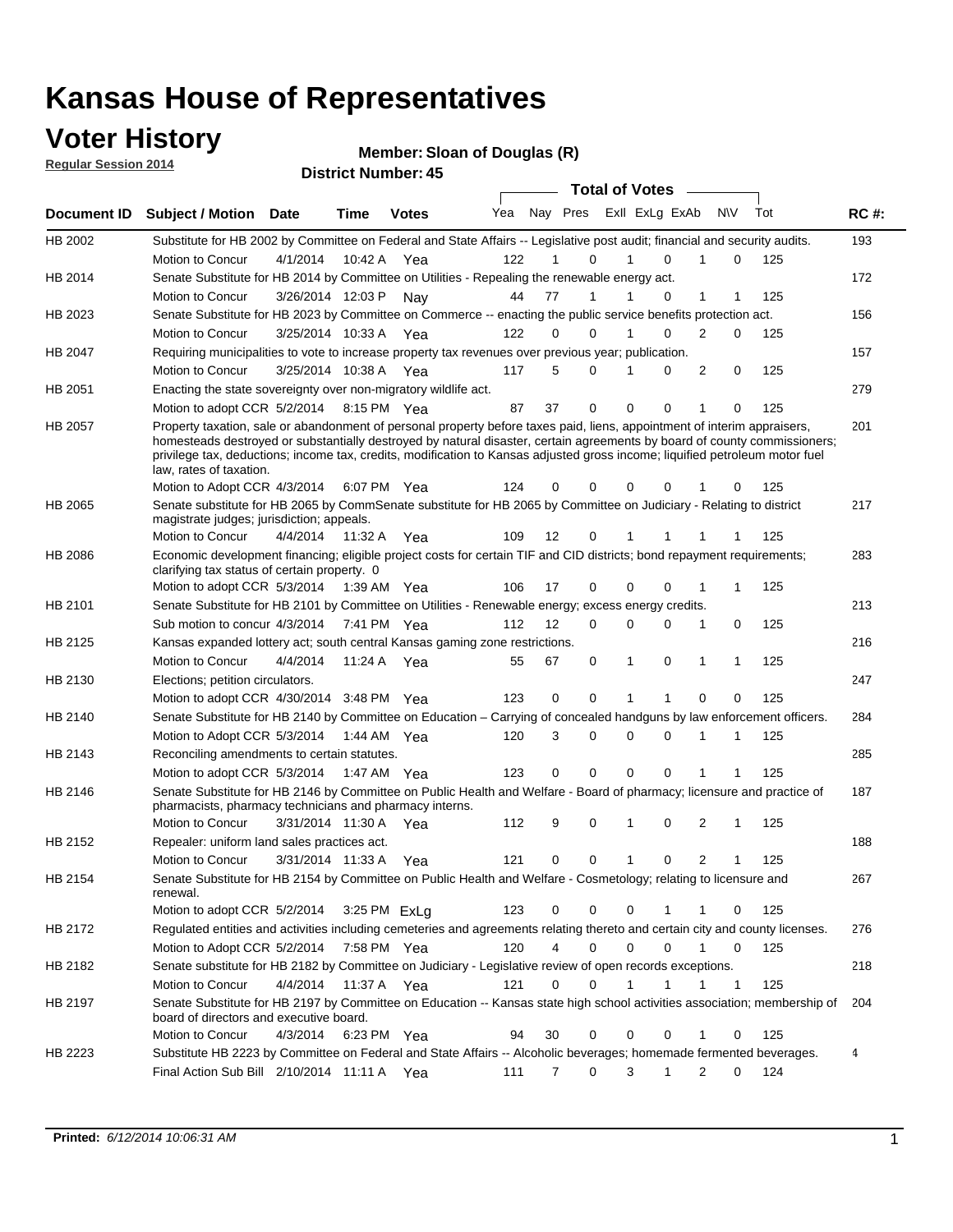### **Voter History**

**Regular Session 2014**

**Member: Sloan of Douglas (R)** 

|                | <b>Total of Votes</b>                                                                                                                                                                                                                                                                                                                                                                                            |                       |             |              |     |                |             |              |                         |                |     |     |             |
|----------------|------------------------------------------------------------------------------------------------------------------------------------------------------------------------------------------------------------------------------------------------------------------------------------------------------------------------------------------------------------------------------------------------------------------|-----------------------|-------------|--------------|-----|----------------|-------------|--------------|-------------------------|----------------|-----|-----|-------------|
| Document ID    | <b>Subject / Motion Date</b>                                                                                                                                                                                                                                                                                                                                                                                     |                       | Time        | <b>Votes</b> | Yea |                |             |              | Nay Pres Exll ExLg ExAb |                | N\V | Tot | <b>RC#:</b> |
| HB 2002        | Substitute for HB 2002 by Committee on Federal and State Affairs -- Legislative post audit; financial and security audits.                                                                                                                                                                                                                                                                                       |                       |             |              |     |                |             |              |                         |                |     |     | 193         |
|                | Motion to Concur                                                                                                                                                                                                                                                                                                                                                                                                 | 4/1/2014              | 10:42 A     | Yea          | 122 |                | 0           | 1            | $\Omega$                | 1              | 0   | 125 |             |
| HB 2014        | Senate Substitute for HB 2014 by Committee on Utilities - Repealing the renewable energy act.                                                                                                                                                                                                                                                                                                                    |                       |             |              |     |                |             |              |                         |                |     |     | 172         |
|                | Motion to Concur                                                                                                                                                                                                                                                                                                                                                                                                 | 3/26/2014 12:03 P     |             | Nay          | 44  | 77             | 1           | 1            | 0                       | 1              | 1   | 125 |             |
| HB 2023        | Senate Substitute for HB 2023 by Committee on Commerce -- enacting the public service benefits protection act.                                                                                                                                                                                                                                                                                                   |                       |             |              |     |                |             |              |                         |                |     |     | 156         |
|                | Motion to Concur                                                                                                                                                                                                                                                                                                                                                                                                 | 3/25/2014 10:33 A     |             | Yea          | 122 | 0              | $\Omega$    | 1            | 0                       | 2              | 0   | 125 |             |
| HB 2047        | Requiring municipalities to vote to increase property tax revenues over previous year; publication.                                                                                                                                                                                                                                                                                                              |                       |             |              |     |                |             |              |                         |                |     |     | 157         |
|                | Motion to Concur                                                                                                                                                                                                                                                                                                                                                                                                 | 3/25/2014 10:38 A     |             | Yea          | 117 | 5              | $\Omega$    | 1            | 0                       | 2              | 0   | 125 |             |
| HB 2051        | Enacting the state sovereignty over non-migratory wildlife act.                                                                                                                                                                                                                                                                                                                                                  |                       |             |              |     |                |             |              |                         |                |     |     | 279         |
|                | Motion to adopt CCR 5/2/2014 8:15 PM Yea                                                                                                                                                                                                                                                                                                                                                                         |                       |             |              | 87  | 37             | $\mathbf 0$ | $\mathbf 0$  | 0                       | 1              | 0   | 125 |             |
| HB 2057        | Property taxation, sale or abandonment of personal property before taxes paid, liens, appointment of interim appraisers,<br>homesteads destroyed or substantially destroyed by natural disaster, certain agreements by board of county commissioners;<br>privilege tax, deductions; income tax, credits, modification to Kansas adjusted gross income; liquified petroleum motor fuel<br>law, rates of taxation. |                       |             |              |     |                |             |              |                         |                |     |     | 201         |
|                | Motion to Adopt CCR 4/3/2014                                                                                                                                                                                                                                                                                                                                                                                     |                       |             | 6:07 PM Yea  | 124 | 0              | $\Omega$    | 0            | 0                       |                | 0   | 125 |             |
| HB 2065        | Senate substitute for HB 2065 by CommSenate substitute for HB 2065 by Committee on Judiciary - Relating to district<br>magistrate judges; jurisdiction; appeals.                                                                                                                                                                                                                                                 |                       |             |              |     |                |             |              |                         |                |     |     | 217         |
|                | Motion to Concur                                                                                                                                                                                                                                                                                                                                                                                                 | 4/4/2014              | 11:32 A     | Yea          | 109 | 12             | 0           | 1            |                         | 1              | 1   | 125 |             |
| <b>HB 2086</b> | Economic development financing; eligible project costs for certain TIF and CID districts; bond repayment requirements;<br>clarifying tax status of certain property. 0                                                                                                                                                                                                                                           |                       |             |              |     |                |             |              |                         |                |     |     | 283         |
|                | Motion to adopt CCR 5/3/2014 1:39 AM Yea                                                                                                                                                                                                                                                                                                                                                                         |                       |             |              | 106 | 17             | $\mathbf 0$ | $\mathbf 0$  | 0                       | 1              | 1   | 125 |             |
| HB 2101        | Senate Substitute for HB 2101 by Committee on Utilities - Renewable energy; excess energy credits.                                                                                                                                                                                                                                                                                                               |                       |             |              |     |                |             |              |                         |                |     |     | 213         |
|                | Sub motion to concur 4/3/2014 7:41 PM Yea                                                                                                                                                                                                                                                                                                                                                                        |                       |             |              | 112 | 12             | $\Omega$    | 0            | 0                       | 1              | 0   | 125 |             |
| HB 2125        | Kansas expanded lottery act; south central Kansas gaming zone restrictions.                                                                                                                                                                                                                                                                                                                                      |                       |             |              |     |                |             |              |                         |                |     |     | 216         |
|                | Motion to Concur                                                                                                                                                                                                                                                                                                                                                                                                 | 4/4/2014              | 11:24 A     | Yea          | 55  | 67             | 0           | 1            | 0                       | 1              | 1   | 125 |             |
| HB 2130        | Elections; petition circulators.                                                                                                                                                                                                                                                                                                                                                                                 |                       |             |              |     |                |             |              |                         |                |     |     | 247         |
|                | Motion to adopt CCR 4/30/2014 3:48 PM Yea                                                                                                                                                                                                                                                                                                                                                                        |                       |             |              | 123 | 0              | $\mathbf 0$ | 1            | 1                       | 0              | 0   | 125 |             |
| HB 2140        | Senate Substitute for HB 2140 by Committee on Education – Carrying of concealed handguns by law enforcement officers.                                                                                                                                                                                                                                                                                            |                       |             |              |     |                |             |              |                         |                |     |     | 284         |
|                | Motion to Adopt CCR 5/3/2014 1:44 AM Yea                                                                                                                                                                                                                                                                                                                                                                         |                       |             |              | 120 | 3              | 0           | $\Omega$     | $\Omega$                | 1              | 1   | 125 |             |
| HB 2143        | Reconciling amendments to certain statutes.                                                                                                                                                                                                                                                                                                                                                                      |                       |             |              |     |                |             |              |                         |                |     |     | 285         |
|                | Motion to adopt CCR 5/3/2014 1:47 AM Yea                                                                                                                                                                                                                                                                                                                                                                         |                       |             |              | 123 | 0              | $\mathbf 0$ | $\mathbf 0$  | $\Omega$                | 1              | 1   | 125 |             |
| <b>HB 2146</b> | Senate Substitute for HB 2146 by Committee on Public Health and Welfare - Board of pharmacy; licensure and practice of<br>pharmacists, pharmacy technicians and pharmacy interns.                                                                                                                                                                                                                                |                       |             |              |     |                |             |              |                         |                |     |     | 187         |
|                | Motion to Concur                                                                                                                                                                                                                                                                                                                                                                                                 | 3/31/2014 11:30 A Yea |             |              | 112 | 9              | 0           | 1            | 0                       | 2              | 1   | 125 |             |
| HB 2152        | Repealer: uniform land sales practices act.                                                                                                                                                                                                                                                                                                                                                                      |                       |             |              |     |                |             |              |                         |                |     |     | 188         |
|                | Motion to Concur                                                                                                                                                                                                                                                                                                                                                                                                 | 3/31/2014 11:33 A     |             | Yea          | 121 | 0              | 0           | $\mathbf{1}$ | 0                       | $\overline{2}$ | 1   | 125 |             |
| HB 2154        | Senate Substitute for HB 2154 by Committee on Public Health and Welfare - Cosmetology; relating to licensure and<br>renewal.                                                                                                                                                                                                                                                                                     |                       |             |              |     |                |             |              |                         |                |     |     | 267         |
|                | Motion to adopt CCR 5/2/2014                                                                                                                                                                                                                                                                                                                                                                                     |                       |             | 3:25 PM ExLg | 123 | 0              | 0           | 0            |                         | 1              | 0   | 125 |             |
| HB 2172        | Regulated entities and activities including cemeteries and agreements relating thereto and certain city and county licenses.                                                                                                                                                                                                                                                                                     |                       |             |              |     |                |             |              |                         |                |     |     | 276         |
|                | Motion to Adopt CCR 5/2/2014                                                                                                                                                                                                                                                                                                                                                                                     |                       | 7:58 PM Yea |              | 120 | $\overline{4}$ | $\mathbf 0$ | $\mathbf 0$  | 0                       | $\mathbf{1}$   | 0   | 125 |             |
| HB 2182        | Senate substitute for HB 2182 by Committee on Judiciary - Legislative review of open records exceptions.                                                                                                                                                                                                                                                                                                         |                       |             |              |     |                |             |              |                         |                |     |     | 218         |
|                | Motion to Concur                                                                                                                                                                                                                                                                                                                                                                                                 | 4/4/2014 11:37 A Yea  |             |              | 121 | 0              | $\mathbf 0$ | 1            | 1                       |                | 1   | 125 |             |
| HB 2197        | Senate Substitute for HB 2197 by Committee on Education -- Kansas state high school activities association; membership of<br>board of directors and executive board.                                                                                                                                                                                                                                             |                       |             |              |     |                |             |              |                         |                |     |     | 204         |
|                | Motion to Concur                                                                                                                                                                                                                                                                                                                                                                                                 | 4/3/2014              |             | 6:23 PM Yea  | 94  | 30             | $\mathbf 0$ | 0            | 0                       | 1              | 0   | 125 |             |
| HB 2223        | Substitute HB 2223 by Committee on Federal and State Affairs -- Alcoholic beverages; homemade fermented beverages.                                                                                                                                                                                                                                                                                               |                       |             |              |     |                |             |              |                         |                |     |     | 4           |
|                | Final Action Sub Bill 2/10/2014 11:11 A Yea                                                                                                                                                                                                                                                                                                                                                                      |                       |             |              | 111 | 7              | 0           | 3            | 1                       | $\overline{2}$ | 0   | 124 |             |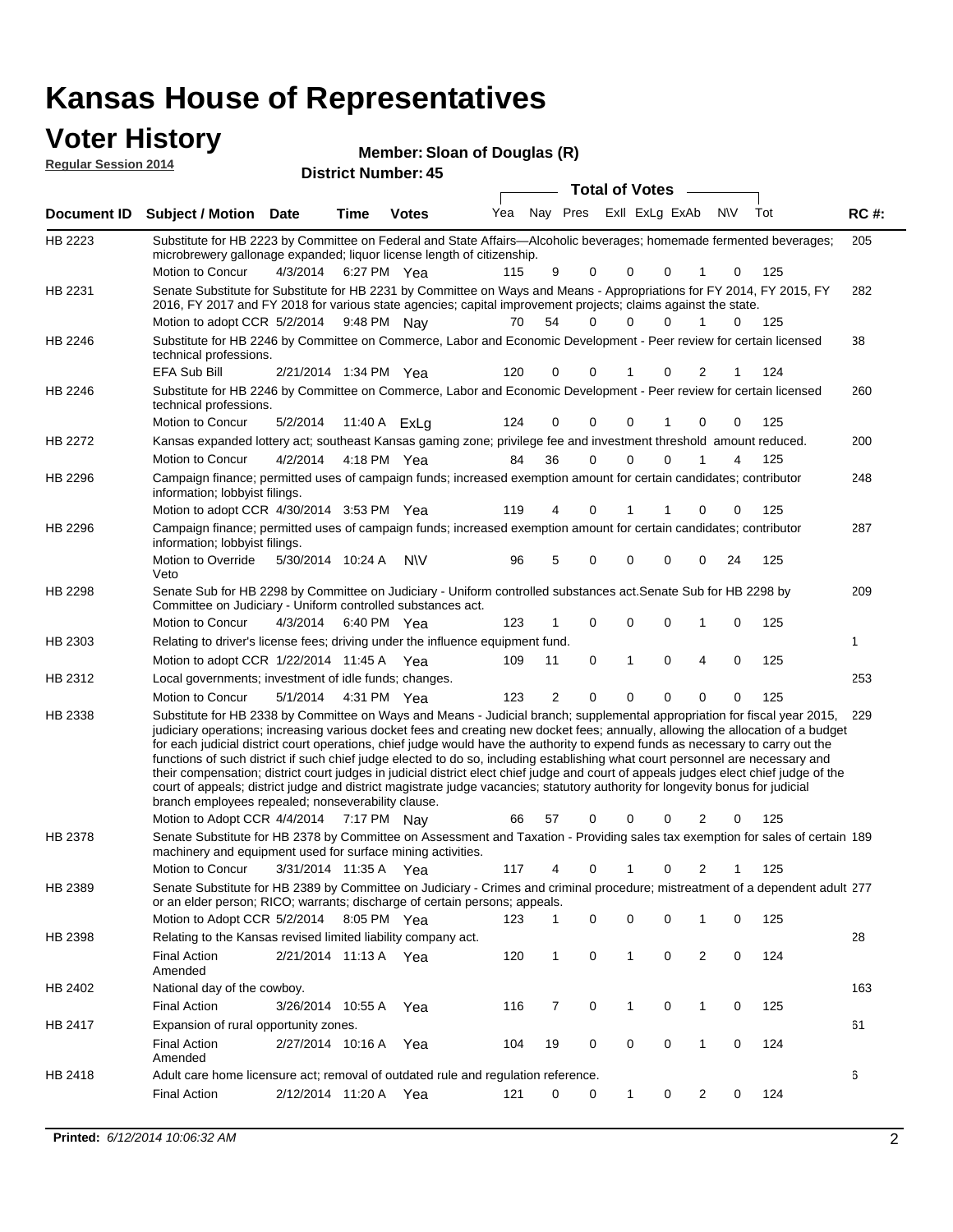## **Voter History**

**District Number: 45 Member: Sloan of Douglas (R) Regular Session 2014**

|         |                                                                                                                                                                                                                                                                                                                                                                                                                                                                                                                                                                                                                                                                                                                                                                                                                                                                                                                 |                       |             |              |     |    |   | <b>Total of Votes</b>   |          |                     |          |             |
|---------|-----------------------------------------------------------------------------------------------------------------------------------------------------------------------------------------------------------------------------------------------------------------------------------------------------------------------------------------------------------------------------------------------------------------------------------------------------------------------------------------------------------------------------------------------------------------------------------------------------------------------------------------------------------------------------------------------------------------------------------------------------------------------------------------------------------------------------------------------------------------------------------------------------------------|-----------------------|-------------|--------------|-----|----|---|-------------------------|----------|---------------------|----------|-------------|
|         | Document ID Subject / Motion Date                                                                                                                                                                                                                                                                                                                                                                                                                                                                                                                                                                                                                                                                                                                                                                                                                                                                               |                       | Time        | <b>Votes</b> | Yea |    |   | Nay Pres Exll ExLg ExAb |          | N\V                 | Tot      | <b>RC#:</b> |
| HB 2223 | Substitute for HB 2223 by Committee on Federal and State Affairs—Alcoholic beverages; homemade fermented beverages;<br>microbrewery gallonage expanded; liquor license length of citizenship.                                                                                                                                                                                                                                                                                                                                                                                                                                                                                                                                                                                                                                                                                                                   |                       |             |              |     |    |   |                         |          |                     |          | 205         |
|         | Motion to Concur                                                                                                                                                                                                                                                                                                                                                                                                                                                                                                                                                                                                                                                                                                                                                                                                                                                                                                | 4/3/2014 6:27 PM Yea  |             |              | 115 | 9  | 0 | 0                       | $\Omega$ | 1                   | 125<br>0 |             |
| HB 2231 | Senate Substitute for Substitute for HB 2231 by Committee on Ways and Means - Appropriations for FY 2014, FY 2015, FY<br>2016, FY 2017 and FY 2018 for various state agencies; capital improvement projects; claims against the state.                                                                                                                                                                                                                                                                                                                                                                                                                                                                                                                                                                                                                                                                          |                       |             |              |     |    |   |                         |          |                     |          | 282         |
|         | Motion to adopt CCR 5/2/2014 9:48 PM Nay                                                                                                                                                                                                                                                                                                                                                                                                                                                                                                                                                                                                                                                                                                                                                                                                                                                                        |                       |             |              | 70  | 54 | 0 | 0                       | $\Omega$ |                     | 0<br>125 |             |
| HB 2246 | Substitute for HB 2246 by Committee on Commerce, Labor and Economic Development - Peer review for certain licensed<br>technical professions.                                                                                                                                                                                                                                                                                                                                                                                                                                                                                                                                                                                                                                                                                                                                                                    |                       |             |              |     |    |   |                         |          |                     |          | 38          |
|         | EFA Sub Bill                                                                                                                                                                                                                                                                                                                                                                                                                                                                                                                                                                                                                                                                                                                                                                                                                                                                                                    | 2/21/2014 1:34 PM Yea |             |              | 120 | 0  | 0 |                         | 0        | 2                   | 124      |             |
| HB 2246 | Substitute for HB 2246 by Committee on Commerce, Labor and Economic Development - Peer review for certain licensed<br>technical professions.                                                                                                                                                                                                                                                                                                                                                                                                                                                                                                                                                                                                                                                                                                                                                                    |                       |             |              |     |    |   |                         |          |                     |          | 260         |
|         | Motion to Concur                                                                                                                                                                                                                                                                                                                                                                                                                                                                                                                                                                                                                                                                                                                                                                                                                                                                                                | 5/2/2014              |             | 11:40 A ExLg | 124 | 0  | 0 | 0                       | -1       | 0                   | 125<br>0 |             |
| HB 2272 | Kansas expanded lottery act; southeast Kansas gaming zone; privilege fee and investment threshold amount reduced.                                                                                                                                                                                                                                                                                                                                                                                                                                                                                                                                                                                                                                                                                                                                                                                               |                       |             |              |     |    |   |                         |          |                     |          | 200         |
|         | Motion to Concur                                                                                                                                                                                                                                                                                                                                                                                                                                                                                                                                                                                                                                                                                                                                                                                                                                                                                                | 4/2/2014              |             | 4:18 PM Yea  | 84  | 36 | 0 | 0                       | $\Omega$ | 1                   | 125<br>4 |             |
| HB 2296 | Campaign finance; permitted uses of campaign funds; increased exemption amount for certain candidates; contributor<br>information; lobbyist filings.                                                                                                                                                                                                                                                                                                                                                                                                                                                                                                                                                                                                                                                                                                                                                            |                       |             |              |     |    |   |                         |          |                     |          | 248         |
|         | Motion to adopt CCR 4/30/2014 3:53 PM Yea                                                                                                                                                                                                                                                                                                                                                                                                                                                                                                                                                                                                                                                                                                                                                                                                                                                                       |                       |             |              | 119 | 4  | 0 |                         |          | 0<br>0              | 125      |             |
| HB 2296 | Campaign finance; permitted uses of campaign funds; increased exemption amount for certain candidates; contributor<br>information; lobbyist filings.                                                                                                                                                                                                                                                                                                                                                                                                                                                                                                                                                                                                                                                                                                                                                            |                       |             |              |     |    |   |                         |          |                     |          | 287         |
|         | Motion to Override<br>Veto                                                                                                                                                                                                                                                                                                                                                                                                                                                                                                                                                                                                                                                                                                                                                                                                                                                                                      | 5/30/2014 10:24 A     |             | <b>NV</b>    | 96  | 5  | 0 | 0                       | 0        | 24<br>0             | 125      |             |
| HB 2298 | Senate Sub for HB 2298 by Committee on Judiciary - Uniform controlled substances act. Senate Sub for HB 2298 by<br>Committee on Judiciary - Uniform controlled substances act.                                                                                                                                                                                                                                                                                                                                                                                                                                                                                                                                                                                                                                                                                                                                  |                       |             |              |     |    |   |                         |          |                     |          | 209         |
|         | Motion to Concur                                                                                                                                                                                                                                                                                                                                                                                                                                                                                                                                                                                                                                                                                                                                                                                                                                                                                                | 4/3/2014              | 6:40 PM Yea |              | 123 |    | 0 | $\mathbf 0$             | 0        | 1                   | 0<br>125 |             |
| HB 2303 | Relating to driver's license fees; driving under the influence equipment fund.                                                                                                                                                                                                                                                                                                                                                                                                                                                                                                                                                                                                                                                                                                                                                                                                                                  |                       |             |              |     |    |   |                         |          |                     |          | 1           |
|         | Motion to adopt CCR 1/22/2014 11:45 A Yea                                                                                                                                                                                                                                                                                                                                                                                                                                                                                                                                                                                                                                                                                                                                                                                                                                                                       |                       |             |              | 109 | 11 | 0 | 1                       | 0        | 4<br>0              | 125      |             |
| HB 2312 | Local governments; investment of idle funds; changes.                                                                                                                                                                                                                                                                                                                                                                                                                                                                                                                                                                                                                                                                                                                                                                                                                                                           |                       |             |              |     |    |   |                         |          |                     |          | 253         |
|         | Motion to Concur                                                                                                                                                                                                                                                                                                                                                                                                                                                                                                                                                                                                                                                                                                                                                                                                                                                                                                | 5/1/2014              | 4:31 PM Yea |              | 123 | 2  | 0 | $\mathbf 0$             | 0        | 0                   | 125<br>0 |             |
| HB 2338 | Substitute for HB 2338 by Committee on Ways and Means - Judicial branch; supplemental appropriation for fiscal year 2015,<br>judiciary operations; increasing various docket fees and creating new docket fees; annually, allowing the allocation of a budget<br>for each judicial district court operations, chief judge would have the authority to expend funds as necessary to carry out the<br>functions of such district if such chief judge elected to do so, including establishing what court personnel are necessary and<br>their compensation; district court judges in judicial district elect chief judge and court of appeals judges elect chief judge of the<br>court of appeals; district judge and district magistrate judge vacancies; statutory authority for longevity bonus for judicial<br>branch employees repealed; nonseverability clause.<br>Motion to Adopt CCR 4/4/2014 7:17 PM Nay |                       |             |              | 66  | 57 | 0 | 0                       | 0        | 2<br>0              | 125      | 229         |
| HB 2378 | Senate Substitute for HB 2378 by Committee on Assessment and Taxation - Providing sales tax exemption for sales of certain 189                                                                                                                                                                                                                                                                                                                                                                                                                                                                                                                                                                                                                                                                                                                                                                                  |                       |             |              |     |    |   |                         |          |                     |          |             |
|         | machinery and equipment used for surface mining activities.                                                                                                                                                                                                                                                                                                                                                                                                                                                                                                                                                                                                                                                                                                                                                                                                                                                     |                       |             |              |     |    |   |                         |          |                     |          |             |
|         | Motion to Concur                                                                                                                                                                                                                                                                                                                                                                                                                                                                                                                                                                                                                                                                                                                                                                                                                                                                                                | 3/31/2014 11:35 A Yea |             |              | 117 | 4  | 0 | $\mathbf{1}$            | 0        | 2                   | 125<br>1 |             |
| HB 2389 | Senate Substitute for HB 2389 by Committee on Judiciary - Crimes and criminal procedure; mistreatment of a dependent adult 277<br>or an elder person; RICO; warrants; discharge of certain persons; appeals.                                                                                                                                                                                                                                                                                                                                                                                                                                                                                                                                                                                                                                                                                                    |                       |             |              |     |    |   |                         |          |                     |          |             |
|         | Motion to Adopt CCR 5/2/2014                                                                                                                                                                                                                                                                                                                                                                                                                                                                                                                                                                                                                                                                                                                                                                                                                                                                                    |                       | 8:05 PM Yea |              | 123 |    | 0 | 0                       | 0        | 1                   | 125<br>0 |             |
| HB 2398 | Relating to the Kansas revised limited liability company act.                                                                                                                                                                                                                                                                                                                                                                                                                                                                                                                                                                                                                                                                                                                                                                                                                                                   |                       |             |              |     |    |   |                         |          |                     |          | 28          |
|         | <b>Final Action</b><br>Amended                                                                                                                                                                                                                                                                                                                                                                                                                                                                                                                                                                                                                                                                                                                                                                                                                                                                                  | 2/21/2014 11:13 A Yea |             |              | 120 | 1  | 0 | $\mathbf{1}$            | 0        | $\overline{2}$<br>0 | 124      |             |
| HB 2402 | National day of the cowboy.                                                                                                                                                                                                                                                                                                                                                                                                                                                                                                                                                                                                                                                                                                                                                                                                                                                                                     |                       |             |              |     |    |   |                         |          |                     |          | 163         |
|         | <b>Final Action</b>                                                                                                                                                                                                                                                                                                                                                                                                                                                                                                                                                                                                                                                                                                                                                                                                                                                                                             | 3/26/2014 10:55 A     |             | Yea          | 116 | 7  | 0 | $\mathbf{1}$            | 0        | 0<br>1              | 125      |             |
| HB 2417 | Expansion of rural opportunity zones.                                                                                                                                                                                                                                                                                                                                                                                                                                                                                                                                                                                                                                                                                                                                                                                                                                                                           |                       |             |              |     |    |   |                         |          |                     |          | 61          |
|         | <b>Final Action</b>                                                                                                                                                                                                                                                                                                                                                                                                                                                                                                                                                                                                                                                                                                                                                                                                                                                                                             | 2/27/2014 10:16 A     |             | Yea          | 104 | 19 | 0 | 0                       | 0        | 1<br>0              | 124      |             |
|         | Amended                                                                                                                                                                                                                                                                                                                                                                                                                                                                                                                                                                                                                                                                                                                                                                                                                                                                                                         |                       |             |              |     |    |   |                         |          |                     |          |             |
| HB 2418 | Adult care home licensure act; removal of outdated rule and regulation reference.                                                                                                                                                                                                                                                                                                                                                                                                                                                                                                                                                                                                                                                                                                                                                                                                                               |                       |             |              |     |    |   |                         |          |                     |          | 6           |
|         | <b>Final Action</b>                                                                                                                                                                                                                                                                                                                                                                                                                                                                                                                                                                                                                                                                                                                                                                                                                                                                                             | 2/12/2014 11:20 A Yea |             |              | 121 | 0  | 0 | $\mathbf{1}$            | 0        | $\overline{2}$<br>0 | 124      |             |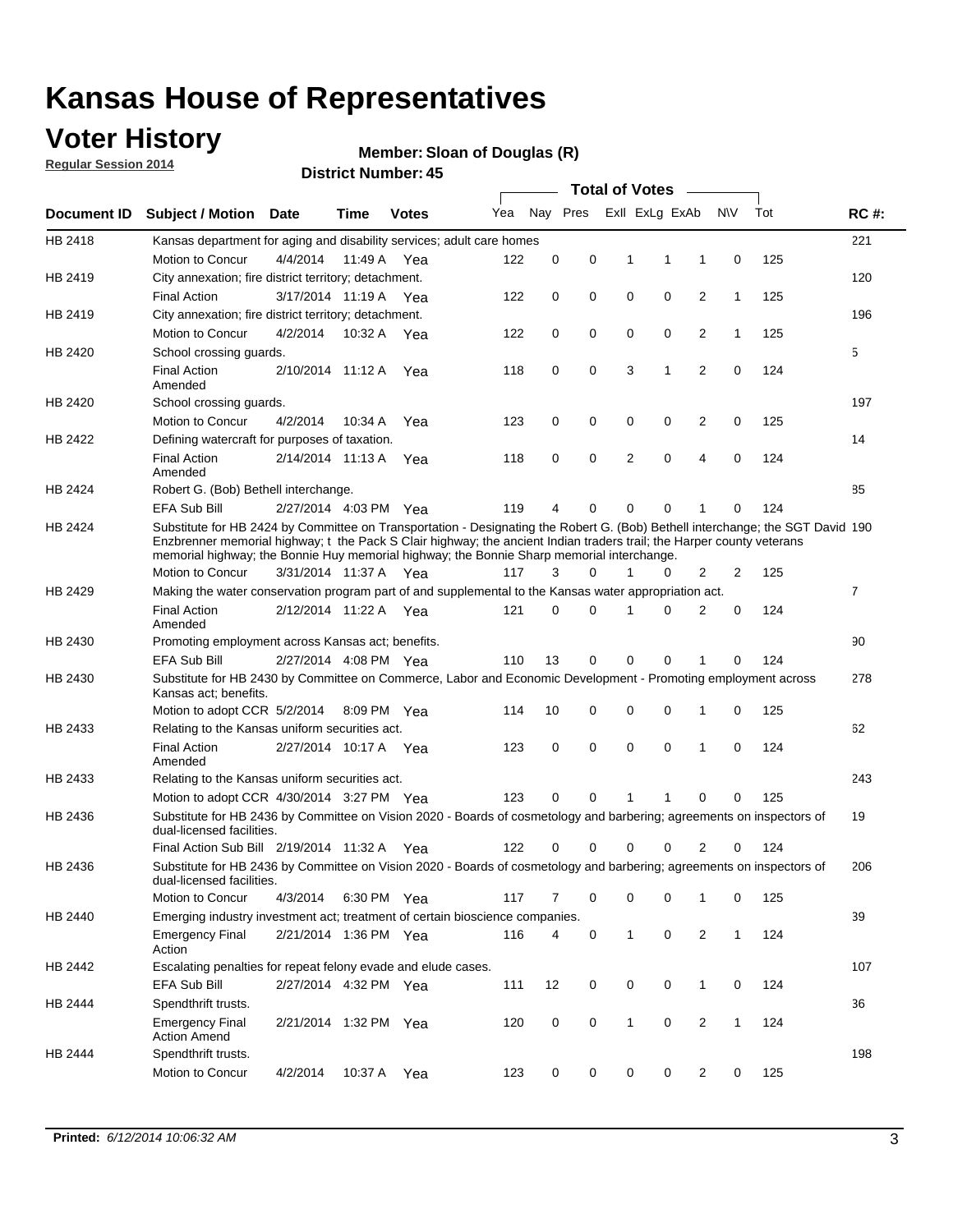## **Voter History**

**Regular Session 2014**

#### **Member: Sloan of Douglas (R)**

|             |                                                                                                                                                                                                                                                                                                                                                      |                       |             | DISTICT MAILINGL. 49 |     |          |          | <b>Total of Votes</b>      |                |              |     |                |
|-------------|------------------------------------------------------------------------------------------------------------------------------------------------------------------------------------------------------------------------------------------------------------------------------------------------------------------------------------------------------|-----------------------|-------------|----------------------|-----|----------|----------|----------------------------|----------------|--------------|-----|----------------|
| Document ID | <b>Subject / Motion</b>                                                                                                                                                                                                                                                                                                                              | Date                  | Time        | <b>Votes</b>         | Yea |          | Nay Pres | Exll ExLg ExAb             |                | N\V          | Tot | <b>RC#:</b>    |
| HB 2418     | Kansas department for aging and disability services; adult care homes                                                                                                                                                                                                                                                                                |                       |             |                      |     |          |          |                            |                |              |     | 221            |
|             | <b>Motion to Concur</b>                                                                                                                                                                                                                                                                                                                              | 4/4/2014              | 11:49 A     | Yea                  | 122 | 0        | 0        | 1<br>1                     | 1              | 0            | 125 |                |
| HB 2419     | City annexation; fire district territory; detachment.                                                                                                                                                                                                                                                                                                |                       |             |                      |     |          |          |                            |                |              |     | 120            |
|             | <b>Final Action</b>                                                                                                                                                                                                                                                                                                                                  | 3/17/2014 11:19 A     |             | Yea                  | 122 | 0        | 0        | 0<br>0                     | $\overline{2}$ | $\mathbf{1}$ | 125 |                |
| HB 2419     | City annexation; fire district territory; detachment.                                                                                                                                                                                                                                                                                                |                       |             |                      |     |          |          |                            |                |              |     | 196            |
|             | Motion to Concur                                                                                                                                                                                                                                                                                                                                     | 4/2/2014              | 10:32 A     | Yea                  | 122 | 0        | 0        | 0<br>0                     | $\overline{2}$ | 1            | 125 |                |
| HB 2420     | School crossing quards.                                                                                                                                                                                                                                                                                                                              |                       |             |                      |     |          |          |                            |                |              |     | 5              |
|             | <b>Final Action</b><br>Amended                                                                                                                                                                                                                                                                                                                       | 2/10/2014 11:12 A     |             | Yea                  | 118 | 0        | 0        | 3<br>1                     | $\overline{2}$ | 0            | 124 |                |
| HB 2420     | School crossing guards.                                                                                                                                                                                                                                                                                                                              |                       |             |                      |     |          |          |                            |                |              |     | 197            |
|             | Motion to Concur                                                                                                                                                                                                                                                                                                                                     | 4/2/2014              | 10:34 A     | Yea                  | 123 | 0        | 0        | 0<br>0                     | 2              | 0            | 125 |                |
| HB 2422     | Defining watercraft for purposes of taxation.                                                                                                                                                                                                                                                                                                        |                       |             |                      |     |          |          |                            |                |              |     | 14             |
|             | <b>Final Action</b><br>Amended                                                                                                                                                                                                                                                                                                                       | 2/14/2014 11:13 A     |             | Yea                  | 118 | 0        | 0        | 2<br>$\mathbf 0$           | $\overline{4}$ | 0            | 124 |                |
| HB 2424     | Robert G. (Bob) Bethell interchange.                                                                                                                                                                                                                                                                                                                 |                       |             |                      |     |          |          |                            |                |              |     | 85             |
|             | <b>EFA Sub Bill</b>                                                                                                                                                                                                                                                                                                                                  | 2/27/2014 4:03 PM Yea |             |                      | 119 | 4        | 0        | $\Omega$<br>$\Omega$       | 1              | 0            | 124 |                |
| HB 2424     | Substitute for HB 2424 by Committee on Transportation - Designating the Robert G. (Bob) Bethell interchange; the SGT David 190<br>Enzbrenner memorial highway; t the Pack S Clair highway; the ancient Indian traders trail; the Harper county veterans<br>memorial highway; the Bonnie Huy memorial highway; the Bonnie Sharp memorial interchange. |                       |             |                      |     |          |          |                            |                |              |     |                |
|             | Motion to Concur                                                                                                                                                                                                                                                                                                                                     | 3/31/2014 11:37 A Yea |             |                      | 117 | 3        | $\Omega$ | 1<br>0                     | $\overline{2}$ | 2            | 125 |                |
| HB 2429     | Making the water conservation program part of and supplemental to the Kansas water appropriation act.                                                                                                                                                                                                                                                |                       |             |                      |     |          |          |                            |                |              |     | $\overline{7}$ |
|             | <b>Final Action</b><br>Amended                                                                                                                                                                                                                                                                                                                       | 2/12/2014 11:22 A Yea |             |                      | 121 | $\Omega$ | $\Omega$ | 0<br>1                     | $\overline{2}$ | $\mathbf 0$  | 124 |                |
| HB 2430     | Promoting employment across Kansas act; benefits.                                                                                                                                                                                                                                                                                                    |                       |             |                      |     |          |          |                            |                |              |     | 90             |
|             | <b>EFA Sub Bill</b>                                                                                                                                                                                                                                                                                                                                  | 2/27/2014 4:08 PM Yea |             |                      | 110 | 13       | 0        | $\mathbf 0$<br>0           |                | 0            | 124 |                |
| HB 2430     | Substitute for HB 2430 by Committee on Commerce, Labor and Economic Development - Promoting employment across<br>Kansas act; benefits.                                                                                                                                                                                                               |                       |             |                      |     |          |          |                            |                |              |     | 278            |
|             | Motion to adopt CCR 5/2/2014                                                                                                                                                                                                                                                                                                                         |                       | 8:09 PM Yea |                      | 114 | 10       | 0        | 0<br>0                     | 1              | 0            | 125 |                |
| HB 2433     | Relating to the Kansas uniform securities act.                                                                                                                                                                                                                                                                                                       |                       |             |                      |     |          |          |                            |                |              |     | 62             |
|             | <b>Final Action</b><br>Amended                                                                                                                                                                                                                                                                                                                       | 2/27/2014 10:17 A Yea |             |                      | 123 | 0        | 0        | $\mathbf 0$<br>$\mathbf 0$ | 1              | 0            | 124 |                |
| HB 2433     | Relating to the Kansas uniform securities act.                                                                                                                                                                                                                                                                                                       |                       |             |                      |     |          |          |                            |                |              |     | 243            |
|             | Motion to adopt CCR 4/30/2014 3:27 PM Yea                                                                                                                                                                                                                                                                                                            |                       |             |                      | 123 | $\Omega$ | $\Omega$ | 1<br>1                     | $\Omega$       | 0            | 125 |                |
| HB 2436     | Substitute for HB 2436 by Committee on Vision 2020 - Boards of cosmetology and barbering; agreements on inspectors of<br>dual-licensed facilities.                                                                                                                                                                                                   |                       |             |                      |     |          |          |                            |                |              |     | 19             |
|             | Final Action Sub Bill 2/19/2014 11:32 A                                                                                                                                                                                                                                                                                                              |                       |             | Yea                  | 122 | ი        | 0        | 0<br>O                     | 2              | 0            | 124 |                |
| HB 2436     | Substitute for HB 2436 by Committee on Vision 2020 - Boards of cosmetology and barbering; agreements on inspectors of<br>dual-licensed facilities.                                                                                                                                                                                                   |                       |             |                      |     |          |          |                            |                |              |     | 206            |
|             | Motion to Concur                                                                                                                                                                                                                                                                                                                                     | 4/3/2014              | 6:30 PM Yea |                      | 117 | 7        | 0        | 0<br>0                     | 1              | 0            | 125 |                |
| HB 2440     | Emerging industry investment act; treatment of certain bioscience companies.                                                                                                                                                                                                                                                                         |                       |             |                      |     |          |          |                            |                |              |     | 39             |
|             | <b>Emergency Final</b><br>Action                                                                                                                                                                                                                                                                                                                     | 2/21/2014 1:36 PM Yea |             |                      | 116 | 4        | 0        | $\mathbf{1}$<br>0          | 2              | $\mathbf{1}$ | 124 |                |
| HB 2442     | Escalating penalties for repeat felony evade and elude cases.                                                                                                                                                                                                                                                                                        |                       |             |                      |     |          |          |                            |                |              |     | 107            |
|             | EFA Sub Bill                                                                                                                                                                                                                                                                                                                                         | 2/27/2014 4:32 PM Yea |             |                      | 111 | 12       | 0        | 0<br>0                     | $\mathbf{1}$   | 0            | 124 |                |
| HB 2444     | Spendthrift trusts.                                                                                                                                                                                                                                                                                                                                  |                       |             |                      |     |          |          |                            |                |              |     | 36             |
|             | <b>Emergency Final</b><br><b>Action Amend</b>                                                                                                                                                                                                                                                                                                        | 2/21/2014 1:32 PM Yea |             |                      | 120 | 0        | 0        | $\mathbf{1}$<br>0          | $\overline{2}$ | $\mathbf{1}$ | 124 |                |
| HB 2444     | Spendthrift trusts.                                                                                                                                                                                                                                                                                                                                  |                       |             |                      |     |          |          |                            |                |              |     | 198            |
|             | Motion to Concur                                                                                                                                                                                                                                                                                                                                     | 4/2/2014              | 10:37 A     | Yea                  | 123 | 0        | 0        | 0<br>0                     | $\overline{2}$ | 0            | 125 |                |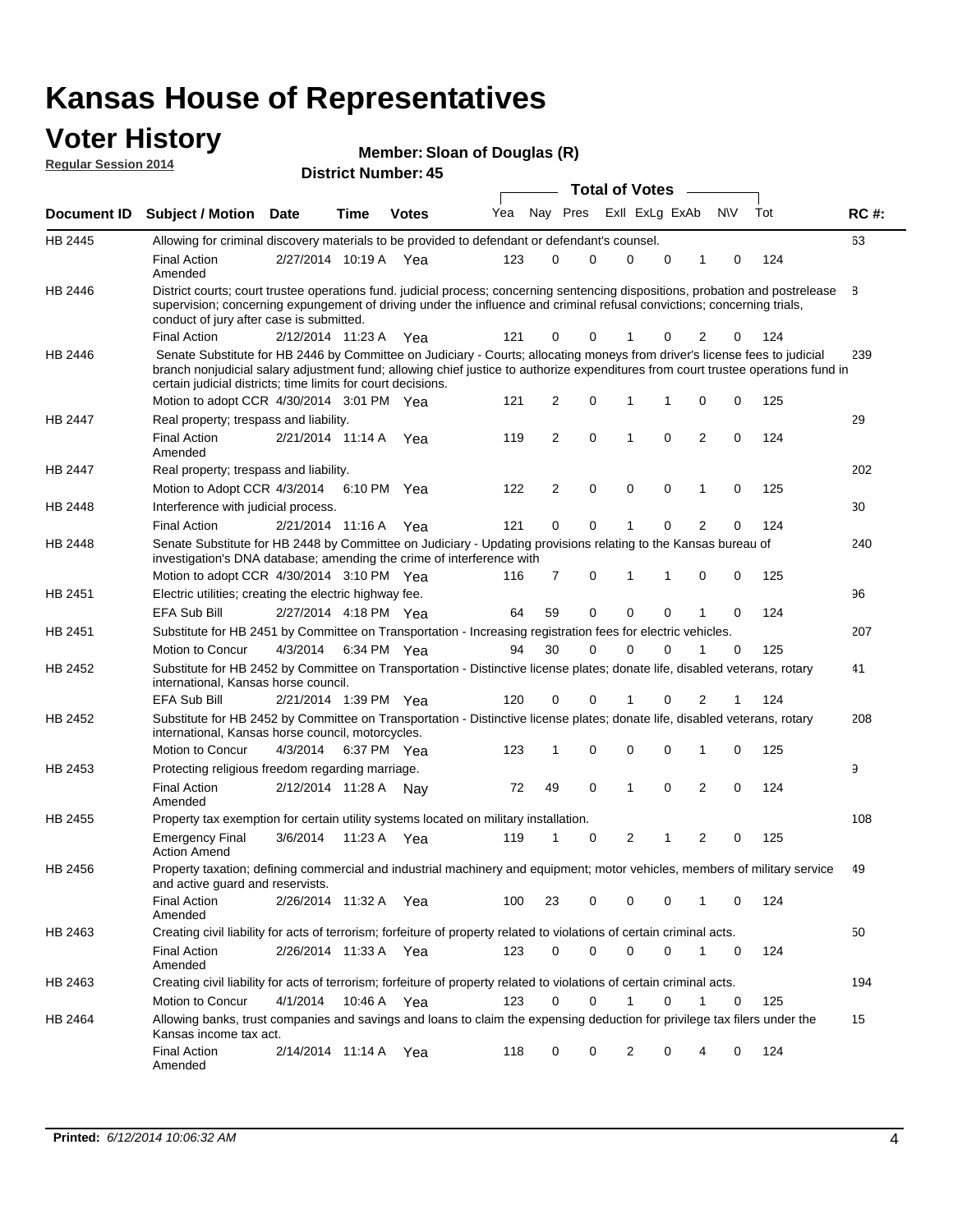#### **Voter History Regular Session 2014**

**Member: Sloan of Douglas (R)** 

|                    |                                                                                                                                                                                                                                                                                                                                 |                       |      |              |     |    |             | <b>Total of Votes</b> |             |                |             |     |             |
|--------------------|---------------------------------------------------------------------------------------------------------------------------------------------------------------------------------------------------------------------------------------------------------------------------------------------------------------------------------|-----------------------|------|--------------|-----|----|-------------|-----------------------|-------------|----------------|-------------|-----|-------------|
| <b>Document ID</b> | <b>Subject / Motion Date</b>                                                                                                                                                                                                                                                                                                    |                       | Time | <b>Votes</b> | Yea |    | Nay Pres    | Exll ExLg ExAb        |             |                | N\V         | Tot | <b>RC#:</b> |
| HB 2445            | Allowing for criminal discovery materials to be provided to defendant or defendant's counsel.                                                                                                                                                                                                                                   |                       |      |              |     |    |             |                       |             |                |             |     | 63          |
|                    | <b>Final Action</b><br>Amended                                                                                                                                                                                                                                                                                                  | 2/27/2014 10:19 A Yea |      |              | 123 | 0  | 0           | 0                     | 0           | 1              | 0           | 124 |             |
| HB 2446            | District courts; court trustee operations fund. judicial process; concerning sentencing dispositions, probation and postrelease<br>supervision; concerning expungement of driving under the influence and criminal refusal convictions; concerning trials,<br>conduct of jury after case is submitted.                          |                       |      |              |     |    |             |                       |             |                |             |     | 8           |
|                    | <b>Final Action</b>                                                                                                                                                                                                                                                                                                             | 2/12/2014 11:23 A Yea |      |              | 121 | 0  | 0           |                       | 0           | 2              | 0           | 124 |             |
| HB 2446            | Senate Substitute for HB 2446 by Committee on Judiciary - Courts; allocating moneys from driver's license fees to judicial<br>branch nonjudicial salary adjustment fund; allowing chief justice to authorize expenditures from court trustee operations fund in<br>certain judicial districts; time limits for court decisions. |                       |      |              |     |    |             |                       |             |                |             |     | 239         |
|                    | Motion to adopt CCR 4/30/2014 3:01 PM Yea                                                                                                                                                                                                                                                                                       |                       |      |              | 121 | 2  | 0           | 1                     | 1           | 0              | 0           | 125 |             |
| <b>HB 2447</b>     | Real property; trespass and liability.                                                                                                                                                                                                                                                                                          |                       |      |              |     |    |             |                       |             |                |             |     | 29          |
|                    | <b>Final Action</b><br>Amended                                                                                                                                                                                                                                                                                                  | 2/21/2014 11:14 A Yea |      |              | 119 | 2  | $\mathbf 0$ | $\mathbf{1}$          | $\mathbf 0$ | 2              | $\mathbf 0$ | 124 |             |
| HB 2447            | Real property; trespass and liability.                                                                                                                                                                                                                                                                                          |                       |      |              |     |    |             |                       |             |                |             |     | 202         |
|                    | Motion to Adopt CCR 4/3/2014                                                                                                                                                                                                                                                                                                    |                       |      | 6:10 PM Yea  | 122 | 2  | 0           | 0                     | 0           | 1              | 0           | 125 |             |
| HB 2448            | Interference with judicial process.                                                                                                                                                                                                                                                                                             |                       |      |              |     |    |             |                       |             |                |             |     | 30          |
|                    | <b>Final Action</b>                                                                                                                                                                                                                                                                                                             | 2/21/2014 11:16 A Yea |      |              | 121 | 0  | 0           | 1                     | 0           | 2              | 0           | 124 |             |
| HB 2448            | Senate Substitute for HB 2448 by Committee on Judiciary - Updating provisions relating to the Kansas bureau of<br>investigation's DNA database; amending the crime of interference with                                                                                                                                         |                       |      |              |     |    |             |                       |             |                |             |     | 240         |
|                    | Motion to adopt CCR 4/30/2014 3:10 PM Yea                                                                                                                                                                                                                                                                                       |                       |      |              | 116 | 7  | 0           | $\mathbf{1}$          | 1           | 0              | 0           | 125 |             |
| HB 2451            | Electric utilities; creating the electric highway fee.                                                                                                                                                                                                                                                                          |                       |      |              |     |    |             |                       |             |                |             |     | 96          |
|                    | EFA Sub Bill                                                                                                                                                                                                                                                                                                                    | 2/27/2014 4:18 PM Yea |      |              | 64  | 59 | 0           | 0                     | 0           | 1              | 0           | 124 |             |
| HB 2451            | Substitute for HB 2451 by Committee on Transportation - Increasing registration fees for electric vehicles.                                                                                                                                                                                                                     |                       |      |              |     |    |             |                       |             |                |             |     | 207         |
|                    | Motion to Concur                                                                                                                                                                                                                                                                                                                | 4/3/2014              |      | 6:34 PM Yea  | 94  | 30 | 0           | $\Omega$              | 0           | 1              | 0           | 125 |             |
| HB 2452            | Substitute for HB 2452 by Committee on Transportation - Distinctive license plates; donate life, disabled veterans, rotary<br>international, Kansas horse council.                                                                                                                                                              |                       |      |              |     |    |             |                       |             |                |             |     | 41          |
|                    | <b>EFA Sub Bill</b>                                                                                                                                                                                                                                                                                                             | 2/21/2014 1:39 PM Yea |      |              | 120 | 0  | 0           |                       | 0           | 2              | 1           | 124 |             |
| HB 2452            | Substitute for HB 2452 by Committee on Transportation - Distinctive license plates; donate life, disabled veterans, rotary<br>international, Kansas horse council, motorcycles.                                                                                                                                                 |                       |      |              |     |    |             |                       |             |                |             |     | 208         |
|                    | Motion to Concur                                                                                                                                                                                                                                                                                                                | 4/3/2014              |      | 6:37 PM Yea  | 123 | 1  | 0           | $\mathbf 0$           | 0           | 1              | 0           | 125 |             |
| HB 2453            | Protecting religious freedom regarding marriage.                                                                                                                                                                                                                                                                                |                       |      |              |     |    |             |                       |             |                |             |     | 9           |
|                    | <b>Final Action</b><br>Amended                                                                                                                                                                                                                                                                                                  | 2/12/2014 11:28 A Nay |      |              | 72  | 49 | 0           | 1                     | 0           | 2              | 0           | 124 |             |
| HB 2455            | Property tax exemption for certain utility systems located on military installation.                                                                                                                                                                                                                                            |                       |      |              |     |    |             |                       |             |                |             |     | 108         |
|                    | <b>Emergency Final</b><br><b>Action Amend</b>                                                                                                                                                                                                                                                                                   | 3/6/2014              |      | 11:23 A Yea  | 119 | 1  | 0           | 2                     | 1           | $\overline{c}$ | 0           | 125 |             |
| HB 2456            | Property taxation; defining commercial and industrial machinery and equipment; motor vehicles, members of military service<br>and active guard and reservists.                                                                                                                                                                  |                       |      |              |     |    |             |                       |             |                |             |     | 49          |
|                    | <b>Final Action</b><br>Amended                                                                                                                                                                                                                                                                                                  | 2/26/2014 11:32 A Yea |      |              | 100 | 23 | 0           | 0                     | 0           | 1              | 0           | 124 |             |
| HB 2463            | Creating civil liability for acts of terrorism; forfeiture of property related to violations of certain criminal acts.                                                                                                                                                                                                          |                       |      |              |     |    |             |                       |             |                |             |     | 50          |
|                    | <b>Final Action</b><br>Amended                                                                                                                                                                                                                                                                                                  | 2/26/2014 11:33 A Yea |      |              | 123 | 0  | 0           | 0                     | 0           | $\mathbf{1}$   | 0           | 124 |             |
| HB 2463            | Creating civil liability for acts of terrorism; forfeiture of property related to violations of certain criminal acts.                                                                                                                                                                                                          |                       |      |              |     |    |             |                       |             |                |             |     | 194         |
|                    | Motion to Concur                                                                                                                                                                                                                                                                                                                | 4/1/2014              |      | 10:46 A Yea  | 123 | 0  | $\mathbf 0$ | 1                     | 0           | 1              | 0           | 125 |             |
| HB 2464            | Allowing banks, trust companies and savings and loans to claim the expensing deduction for privilege tax filers under the<br>Kansas income tax act.                                                                                                                                                                             |                       |      |              |     |    |             |                       |             |                |             |     | 15          |
|                    | <b>Final Action</b><br>Amended                                                                                                                                                                                                                                                                                                  | 2/14/2014 11:14 A Yea |      |              | 118 | 0  | 0           | 2                     | 0           | 4              | 0           | 124 |             |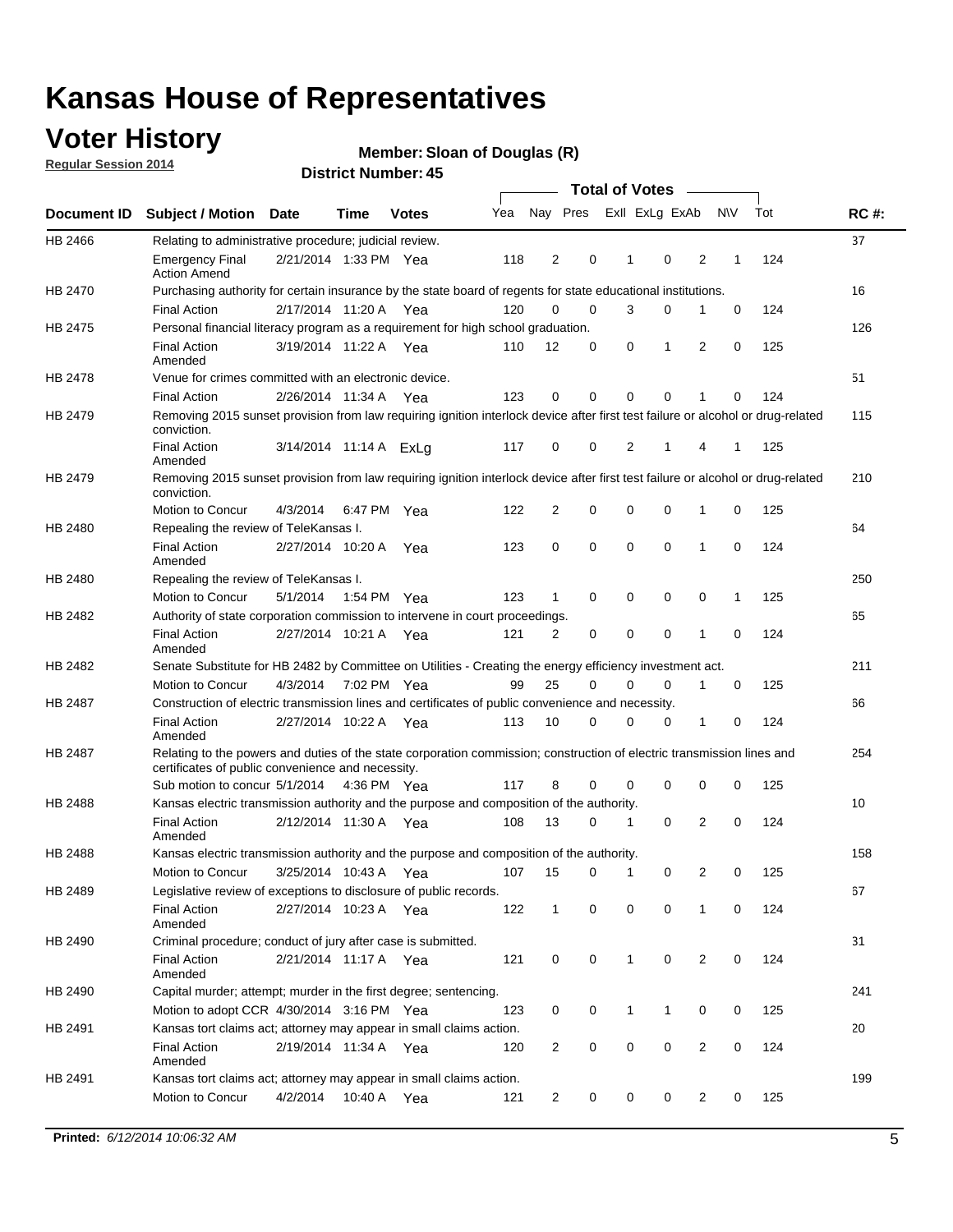## **Voter History**

**Regular Session 2014**

#### **Member: Sloan of Douglas (R)**

|                                                                                                                                                                                                       |                                                                                                                                                                             |                        |             |              |     |                |          | <b>Total of Votes</b> |              |                |                |              |     |             |
|-------------------------------------------------------------------------------------------------------------------------------------------------------------------------------------------------------|-----------------------------------------------------------------------------------------------------------------------------------------------------------------------------|------------------------|-------------|--------------|-----|----------------|----------|-----------------------|--------------|----------------|----------------|--------------|-----|-------------|
|                                                                                                                                                                                                       | <b>Subject / Motion Date</b>                                                                                                                                                |                        | Time        | <b>Votes</b> | Yea |                | Nay Pres |                       |              | Exll ExLg ExAb |                | <b>NV</b>    | Tot | <b>RC#:</b> |
| HB 2466                                                                                                                                                                                               | Relating to administrative procedure; judicial review.                                                                                                                      |                        |             |              |     |                |          |                       |              |                |                |              |     | 37          |
|                                                                                                                                                                                                       | <b>Emergency Final</b><br><b>Action Amend</b>                                                                                                                               | 2/21/2014 1:33 PM Yea  |             |              | 118 | 2              | 0        |                       | 1            | 0              | 2              | 1            | 124 |             |
| <b>Document ID</b><br>HB 2470<br>HB 2475<br><b>HB 2478</b><br>HB 2479<br>HB 2479<br>HB 2480<br>HB 2480<br>HB 2482<br>HB 2482<br>HB 2487<br>HB 2487<br>HB 2488<br><b>HB 2488</b><br>HB 2489<br>HB 2490 | Purchasing authority for certain insurance by the state board of regents for state educational institutions.                                                                |                        |             |              |     |                |          |                       |              |                |                |              |     | 16          |
|                                                                                                                                                                                                       | <b>Final Action</b>                                                                                                                                                         | 2/17/2014 11:20 A Yea  |             |              | 120 | 0              | 0        |                       | 3            | 0              | 1              | 0            | 124 |             |
|                                                                                                                                                                                                       | Personal financial literacy program as a requirement for high school graduation.                                                                                            |                        |             |              |     |                |          |                       |              |                |                |              |     | 126         |
|                                                                                                                                                                                                       | <b>Final Action</b><br>Amended                                                                                                                                              | 3/19/2014 11:22 A Yea  |             |              | 110 | 12             |          | 0                     | 0            | 1              | 2              | $\mathbf 0$  | 125 |             |
|                                                                                                                                                                                                       | Venue for crimes committed with an electronic device.                                                                                                                       |                        |             |              |     |                |          |                       |              |                |                |              |     | 51          |
|                                                                                                                                                                                                       | <b>Final Action</b>                                                                                                                                                         | 2/26/2014 11:34 A      |             | Yea          | 123 | 0              |          | 0                     | $\Omega$     | 0              | 1              | 0            | 124 |             |
|                                                                                                                                                                                                       | Removing 2015 sunset provision from law requiring ignition interlock device after first test failure or alcohol or drug-related<br>conviction.                              |                        |             |              |     |                |          |                       |              |                |                |              |     | 115         |
|                                                                                                                                                                                                       | <b>Final Action</b><br>Amended                                                                                                                                              | 3/14/2014 11:14 A ExLg |             |              | 117 | 0              | 0        |                       | 2            | 1              | 4              | 1            | 125 |             |
|                                                                                                                                                                                                       | Removing 2015 sunset provision from law requiring ignition interlock device after first test failure or alcohol or drug-related<br>conviction.                              |                        |             |              |     |                |          |                       |              |                |                |              |     | 210         |
|                                                                                                                                                                                                       | Motion to Concur                                                                                                                                                            | 4/3/2014               |             | 6:47 PM Yea  | 122 | $\overline{2}$ |          | 0                     | 0            | 0              | 1              | 0            | 125 |             |
|                                                                                                                                                                                                       | Repealing the review of TeleKansas I.                                                                                                                                       |                        |             |              |     |                |          |                       |              |                |                |              |     | 64          |
|                                                                                                                                                                                                       | <b>Final Action</b><br>Amended                                                                                                                                              | 2/27/2014 10:20 A Yea  |             |              | 123 | 0              | 0        |                       | $\mathbf 0$  | 0              | 1              | 0            | 124 |             |
|                                                                                                                                                                                                       | Repealing the review of TeleKansas I.                                                                                                                                       |                        |             |              |     |                |          |                       |              |                |                |              |     | 250         |
|                                                                                                                                                                                                       | Motion to Concur                                                                                                                                                            | 5/1/2014               | 1:54 PM Yea |              | 123 | 1              | 0        |                       | 0            | 0              | 0              | $\mathbf{1}$ | 125 |             |
|                                                                                                                                                                                                       | Authority of state corporation commission to intervene in court proceedings.                                                                                                |                        |             |              |     |                |          |                       |              |                |                |              |     | 65          |
|                                                                                                                                                                                                       | <b>Final Action</b><br>Amended                                                                                                                                              | 2/27/2014 10:21 A      |             | Yea          | 121 | 2              |          | 0                     | 0            | 0              | 1              | 0            | 124 |             |
|                                                                                                                                                                                                       | Senate Substitute for HB 2482 by Committee on Utilities - Creating the energy efficiency investment act.                                                                    |                        |             |              |     |                |          |                       |              |                |                |              |     | 211         |
|                                                                                                                                                                                                       | Motion to Concur                                                                                                                                                            | 4/3/2014 7:02 PM Yea   |             |              | 99  | 25             |          | $\Omega$              | 0            | 0              | 1              | 0            | 125 |             |
|                                                                                                                                                                                                       | Construction of electric transmission lines and certificates of public convenience and necessity.                                                                           |                        |             |              |     |                |          |                       |              |                |                |              |     | 66          |
|                                                                                                                                                                                                       | <b>Final Action</b><br>Amended                                                                                                                                              | 2/27/2014 10:22 A Yea  |             |              | 113 | 10             |          | 0                     | 0            | 0              | 1              | 0            | 124 |             |
|                                                                                                                                                                                                       | Relating to the powers and duties of the state corporation commission; construction of electric transmission lines and<br>certificates of public convenience and necessity. |                        |             |              |     |                |          |                       |              |                |                |              |     | 254         |
|                                                                                                                                                                                                       | Sub motion to concur 5/1/2014 4:36 PM Yea                                                                                                                                   |                        |             |              | 117 | 8              |          | 0                     | 0            | $\mathbf 0$    | 0              | 0            | 125 |             |
|                                                                                                                                                                                                       | Kansas electric transmission authority and the purpose and composition of the authority.                                                                                    |                        |             |              |     |                |          |                       |              |                |                |              |     | 10          |
|                                                                                                                                                                                                       | <b>Final Action</b><br>Amended                                                                                                                                              | 2/12/2014 11:30 A Yea  |             |              | 108 | 13             |          | 0                     | 1            | $\mathbf 0$    | 2              | $\mathbf 0$  | 124 |             |
|                                                                                                                                                                                                       | Kansas electric transmission authority and the purpose and composition of the authority.                                                                                    |                        |             |              |     |                |          |                       |              |                |                |              |     | 158         |
|                                                                                                                                                                                                       | Motion to Concur                                                                                                                                                            | 3/25/2014 10:43 A      |             | Yea          | 107 | 15             |          | 0                     | 1            | 0              | 2              | 0            | 125 |             |
|                                                                                                                                                                                                       | Legislative review of exceptions to disclosure of public records.                                                                                                           |                        |             |              |     |                |          |                       |              |                |                |              |     | 67          |
|                                                                                                                                                                                                       | <b>Final Action</b><br>Amended                                                                                                                                              | 2/27/2014 10:23 A Yea  |             |              | 122 | $\mathbf{1}$   |          | 0                     | 0            | 0              | 1              | 0            | 124 |             |
|                                                                                                                                                                                                       | Criminal procedure; conduct of jury after case is submitted.                                                                                                                |                        |             |              |     |                |          |                       |              |                |                |              |     | 31          |
|                                                                                                                                                                                                       | <b>Final Action</b><br>Amended                                                                                                                                              | 2/21/2014 11:17 A Yea  |             |              | 121 | 0              |          | 0                     | $\mathbf{1}$ | $\mathbf 0$    | $\overline{2}$ | 0            | 124 |             |
| HB 2490                                                                                                                                                                                               | Capital murder; attempt; murder in the first degree; sentencing.                                                                                                            |                        |             |              |     |                |          |                       |              |                |                |              |     | 241         |
|                                                                                                                                                                                                       | Motion to adopt CCR 4/30/2014 3:16 PM Yea                                                                                                                                   |                        |             |              | 123 | 0              |          | 0                     | $\mathbf{1}$ | 1              | 0              | 0            | 125 |             |
| HB 2491                                                                                                                                                                                               | Kansas tort claims act; attorney may appear in small claims action.                                                                                                         |                        |             |              |     |                |          |                       |              |                |                |              |     | 20          |
|                                                                                                                                                                                                       | <b>Final Action</b><br>Amended                                                                                                                                              | 2/19/2014 11:34 A Yea  |             |              | 120 | $\overline{2}$ |          | 0                     | 0            | 0              | 2              | 0            | 124 |             |
| HB 2491                                                                                                                                                                                               | Kansas tort claims act; attorney may appear in small claims action.                                                                                                         |                        |             |              |     |                |          |                       |              |                |                |              |     | 199         |
|                                                                                                                                                                                                       | Motion to Concur                                                                                                                                                            | 4/2/2014               |             | 10:40 A Yea  | 121 | $\overline{2}$ |          | 0                     | 0            | 0              | $\overline{2}$ | 0            | 125 |             |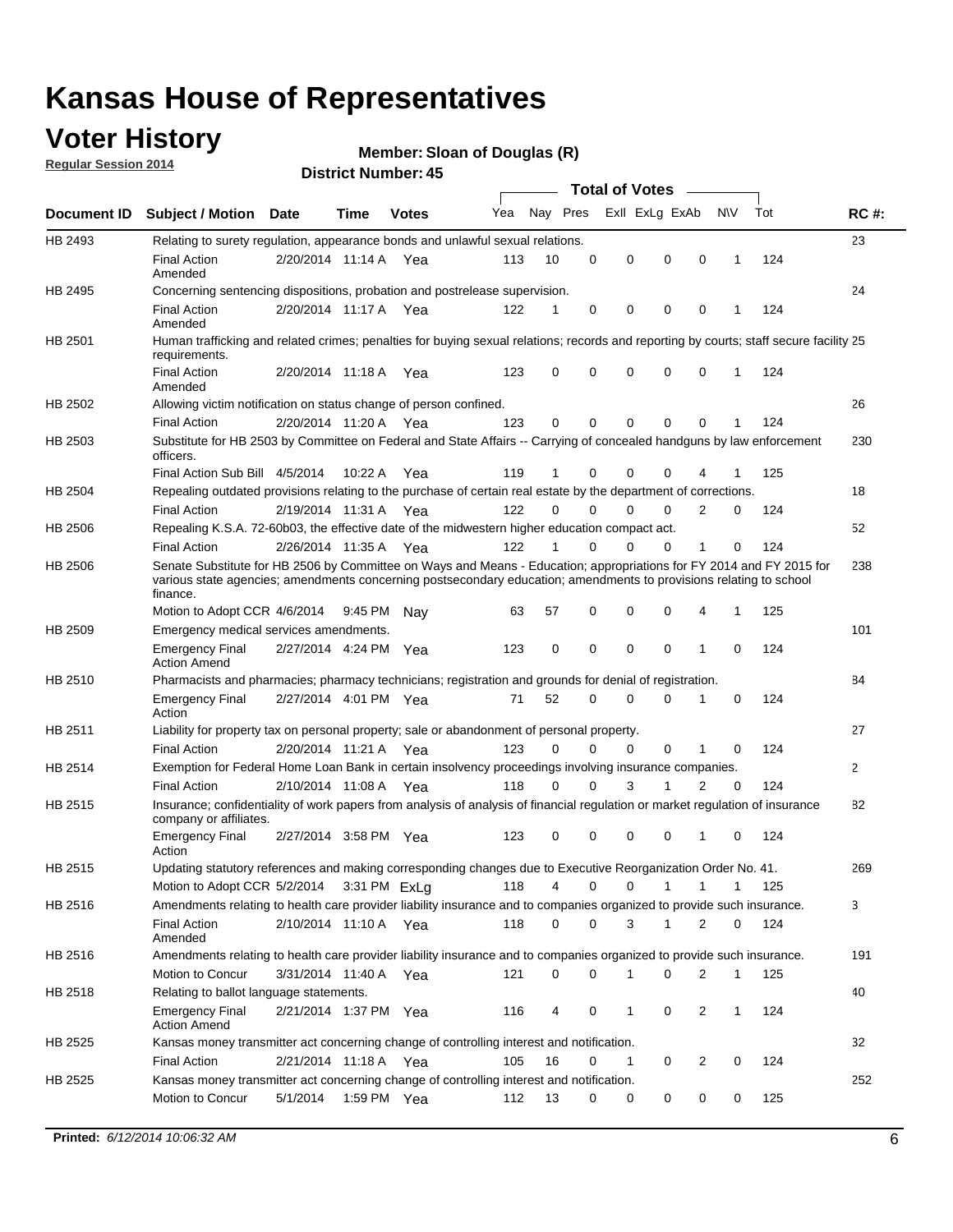## **Voter History**

**Regular Session 2014**

#### **Member: Sloan of Douglas (R)**

|                    |                                                                                                                                                                                                                                                        |                       |             |              |     |          |          | <b>Total of Votes</b> |              |                |              |     |              |
|--------------------|--------------------------------------------------------------------------------------------------------------------------------------------------------------------------------------------------------------------------------------------------------|-----------------------|-------------|--------------|-----|----------|----------|-----------------------|--------------|----------------|--------------|-----|--------------|
| <b>Document ID</b> | <b>Subject / Motion Date</b>                                                                                                                                                                                                                           |                       | Time        | <b>Votes</b> | Yea | Nay Pres |          | Exll ExLg ExAb        |              |                | <b>NV</b>    | Tot | <b>RC#:</b>  |
| HB 2493            | Relating to surety regulation, appearance bonds and unlawful sexual relations.                                                                                                                                                                         |                       |             |              |     |          |          |                       |              |                |              |     | 23           |
|                    | <b>Final Action</b><br>Amended                                                                                                                                                                                                                         | 2/20/2014 11:14 A     |             | Yea          | 113 | 10       | 0        | 0                     | $\mathbf 0$  | 0              | $\mathbf 1$  | 124 |              |
| HB 2495            | Concerning sentencing dispositions, probation and postrelease supervision.                                                                                                                                                                             |                       |             |              |     |          |          |                       |              |                |              |     | 24           |
|                    | <b>Final Action</b><br>Amended                                                                                                                                                                                                                         | 2/20/2014 11:17 A Yea |             |              | 122 | 1        | 0        | 0                     | $\mathbf 0$  | $\mathbf 0$    | -1           | 124 |              |
| HB 2501            | Human trafficking and related crimes; penalties for buying sexual relations; records and reporting by courts; staff secure facility 25<br>requirements.                                                                                                |                       |             |              |     |          |          |                       |              |                |              |     |              |
|                    | <b>Final Action</b><br>Amended                                                                                                                                                                                                                         | 2/20/2014 11:18 A Yea |             |              | 123 | $\Omega$ | 0        | 0                     | $\Omega$     | $\mathbf 0$    | 1            | 124 |              |
| HB 2502            | Allowing victim notification on status change of person confined.                                                                                                                                                                                      |                       |             |              |     |          |          |                       |              |                |              |     | 26           |
|                    | <b>Final Action</b>                                                                                                                                                                                                                                    | 2/20/2014 11:20 A Yea |             |              | 123 | $\Omega$ | 0        | $\mathbf{0}$          | $\Omega$     | $\Omega$       |              | 124 |              |
| HB 2503            | Substitute for HB 2503 by Committee on Federal and State Affairs -- Carrying of concealed handguns by law enforcement<br>officers.                                                                                                                     |                       |             |              |     |          |          |                       |              |                |              |     | 230          |
|                    | Final Action Sub Bill 4/5/2014                                                                                                                                                                                                                         |                       | 10:22 A     | Yea          | 119 |          | 0        | 0                     | 0            | 4              |              | 125 |              |
| HB 2504            | Repealing outdated provisions relating to the purchase of certain real estate by the department of corrections.                                                                                                                                        |                       |             |              |     |          |          |                       |              |                |              |     | 18           |
|                    | <b>Final Action</b>                                                                                                                                                                                                                                    | 2/19/2014 11:31 A Yea |             |              | 122 | $\Omega$ | $\Omega$ | 0                     | $\mathbf{0}$ | $\overline{2}$ | 0            | 124 |              |
| HB 2506            | Repealing K.S.A. 72-60b03, the effective date of the midwestern higher education compact act.                                                                                                                                                          |                       |             |              |     |          |          |                       |              |                |              |     | 52           |
|                    | <b>Final Action</b>                                                                                                                                                                                                                                    | 2/26/2014 11:35 A Yea |             |              | 122 |          | $\Omega$ | 0                     | 0            | 1              | 0            | 124 |              |
| HB 2506            | Senate Substitute for HB 2506 by Committee on Ways and Means - Education; appropriations for FY 2014 and FY 2015 for<br>various state agencies; amendments concerning postsecondary education; amendments to provisions relating to school<br>finance. |                       |             |              |     |          |          |                       |              |                |              |     | 238          |
|                    | Motion to Adopt CCR 4/6/2014                                                                                                                                                                                                                           |                       | 9:45 PM Nav |              | 63  | 57       | 0        | 0                     | 0            | 4              | -1           | 125 |              |
| HB 2509            | Emergency medical services amendments.                                                                                                                                                                                                                 |                       |             |              |     |          |          |                       |              |                |              |     | 101          |
|                    | Emergency Final<br><b>Action Amend</b>                                                                                                                                                                                                                 | 2/27/2014 4:24 PM Yea |             |              | 123 | 0        | 0        | $\mathbf 0$           | 0            | $\mathbf{1}$   | 0            | 124 |              |
| HB 2510            | Pharmacists and pharmacies; pharmacy technicians; registration and grounds for denial of registration.                                                                                                                                                 |                       |             |              |     |          |          |                       |              |                |              |     | 84           |
|                    | <b>Emergency Final</b><br>Action                                                                                                                                                                                                                       | 2/27/2014 4:01 PM Yea |             |              | 71  | 52       | 0        | 0                     | 0            | 1              | 0            | 124 |              |
| HB 2511            | Liability for property tax on personal property; sale or abandonment of personal property.                                                                                                                                                             |                       |             |              |     |          |          |                       |              |                |              |     | 27           |
|                    | <b>Final Action</b>                                                                                                                                                                                                                                    | 2/20/2014 11:21 A     |             | Yea          | 123 | $\Omega$ | $\Omega$ | 0                     | 0            | 1              | 0            | 124 |              |
| HB 2514            | Exemption for Federal Home Loan Bank in certain insolvency proceedings involving insurance companies.                                                                                                                                                  |                       |             |              |     |          |          |                       |              |                |              |     | $\mathbf{2}$ |
|                    | <b>Final Action</b>                                                                                                                                                                                                                                    | 2/10/2014 11:08 A     |             | Yea          | 118 | $\Omega$ | $\Omega$ | 3                     | 1            | 2              | $\mathbf 0$  | 124 |              |
| HB 2515            | Insurance; confidentiality of work papers from analysis of analysis of financial regulation or market regulation of insurance<br>company or affiliates.                                                                                                |                       |             |              |     |          |          |                       |              |                |              |     | 82           |
|                    | <b>Emergency Final</b><br>Action                                                                                                                                                                                                                       | 2/27/2014 3:58 PM Yea |             |              | 123 | 0        | 0        | 0                     | 0            | 1              | 0            | 124 |              |
| HB 2515            | Updating statutory references and making corresponding changes due to Executive Reorganization Order No. 41.                                                                                                                                           |                       |             |              |     |          |          |                       |              |                |              |     | 269          |
|                    | Motion to Adopt CCR 5/2/2014 3:31 PM ExLg                                                                                                                                                                                                              |                       |             |              | 118 | 4        | 0        | 0                     | $\mathbf{1}$ | $\mathbf{1}$   | $\mathbf{1}$ | 125 |              |
| HB 2516            | Amendments relating to health care provider liability insurance and to companies organized to provide such insurance.                                                                                                                                  |                       |             |              |     |          |          |                       |              |                |              |     | 3            |
|                    | <b>Final Action</b><br>Amended                                                                                                                                                                                                                         | 2/10/2014 11:10 A Yea |             |              | 118 | 0        | 0        | 3                     | 1            | 2              | 0            | 124 |              |
| HB 2516            | Amendments relating to health care provider liability insurance and to companies organized to provide such insurance.                                                                                                                                  |                       |             |              |     |          |          |                       |              |                |              |     | 191          |
|                    | Motion to Concur                                                                                                                                                                                                                                       | 3/31/2014 11:40 A Yea |             |              | 121 | 0        | 0        | 1                     | 0            | 2              | $\mathbf{1}$ | 125 |              |
| HB 2518            | Relating to ballot language statements.                                                                                                                                                                                                                |                       |             |              |     |          |          |                       |              |                |              |     | 40           |
|                    | Emergency Final<br><b>Action Amend</b>                                                                                                                                                                                                                 | 2/21/2014 1:37 PM Yea |             |              | 116 | 4        | 0        | 1                     | 0            | 2              | 1            | 124 |              |
| HB 2525            | Kansas money transmitter act concerning change of controlling interest and notification.                                                                                                                                                               |                       |             |              |     |          |          |                       |              |                |              |     | 32           |
|                    | <b>Final Action</b>                                                                                                                                                                                                                                    | 2/21/2014 11:18 A Yea |             |              | 105 | 16       | 0        | $\mathbf{1}$          | 0            | 2              | 0            | 124 |              |
| HB 2525            | Kansas money transmitter act concerning change of controlling interest and notification.                                                                                                                                                               |                       |             |              |     |          |          |                       |              |                |              |     | 252          |
|                    | Motion to Concur                                                                                                                                                                                                                                       | 5/1/2014              |             | 1:59 PM Yea  | 112 | 13       | 0        | 0                     | 0            | 0              | 0            | 125 |              |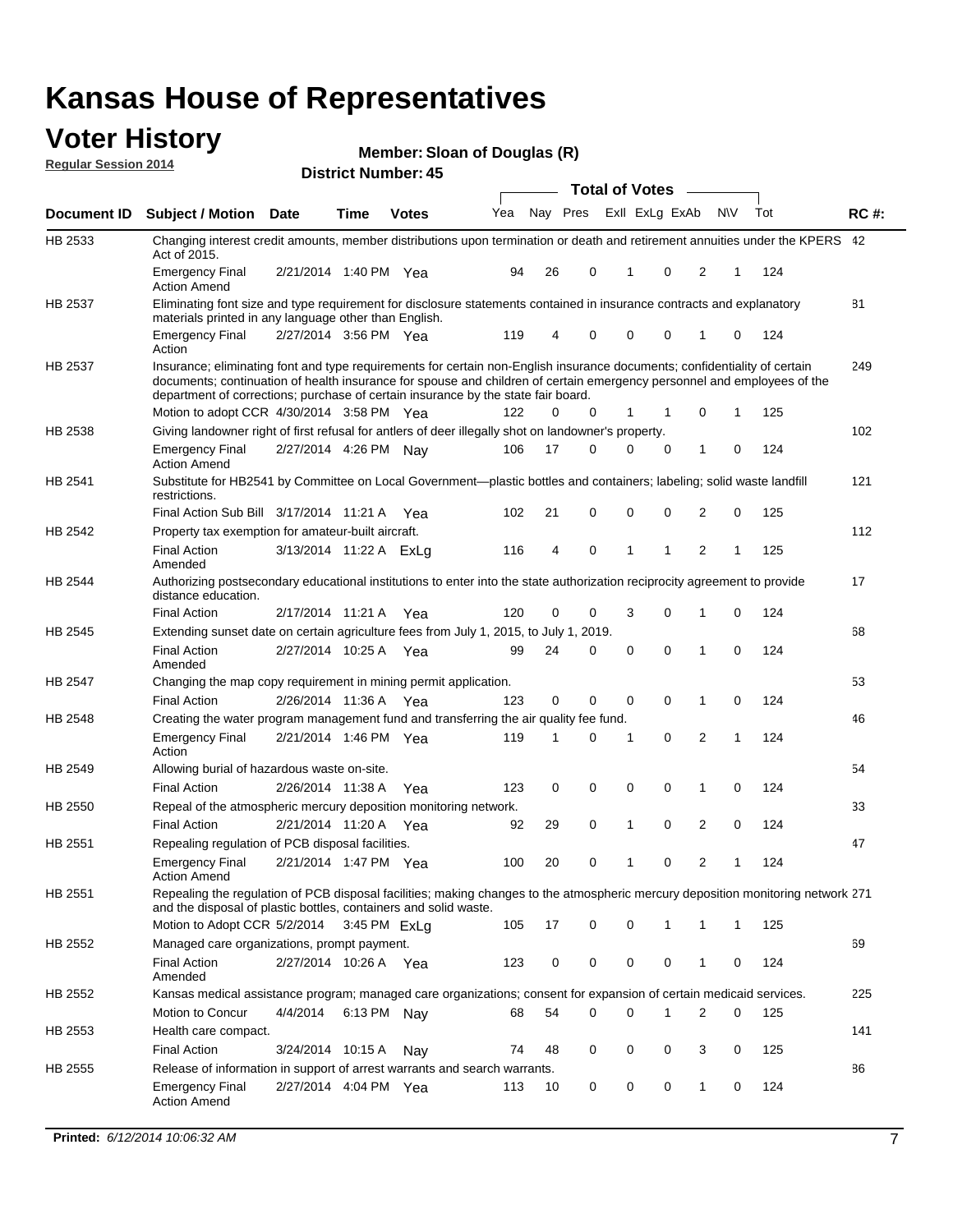#### **Voter History Regular Session 2014**

**Member: Sloan of Douglas (R)** 

|                |                                                                                                                                                                                                                                                                                                                                           |                        |             | ר <del>ד</del> . וסעווווטדו ועו ווסוש |     |    |          | <b>Total of Votes</b> |                |                |     |     |             |
|----------------|-------------------------------------------------------------------------------------------------------------------------------------------------------------------------------------------------------------------------------------------------------------------------------------------------------------------------------------------|------------------------|-------------|---------------------------------------|-----|----|----------|-----------------------|----------------|----------------|-----|-----|-------------|
| Document ID    | <b>Subject / Motion Date</b>                                                                                                                                                                                                                                                                                                              |                        | Time        | <b>Votes</b>                          | Yea |    | Nay Pres |                       | Exll ExLg ExAb |                | N\V | Tot | <b>RC#:</b> |
| HB 2533        | Changing interest credit amounts, member distributions upon termination or death and retirement annuities under the KPERS 42<br>Act of 2015.                                                                                                                                                                                              |                        |             |                                       |     |    |          |                       |                |                |     |     |             |
|                | <b>Emergency Final</b><br><b>Action Amend</b>                                                                                                                                                                                                                                                                                             | 2/21/2014 1:40 PM Yea  |             |                                       | 94  | 26 | 0        | 1                     | $\mathbf 0$    | 2              | 1   | 124 |             |
| HB 2537        | Eliminating font size and type requirement for disclosure statements contained in insurance contracts and explanatory<br>materials printed in any language other than English.                                                                                                                                                            |                        |             |                                       |     |    |          |                       |                |                |     |     | 81          |
|                | <b>Emergency Final</b><br>Action                                                                                                                                                                                                                                                                                                          | 2/27/2014 3:56 PM Yea  |             |                                       | 119 | 4  | 0        | $\mathbf 0$           | 0              | 1              | 0   | 124 |             |
| HB 2537        | Insurance; eliminating font and type requirements for certain non-English insurance documents; confidentiality of certain<br>documents; continuation of health insurance for spouse and children of certain emergency personnel and employees of the<br>department of corrections; purchase of certain insurance by the state fair board. |                        |             |                                       |     |    |          |                       |                |                |     |     | 249         |
|                | Motion to adopt CCR 4/30/2014 3:58 PM Yea                                                                                                                                                                                                                                                                                                 |                        |             |                                       | 122 | 0  | 0        | 1                     | 1              | 0              | 1   | 125 |             |
| HB 2538        | Giving landowner right of first refusal for antlers of deer illegally shot on landowner's property.                                                                                                                                                                                                                                       |                        |             |                                       |     |    |          |                       |                |                |     |     | 102         |
|                | <b>Emergency Final</b><br><b>Action Amend</b>                                                                                                                                                                                                                                                                                             | 2/27/2014 4:26 PM Nay  |             |                                       | 106 | 17 | 0        | 0                     | 0              | 1              | 0   | 124 |             |
| HB 2541        | Substitute for HB2541 by Committee on Local Government—plastic bottles and containers; labeling; solid waste landfill<br>restrictions.                                                                                                                                                                                                    |                        |             |                                       |     |    |          |                       |                |                |     |     | 121         |
|                | Final Action Sub Bill 3/17/2014 11:21 A Yea                                                                                                                                                                                                                                                                                               |                        |             |                                       | 102 | 21 | 0        | $\mathbf 0$           | 0              | 2              | 0   | 125 |             |
| HB 2542        | Property tax exemption for amateur-built aircraft.<br><b>Final Action</b>                                                                                                                                                                                                                                                                 | 3/13/2014 11:22 A ExLg |             |                                       | 116 | 4  | 0        | 1                     | 1              | $\overline{2}$ | 1   | 125 | 112         |
| HB 2544        | Amended<br>Authorizing postsecondary educational institutions to enter into the state authorization reciprocity agreement to provide<br>distance education.                                                                                                                                                                               |                        |             |                                       |     |    |          |                       |                |                |     |     | 17          |
|                | <b>Final Action</b>                                                                                                                                                                                                                                                                                                                       | 2/17/2014 11:21 A Yea  |             |                                       | 120 | 0  | 0        | 3                     | 0              | 1              | 0   | 124 |             |
| HB 2545        | Extending sunset date on certain agriculture fees from July 1, 2015, to July 1, 2019.                                                                                                                                                                                                                                                     |                        |             |                                       |     |    |          |                       |                |                |     |     | 68          |
|                | <b>Final Action</b><br>Amended                                                                                                                                                                                                                                                                                                            | 2/27/2014 10:25 A Yea  |             |                                       | 99  | 24 | 0        | $\mathbf 0$           | $\Omega$       | 1              | 0   | 124 |             |
| <b>HB 2547</b> | Changing the map copy requirement in mining permit application.                                                                                                                                                                                                                                                                           |                        |             |                                       |     |    |          |                       |                |                |     |     | 53          |
|                | <b>Final Action</b>                                                                                                                                                                                                                                                                                                                       | 2/26/2014 11:36 A      |             | Yea                                   | 123 | 0  | 0        | 0                     | 0              | 1              | 0   | 124 |             |
| HB 2548        | Creating the water program management fund and transferring the air quality fee fund.                                                                                                                                                                                                                                                     |                        |             |                                       |     |    |          |                       |                |                |     |     | 46          |
|                | <b>Emergency Final</b><br>Action                                                                                                                                                                                                                                                                                                          | 2/21/2014 1:46 PM Yea  |             |                                       | 119 | 1  | 0        | 1                     | 0              | 2              | 1   | 124 |             |
| HB 2549        | Allowing burial of hazardous waste on-site.                                                                                                                                                                                                                                                                                               |                        |             |                                       |     |    |          |                       |                |                |     |     | 54          |
|                | <b>Final Action</b>                                                                                                                                                                                                                                                                                                                       | 2/26/2014 11:38 A      |             | Yea                                   | 123 | 0  | 0        | $\mathbf 0$           | 0              | 1              | 0   | 124 |             |
| HB 2550        | Repeal of the atmospheric mercury deposition monitoring network.                                                                                                                                                                                                                                                                          |                        |             |                                       |     |    |          |                       |                |                |     |     | 33          |
|                | <b>Final Action</b>                                                                                                                                                                                                                                                                                                                       | 2/21/2014 11:20 A Yea  |             |                                       | 92  | 29 | 0        | 1                     | 0              | 2              | 0   | 124 |             |
| HB 2551        | Repealing regulation of PCB disposal facilities.                                                                                                                                                                                                                                                                                          |                        |             |                                       |     |    |          |                       |                |                |     |     | 47          |
|                | <b>Emergency Final</b><br>Action Amend                                                                                                                                                                                                                                                                                                    | 2/21/2014 1:47 PM Yea  |             |                                       | 100 | 20 | 0        | 1                     | 0              | 2              | 1   | 124 |             |
| HB 2551        | Repealing the regulation of PCB disposal facilities; making changes to the atmospheric mercury deposition monitoring network 271<br>and the disposal of plastic bottles, containers and solid waste.                                                                                                                                      |                        |             |                                       |     |    |          |                       |                |                |     |     |             |
|                | Motion to Adopt CCR 5/2/2014 3:45 PM ExLa                                                                                                                                                                                                                                                                                                 |                        |             |                                       | 105 | 17 | 0        | $\mathbf 0$           |                | 1              | 1   | 125 |             |
| HB 2552        | Managed care organizations, prompt payment.                                                                                                                                                                                                                                                                                               |                        |             |                                       |     |    |          |                       |                |                |     |     | 69          |
|                | <b>Final Action</b><br>Amended                                                                                                                                                                                                                                                                                                            | 2/27/2014 10:26 A Yea  |             |                                       | 123 | 0  | 0        | 0                     | 0              | 1              | 0   | 124 |             |
| HB 2552        | Kansas medical assistance program; managed care organizations; consent for expansion of certain medicaid services.                                                                                                                                                                                                                        |                        |             |                                       |     |    |          |                       |                |                |     |     | 225         |
|                | Motion to Concur                                                                                                                                                                                                                                                                                                                          | 4/4/2014               | 6:13 PM Nay |                                       | 68  | 54 | 0        | $\mathbf 0$           | 1              | 2              | 0   | 125 |             |
| HB 2553        | Health care compact.                                                                                                                                                                                                                                                                                                                      |                        |             |                                       |     |    |          |                       |                |                |     |     | 141         |
|                | <b>Final Action</b>                                                                                                                                                                                                                                                                                                                       | 3/24/2014 10:15 A      |             | Nay                                   | 74  | 48 | 0        | 0                     | 0              | 3              | 0   | 125 |             |
| HB 2555        | Release of information in support of arrest warrants and search warrants.                                                                                                                                                                                                                                                                 |                        |             |                                       |     |    |          |                       |                |                |     |     | 86          |
|                | <b>Emergency Final</b><br><b>Action Amend</b>                                                                                                                                                                                                                                                                                             | 2/27/2014 4:04 PM Yea  |             |                                       | 113 | 10 | 0        | 0                     | 0              | 1              | 0   | 124 |             |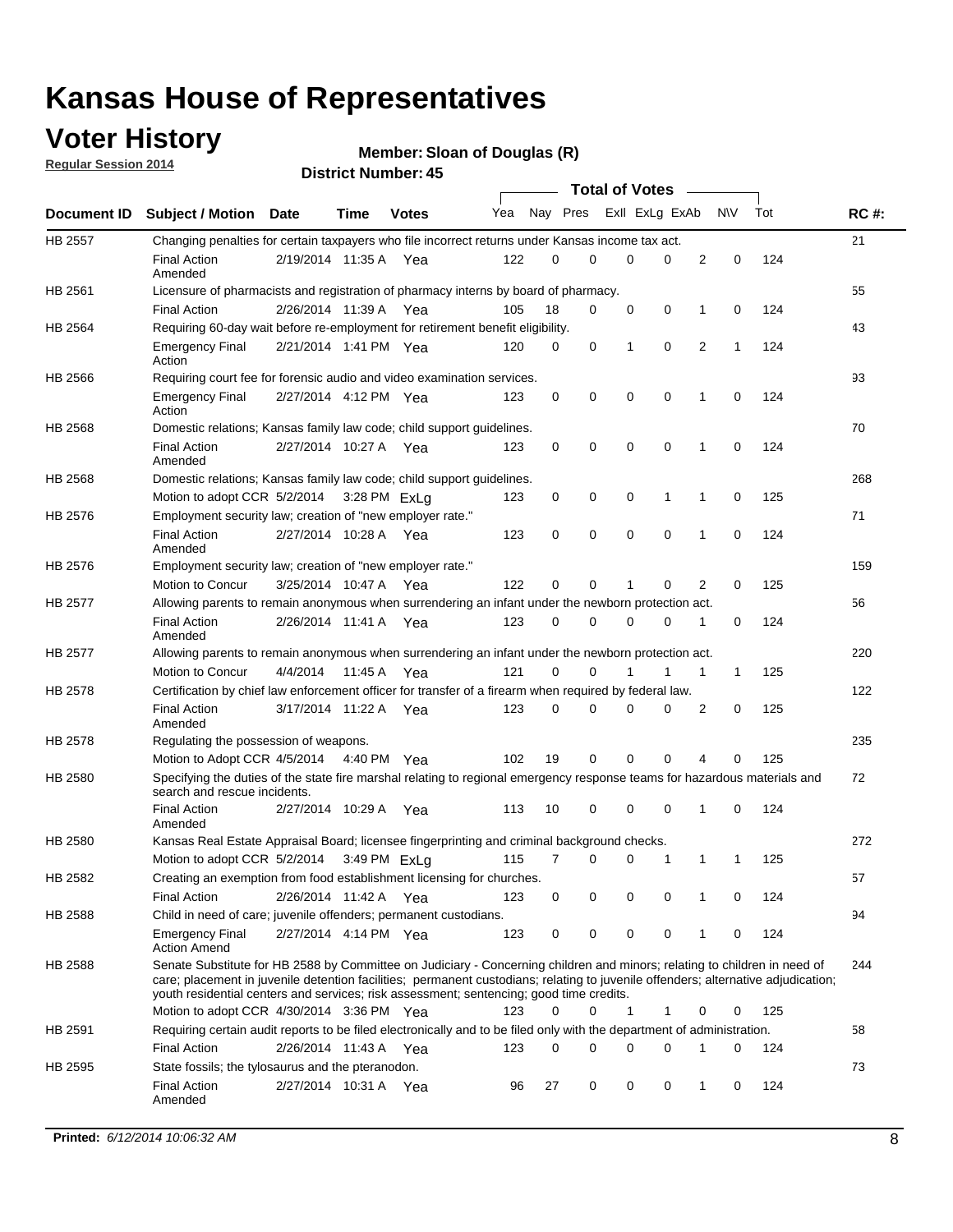## **Voter History**

**Regular Session 2014**

```
Member: Sloan of Douglas (R)
```

|                |                                                                                                                                                                                                                                                                                                                                                           |                       |             | DISTICT MAILING 1.45 |     |          |             |              | <b>Total of Votes</b>      | $\sim$       |              |     |             |
|----------------|-----------------------------------------------------------------------------------------------------------------------------------------------------------------------------------------------------------------------------------------------------------------------------------------------------------------------------------------------------------|-----------------------|-------------|----------------------|-----|----------|-------------|--------------|----------------------------|--------------|--------------|-----|-------------|
|                | Document ID Subject / Motion Date                                                                                                                                                                                                                                                                                                                         |                       | <b>Time</b> | <b>Votes</b>         | Yea |          | Nay Pres    |              | Exll ExLg ExAb             |              | <b>NV</b>    | Tot | <b>RC#:</b> |
| <b>HB 2557</b> | Changing penalties for certain taxpayers who file incorrect returns under Kansas income tax act.                                                                                                                                                                                                                                                          |                       |             |                      |     |          |             |              |                            |              |              |     | 21          |
|                | <b>Final Action</b><br>Amended                                                                                                                                                                                                                                                                                                                            | 2/19/2014 11:35 A Yea |             |                      | 122 | 0        | 0           | $\Omega$     | $\Omega$                   | 2            | $\mathbf 0$  | 124 |             |
| HB 2561        | Licensure of pharmacists and registration of pharmacy interns by board of pharmacy.                                                                                                                                                                                                                                                                       |                       |             |                      |     |          |             |              |                            |              |              |     | 55          |
|                | <b>Final Action</b>                                                                                                                                                                                                                                                                                                                                       | 2/26/2014 11:39 A     |             | Yea                  | 105 | 18       | 0           |              | 0<br>0                     | $\mathbf{1}$ | 0            | 124 |             |
| HB 2564        | Requiring 60-day wait before re-employment for retirement benefit eligibility.                                                                                                                                                                                                                                                                            |                       |             |                      |     |          |             |              |                            |              |              |     | 43          |
|                | <b>Emergency Final</b><br>Action                                                                                                                                                                                                                                                                                                                          | 2/21/2014 1:41 PM Yea |             |                      | 120 | 0        | 0           | $\mathbf{1}$ | 0                          | 2            | $\mathbf{1}$ | 124 |             |
| HB 2566        | Requiring court fee for forensic audio and video examination services.                                                                                                                                                                                                                                                                                    |                       |             |                      |     |          |             |              |                            |              |              |     | 93          |
|                | <b>Emergency Final</b><br>Action                                                                                                                                                                                                                                                                                                                          | 2/27/2014 4:12 PM Yea |             |                      | 123 | 0        | 0           |              | $\mathbf 0$<br>$\mathbf 0$ | 1            | 0            | 124 |             |
| HB 2568        | Domestic relations; Kansas family law code; child support guidelines.                                                                                                                                                                                                                                                                                     |                       |             |                      |     |          |             |              |                            |              |              |     | 70          |
|                | <b>Final Action</b><br>Amended                                                                                                                                                                                                                                                                                                                            | 2/27/2014 10:27 A Yea |             |                      | 123 | 0        | 0           |              | 0<br>$\mathbf 0$           | 1            | 0            | 124 |             |
| HB 2568        | Domestic relations; Kansas family law code; child support guidelines.                                                                                                                                                                                                                                                                                     |                       |             |                      |     |          |             |              |                            |              |              |     | 268         |
|                | Motion to adopt CCR 5/2/2014                                                                                                                                                                                                                                                                                                                              |                       |             | 3:28 PM ExLq         | 123 | 0        | 0           |              | 0<br>1                     | 1            | 0            | 125 |             |
| HB 2576        | Employment security law; creation of "new employer rate."                                                                                                                                                                                                                                                                                                 |                       |             |                      |     |          |             |              |                            |              |              |     | 71          |
|                | <b>Final Action</b><br>Amended                                                                                                                                                                                                                                                                                                                            | 2/27/2014 10:28 A Yea |             |                      | 123 | 0        | $\mathbf 0$ |              | $\mathbf 0$<br>$\mathbf 0$ | 1            | $\mathbf 0$  | 124 |             |
| HB 2576        | Employment security law; creation of "new employer rate."                                                                                                                                                                                                                                                                                                 |                       |             |                      |     |          |             |              |                            |              |              |     | 159         |
|                | Motion to Concur                                                                                                                                                                                                                                                                                                                                          | 3/25/2014 10:47 A     |             | Yea                  | 122 | $\Omega$ | 0           | 1            | $\Omega$                   | 2            | 0            | 125 |             |
| HB 2577        | Allowing parents to remain anonymous when surrendering an infant under the newborn protection act.                                                                                                                                                                                                                                                        |                       |             |                      |     |          |             |              |                            |              |              |     | 56          |
|                | <b>Final Action</b><br>Amended                                                                                                                                                                                                                                                                                                                            | 2/26/2014 11:41 A     |             | Yea                  | 123 | 0        | 0           | $\mathbf 0$  | 0                          | 1            | 0            | 124 |             |
| <b>HB 2577</b> | Allowing parents to remain anonymous when surrendering an infant under the newborn protection act.                                                                                                                                                                                                                                                        |                       |             |                      |     |          |             |              |                            |              |              |     | 220         |
|                | <b>Motion to Concur</b>                                                                                                                                                                                                                                                                                                                                   | 4/4/2014              | 11:45 A     | Yea                  | 121 | 0        | 0           |              | 1                          | $\mathbf{1}$ | $\mathbf{1}$ | 125 |             |
| HB 2578        | Certification by chief law enforcement officer for transfer of a firearm when required by federal law.                                                                                                                                                                                                                                                    |                       |             |                      |     |          |             |              |                            |              |              |     | 122         |
|                | <b>Final Action</b><br>Amended                                                                                                                                                                                                                                                                                                                            | 3/17/2014 11:22 A Yea |             |                      | 123 | 0        | 0           | 0            | 0                          | 2            | 0            | 125 |             |
| HB 2578        | Regulating the possession of weapons.                                                                                                                                                                                                                                                                                                                     |                       |             |                      |     |          |             |              |                            |              |              |     | 235         |
|                | Motion to Adopt CCR 4/5/2014 4:40 PM Yea                                                                                                                                                                                                                                                                                                                  |                       |             |                      | 102 | 19       | $\mathbf 0$ |              | $\mathbf 0$<br>$\mathbf 0$ | 4            | 0            | 125 |             |
| <b>HB 2580</b> | Specifying the duties of the state fire marshal relating to regional emergency response teams for hazardous materials and<br>search and rescue incidents.                                                                                                                                                                                                 |                       |             |                      |     |          |             |              |                            |              |              |     | 72          |
|                | <b>Final Action</b><br>Amended                                                                                                                                                                                                                                                                                                                            | 2/27/2014 10:29 A     |             | Yea                  | 113 | 10       | 0           | $\mathbf 0$  | $\mathbf 0$                | 1            | 0            | 124 |             |
| HB 2580        | Kansas Real Estate Appraisal Board; licensee fingerprinting and criminal background checks.                                                                                                                                                                                                                                                               |                       |             |                      |     |          |             |              |                            |              |              |     | 272         |
|                | Motion to adopt CCR 5/2/2014                                                                                                                                                                                                                                                                                                                              |                       |             | 3:49 PM ExLq         | 115 | 7        | 0           |              | 0<br>1                     | 1            | -1           | 125 |             |
| HB 2582        | Creating an exemption from food establishment licensing for churches.                                                                                                                                                                                                                                                                                     |                       |             |                      |     |          |             |              |                            |              |              |     | 57          |
|                | <b>Final Action</b>                                                                                                                                                                                                                                                                                                                                       | 2/26/2014 11:42 A     |             | Yea                  | 123 | 0        | 0           |              | 0<br>0                     | 1            | 0            | 124 |             |
| HB 2588        | Child in need of care; juvenile offenders; permanent custodians.                                                                                                                                                                                                                                                                                          |                       |             |                      |     |          |             |              |                            |              |              |     | 94          |
|                | <b>Emergency Final</b><br><b>Action Amend</b>                                                                                                                                                                                                                                                                                                             | 2/27/2014 4:14 PM Yea |             |                      | 123 | 0        | 0           |              | 0<br>0                     | 1            | 0            | 124 |             |
| HB 2588        | Senate Substitute for HB 2588 by Committee on Judiciary - Concerning children and minors; relating to children in need of<br>care; placement in juvenile detention facilities; permanent custodians; relating to juvenile offenders; alternative adjudication;<br>youth residential centers and services; risk assessment; sentencing; good time credits. |                       |             |                      |     |          |             |              |                            |              |              |     | 244         |
|                | Motion to adopt CCR 4/30/2014 3:36 PM Yea                                                                                                                                                                                                                                                                                                                 |                       |             |                      | 123 | $\Omega$ | 0           | $\mathbf{1}$ | 1                          | 0            | 0            | 125 |             |
| HB 2591        | Requiring certain audit reports to be filed electronically and to be filed only with the department of administration.                                                                                                                                                                                                                                    |                       |             |                      |     |          |             |              |                            |              |              |     | 58          |
|                | <b>Final Action</b>                                                                                                                                                                                                                                                                                                                                       | 2/26/2014 11:43 A Yea |             |                      | 123 | 0        | 0           |              | 0<br>$\mathbf 0$           | 1            | 0            | 124 |             |
| HB 2595        | State fossils; the tylosaurus and the pteranodon.                                                                                                                                                                                                                                                                                                         |                       |             |                      |     |          |             |              |                            |              |              |     | 73          |
|                | <b>Final Action</b><br>Amended                                                                                                                                                                                                                                                                                                                            | 2/27/2014 10:31 A Yea |             |                      | 96  | 27       | 0           |              | 0<br>0                     | 1            | 0            | 124 |             |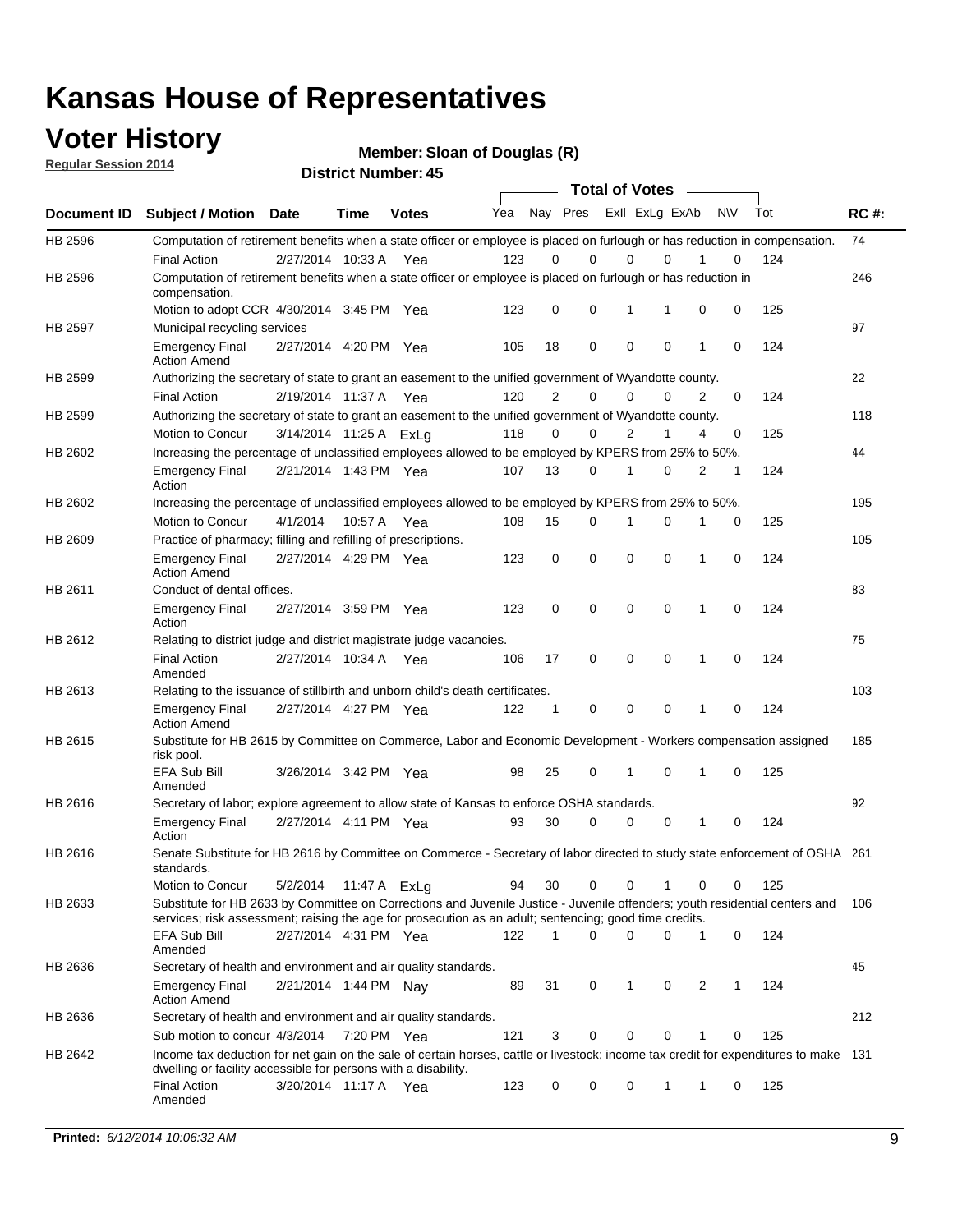## **Voter History**

**Regular Session 2014**

**Member: Sloan of Douglas (R)** 

|                | DISTICT MAILING 1.45<br><b>Total of Votes</b>                                                                                                                                                                                         |                        |              |              |     |                |             |             |                |   |           |     |             |
|----------------|---------------------------------------------------------------------------------------------------------------------------------------------------------------------------------------------------------------------------------------|------------------------|--------------|--------------|-----|----------------|-------------|-------------|----------------|---|-----------|-----|-------------|
| Document ID    | <b>Subject / Motion</b>                                                                                                                                                                                                               | <b>Date</b>            | Time         | <b>Votes</b> | Yea |                | Nay Pres    |             | Exll ExLg ExAb |   | <b>NV</b> | Tot | <b>RC#:</b> |
| HB 2596        | Computation of retirement benefits when a state officer or employee is placed on furlough or has reduction in compensation.                                                                                                           |                        |              |              |     |                |             |             |                |   |           |     | 74          |
|                | <b>Final Action</b>                                                                                                                                                                                                                   | 2/27/2014 10:33 A      |              | Yea          | 123 | 0              | $\Omega$    | 0           | $\Omega$       |   | 0         | 124 |             |
| HB 2596        | Computation of retirement benefits when a state officer or employee is placed on furlough or has reduction in<br>compensation.                                                                                                        |                        |              |              |     |                |             |             |                |   |           |     | 246         |
|                | Motion to adopt CCR 4/30/2014 3:45 PM Yea                                                                                                                                                                                             |                        |              |              | 123 | 0              | 0           | 1           | 1              | 0 | 0         | 125 |             |
| <b>HB 2597</b> | Municipal recycling services                                                                                                                                                                                                          |                        |              |              |     |                |             |             |                |   |           |     | 97          |
|                | <b>Emergency Final</b><br><b>Action Amend</b>                                                                                                                                                                                         | 2/27/2014 4:20 PM Yea  |              |              | 105 | 18             | $\mathbf 0$ | $\mathbf 0$ | $\mathbf 0$    | 1 | 0         | 124 |             |
| HB 2599        | Authorizing the secretary of state to grant an easement to the unified government of Wyandotte county.                                                                                                                                |                        |              |              |     |                |             |             |                |   |           |     | 22          |
|                | <b>Final Action</b>                                                                                                                                                                                                                   | 2/19/2014 11:37 A      |              | Yea          | 120 | $\overline{2}$ | $\mathbf 0$ | 0           | $\Omega$       | 2 | 0         | 124 |             |
| HB 2599        | Authorizing the secretary of state to grant an easement to the unified government of Wyandotte county.                                                                                                                                |                        |              |              |     |                |             |             |                |   |           |     | 118         |
|                | Motion to Concur                                                                                                                                                                                                                      | 3/14/2014 11:25 A ExLa |              |              | 118 | $\Omega$       | 0           | 2           | 1              | 4 | 0         | 125 |             |
| HB 2602        | Increasing the percentage of unclassified employees allowed to be employed by KPERS from 25% to 50%.                                                                                                                                  |                        |              |              |     |                |             |             |                |   |           |     | 44          |
|                | <b>Emergency Final</b><br>Action                                                                                                                                                                                                      | 2/21/2014 1:43 PM Yea  |              |              | 107 | 13             | 0           | 1           | $\Omega$       | 2 | 1         | 124 |             |
| HB 2602        | Increasing the percentage of unclassified employees allowed to be employed by KPERS from 25% to 50%.                                                                                                                                  |                        |              |              |     |                |             |             |                |   |           |     | 195         |
|                | Motion to Concur                                                                                                                                                                                                                      | 4/1/2014               | 10:57 A Yea  |              | 108 | 15             | 0           | 1           | 0              | 1 | 0         | 125 |             |
| HB 2609        | Practice of pharmacy; filling and refilling of prescriptions.                                                                                                                                                                         |                        |              |              |     |                |             |             |                |   |           |     | 105         |
|                | <b>Emergency Final</b><br><b>Action Amend</b>                                                                                                                                                                                         | 2/27/2014 4:29 PM Yea  |              |              | 123 | 0              | $\mathbf 0$ | $\mathbf 0$ | $\Omega$       | 1 | 0         | 124 |             |
| HB 2611        | Conduct of dental offices.                                                                                                                                                                                                            |                        |              |              |     |                |             |             |                |   |           |     | 83          |
|                | <b>Emergency Final</b><br>Action                                                                                                                                                                                                      | 2/27/2014 3:59 PM Yea  |              |              | 123 | 0              | $\mathbf 0$ | $\mathbf 0$ | $\mathbf 0$    | 1 | 0         | 124 |             |
| HB 2612        | Relating to district judge and district magistrate judge vacancies.                                                                                                                                                                   |                        |              |              |     |                |             |             |                |   |           |     | 75          |
|                | <b>Final Action</b><br>Amended                                                                                                                                                                                                        | 2/27/2014 10:34 A      |              | Yea          | 106 | 17             | $\mathbf 0$ | $\mathbf 0$ | $\mathbf 0$    | 1 | 0         | 124 |             |
| HB 2613        | Relating to the issuance of stillbirth and unborn child's death certificates.                                                                                                                                                         |                        |              |              |     |                |             |             |                |   |           |     | 103         |
|                | <b>Emergency Final</b><br><b>Action Amend</b>                                                                                                                                                                                         | 2/27/2014 4:27 PM Yea  |              |              | 122 | 1              | 0           | $\mathbf 0$ | $\Omega$       | 1 | 0         | 124 |             |
| HB 2615        | Substitute for HB 2615 by Committee on Commerce, Labor and Economic Development - Workers compensation assigned<br>risk pool.                                                                                                         |                        |              |              |     |                |             |             |                |   |           |     | 185         |
|                | EFA Sub Bill<br>Amended                                                                                                                                                                                                               | 3/26/2014 3:42 PM Yea  |              |              | 98  | 25             | 0           | 1           | $\mathbf 0$    | 1 | 0         | 125 |             |
| HB 2616        | Secretary of labor; explore agreement to allow state of Kansas to enforce OSHA standards.                                                                                                                                             |                        |              |              |     |                |             |             |                |   |           |     | 92          |
|                | <b>Emergency Final</b><br>Action                                                                                                                                                                                                      | 2/27/2014 4:11 PM Yea  |              |              | 93  | 30             | 0           | 0           | 0              | 1 | 0         | 124 |             |
| HB 2616        | Senate Substitute for HB 2616 by Committee on Commerce - Secretary of labor directed to study state enforcement of OSHA 261<br>standards.                                                                                             |                        |              |              |     |                |             |             |                |   |           |     |             |
|                | Motion to Concur                                                                                                                                                                                                                      | 5/2/2014               | 11:47 A ExLg |              | 94  | 30             | 0           | 0           | 1              | 0 | 0         | 125 |             |
| HB 2633        | Substitute for HB 2633 by Committee on Corrections and Juvenile Justice - Juvenile offenders; youth residential centers and<br>services; risk assessment; raising the age for prosecution as an adult; sentencing; good time credits. |                        |              |              |     |                |             |             |                |   |           |     | 106         |
|                | EFA Sub Bill<br>Amended                                                                                                                                                                                                               | 2/27/2014 4:31 PM Yea  |              |              | 122 | 1              | 0           | $\mathbf 0$ | 0              | 1 | 0         | 124 |             |
| HB 2636        | Secretary of health and environment and air quality standards.                                                                                                                                                                        |                        |              |              |     |                |             |             |                |   |           |     | 45          |
|                | <b>Emergency Final</b><br><b>Action Amend</b>                                                                                                                                                                                         | 2/21/2014 1:44 PM Nav  |              |              | 89  | 31             | 0           | 1           | 0              | 2 | 1         | 124 |             |
| HB 2636        | Secretary of health and environment and air quality standards.                                                                                                                                                                        |                        |              |              |     |                |             |             |                |   |           |     | 212         |
|                | Sub motion to concur 4/3/2014                                                                                                                                                                                                         |                        | 7:20 PM Yea  |              | 121 | 3              | 0           | 0           | 0              |   | 0         | 125 |             |
| HB 2642        | Income tax deduction for net gain on the sale of certain horses, cattle or livestock; income tax credit for expenditures to make 131<br>dwelling or facility accessible for persons with a disability.                                |                        |              |              |     |                |             |             |                |   |           |     |             |
|                | <b>Final Action</b><br>Amended                                                                                                                                                                                                        | 3/20/2014 11:17 A Yea  |              |              | 123 | 0              | 0           | 0           | $\mathbf{1}$   | 1 | 0         | 125 |             |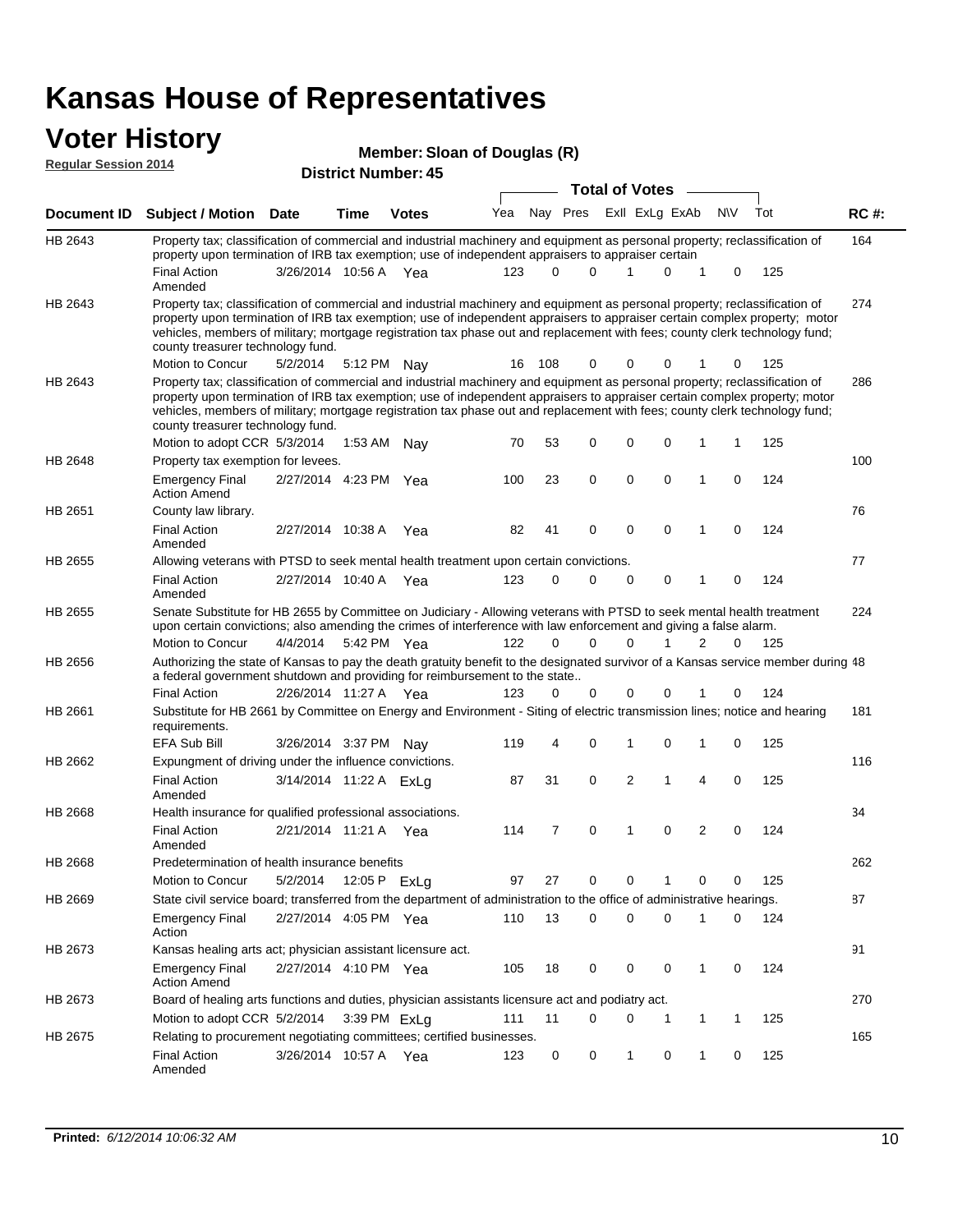### **Voter History**

**Member: Sloan of Douglas (R)** 

| <b>Regular Session 2014</b> |                                                                                                                                                                                                                                                                                                                                                                                                                                                               |                        |         | <b>Member: Sloan of Douglas (R)</b> |     |                |             |                       |             |                |             |     |             |
|-----------------------------|---------------------------------------------------------------------------------------------------------------------------------------------------------------------------------------------------------------------------------------------------------------------------------------------------------------------------------------------------------------------------------------------------------------------------------------------------------------|------------------------|---------|-------------------------------------|-----|----------------|-------------|-----------------------|-------------|----------------|-------------|-----|-------------|
|                             |                                                                                                                                                                                                                                                                                                                                                                                                                                                               |                        |         | <b>District Number: 45</b>          |     |                |             |                       |             |                |             |     |             |
|                             |                                                                                                                                                                                                                                                                                                                                                                                                                                                               |                        |         |                                     |     |                |             | <b>Total of Votes</b> |             |                |             |     |             |
| Document ID                 | <b>Subject / Motion Date</b>                                                                                                                                                                                                                                                                                                                                                                                                                                  |                        | Time    | <b>Votes</b>                        | Yea |                | Nay Pres    | Exll ExLg ExAb        |             |                | <b>NV</b>   | Tot | <b>RC#:</b> |
| HB 2643                     | Property tax; classification of commercial and industrial machinery and equipment as personal property; reclassification of<br>property upon termination of IRB tax exemption; use of independent appraisers to appraiser certain                                                                                                                                                                                                                             |                        |         |                                     |     |                |             |                       |             |                |             |     | 164         |
|                             | <b>Final Action</b><br>Amended                                                                                                                                                                                                                                                                                                                                                                                                                                | 3/26/2014 10:56 A      |         | - Yea                               | 123 | 0              | $\Omega$    | 1                     | $\Omega$    | 1              | 0           | 125 |             |
| HB 2643                     | Property tax; classification of commercial and industrial machinery and equipment as personal property; reclassification of<br>property upon termination of IRB tax exemption; use of independent appraisers to appraiser certain complex property; motor<br>vehicles, members of military; mortgage registration tax phase out and replacement with fees; county clerk technology fund;<br>county treasurer technology fund.                                 |                        |         |                                     |     |                |             |                       |             |                |             |     | 274         |
|                             | Motion to Concur                                                                                                                                                                                                                                                                                                                                                                                                                                              | 5/2/2014               | 5:12 PM | Nav                                 | 16  | 108            | $\mathbf 0$ | $\Omega$              | 0           |                | 0           | 125 |             |
| HB 2643                     | Property tax; classification of commercial and industrial machinery and equipment as personal property; reclassification of<br>property upon termination of IRB tax exemption; use of independent appraisers to appraiser certain complex property; motor<br>vehicles, members of military; mortgage registration tax phase out and replacement with fees; county clerk technology fund;<br>county treasurer technology fund.<br>Motion to adopt CCR 5/3/2014 |                        |         | 1:53 AM Nay                         | 70  | 53             | 0           | 0                     | 0           | 1              | 1           | 125 | 286         |
| HB 2648                     | Property tax exemption for levees.                                                                                                                                                                                                                                                                                                                                                                                                                            |                        |         |                                     |     |                |             |                       |             |                |             |     | 100         |
|                             | <b>Emergency Final</b><br><b>Action Amend</b>                                                                                                                                                                                                                                                                                                                                                                                                                 | 2/27/2014 4:23 PM Yea  |         |                                     | 100 | 23             | 0           | 0                     | 0           | 1              | 0           | 124 |             |
| HB 2651                     | County law library.                                                                                                                                                                                                                                                                                                                                                                                                                                           |                        |         |                                     |     |                |             |                       |             |                |             |     | 76          |
|                             | <b>Final Action</b><br>Amended                                                                                                                                                                                                                                                                                                                                                                                                                                | 2/27/2014 10:38 A      |         | Yea                                 | 82  | 41             | $\mathbf 0$ | $\mathbf 0$           | $\Omega$    | 1              | 0           | 124 |             |
| HB 2655                     | Allowing veterans with PTSD to seek mental health treatment upon certain convictions.                                                                                                                                                                                                                                                                                                                                                                         |                        |         |                                     |     |                |             |                       |             |                |             |     | 77          |
|                             | <b>Final Action</b><br>Amended                                                                                                                                                                                                                                                                                                                                                                                                                                | 2/27/2014 10:40 A      |         | Yea                                 | 123 | 0              | 0           | 0                     | 0           | 1              | 0           | 124 |             |
| HB 2655                     | Senate Substitute for HB 2655 by Committee on Judiciary - Allowing veterans with PTSD to seek mental health treatment<br>upon certain convictions; also amending the crimes of interference with law enforcement and giving a false alarm.                                                                                                                                                                                                                    |                        |         |                                     |     |                |             |                       |             |                |             |     | 224         |
|                             | Motion to Concur                                                                                                                                                                                                                                                                                                                                                                                                                                              | 4/4/2014               |         | 5:42 PM Yea                         | 122 | $\mathbf 0$    | 0           | 0                     | 1           | $\overline{2}$ | 0           | 125 |             |
| HB 2656                     | Authorizing the state of Kansas to pay the death gratuity benefit to the designated survivor of a Kansas service member during 48<br>a federal government shutdown and providing for reimbursement to the state                                                                                                                                                                                                                                               |                        |         |                                     |     |                |             |                       |             |                |             |     |             |
|                             | <b>Final Action</b>                                                                                                                                                                                                                                                                                                                                                                                                                                           | 2/26/2014 11:27 A      |         | Yea                                 | 123 | $\Omega$       | 0           | 0                     | 0           |                | 0           | 124 |             |
| HB 2661                     | Substitute for HB 2661 by Committee on Energy and Environment - Siting of electric transmission lines; notice and hearing<br>requirements.                                                                                                                                                                                                                                                                                                                    |                        |         |                                     |     |                |             |                       |             |                |             |     | 181         |
|                             | <b>EFA Sub Bill</b>                                                                                                                                                                                                                                                                                                                                                                                                                                           | 3/26/2014 3:37 PM Nay  |         |                                     | 119 | 4              | 0           | 1                     | $\Omega$    | 1              | 0           | 125 |             |
| HB 2662                     | Expungment of driving under the influence convictions.<br><b>Final Action</b><br>Amended                                                                                                                                                                                                                                                                                                                                                                      | 3/14/2014 11:22 A ExLg |         |                                     | 87  | 31             | 0           | 2                     | 1           | 4              | $\mathbf 0$ | 125 | 116         |
| HB 2668                     | Health insurance for qualified professional associations.                                                                                                                                                                                                                                                                                                                                                                                                     |                        |         |                                     |     |                |             |                       |             |                |             |     | 34          |
|                             | <b>Final Action</b><br>Amended                                                                                                                                                                                                                                                                                                                                                                                                                                | 2/21/2014 11:21 A      |         | Yea                                 | 114 | $\overline{7}$ | $\mathbf 0$ | 1                     | 0           | $\overline{2}$ | 0           | 124 |             |
| HB 2668                     | Predetermination of health insurance benefits                                                                                                                                                                                                                                                                                                                                                                                                                 |                        |         |                                     |     |                |             |                       |             |                |             |     | 262         |
|                             | Motion to Concur                                                                                                                                                                                                                                                                                                                                                                                                                                              | 5/2/2014               |         | 12:05 P ExLg                        | 97  | 27             | 0           | 0                     | 1           | 0              | 0           | 125 |             |
| HB 2669                     | State civil service board; transferred from the department of administration to the office of administrative hearings.                                                                                                                                                                                                                                                                                                                                        |                        |         |                                     |     |                |             |                       |             |                |             |     | 87          |
|                             | <b>Emergency Final</b><br>Action                                                                                                                                                                                                                                                                                                                                                                                                                              | 2/27/2014 4:05 PM Yea  |         |                                     | 110 | 13             | $\mathbf 0$ | 0                     | $\mathbf 0$ | 1              | 0           | 124 |             |
| HB 2673                     | Kansas healing arts act; physician assistant licensure act.                                                                                                                                                                                                                                                                                                                                                                                                   |                        |         |                                     |     |                |             |                       |             |                |             |     | 91          |
|                             | <b>Emergency Final</b><br><b>Action Amend</b>                                                                                                                                                                                                                                                                                                                                                                                                                 | 2/27/2014 4:10 PM Yea  |         |                                     | 105 | 18             | 0           | 0                     | 0           | $\mathbf{1}$   | 0           | 124 |             |
| HB 2673                     | Board of healing arts functions and duties, physician assistants licensure act and podiatry act.                                                                                                                                                                                                                                                                                                                                                              |                        |         |                                     |     |                |             |                       |             |                |             |     | 270         |
|                             | Motion to adopt CCR 5/2/2014                                                                                                                                                                                                                                                                                                                                                                                                                                  |                        |         | 3:39 PM ExLg                        | 111 | 11             | 0           | 0                     | 1           | 1              | 1           | 125 |             |
| HB 2675                     | Relating to procurement negotiating committees; certified businesses.                                                                                                                                                                                                                                                                                                                                                                                         |                        |         |                                     |     |                |             |                       |             |                |             |     | 165         |
|                             | <b>Final Action</b><br>Amended                                                                                                                                                                                                                                                                                                                                                                                                                                | 3/26/2014 10:57 A Yea  |         |                                     | 123 | 0              | 0           | 1                     | 0           | 1              | 0           | 125 |             |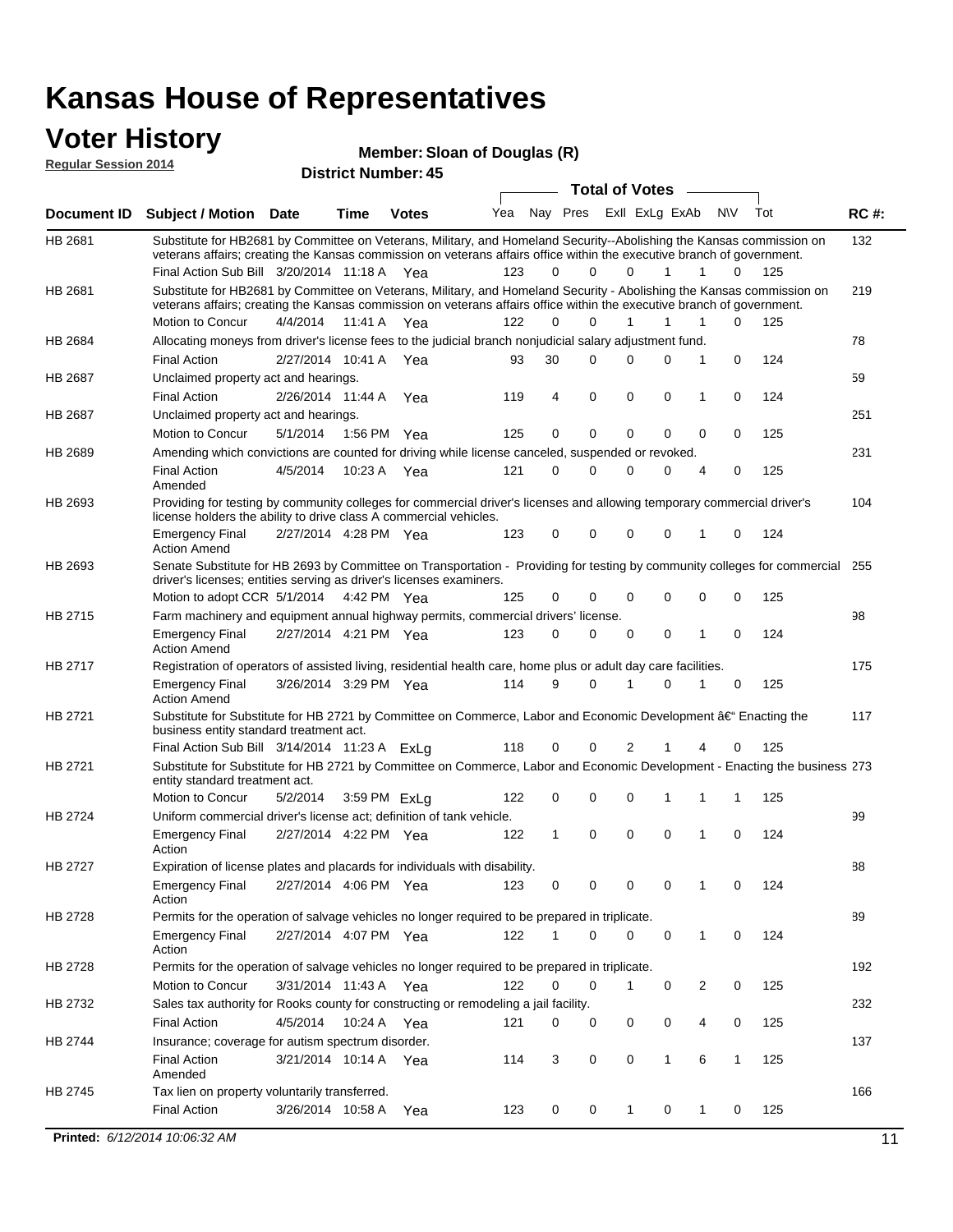#### **Voter History Regular Session 2014**

**Member: Sloan of Douglas (R)** 

| negului ocssion zo i <del>1</del> |                                                                                                                                                                                                                                                                                               |                       |             | <b>District Number: 45</b> |     |          |                         |                  |   |   |                  |     |             |
|-----------------------------------|-----------------------------------------------------------------------------------------------------------------------------------------------------------------------------------------------------------------------------------------------------------------------------------------------|-----------------------|-------------|----------------------------|-----|----------|-------------------------|------------------|---|---|------------------|-----|-------------|
|                                   |                                                                                                                                                                                                                                                                                               |                       |             |                            |     |          |                         | Total of Votes – |   |   |                  |     |             |
| <b>Document ID</b>                | <b>Subject / Motion Date</b>                                                                                                                                                                                                                                                                  |                       | <b>Time</b> | <b>Votes</b>               | Yea |          | Nay Pres ExII ExLg ExAb |                  |   |   | N\V              | Tot | <b>RC#:</b> |
| HB 2681                           | Substitute for HB2681 by Committee on Veterans, Military, and Homeland Security--Abolishing the Kansas commission on<br>veterans affairs; creating the Kansas commission on veterans affairs office within the executive branch of government.<br>Final Action Sub Bill 3/20/2014 11:18 A Yea |                       |             |                            | 123 | 0        | 0                       | $\Omega$         |   | 1 | 1<br>$\Omega$    | 125 | 132         |
|                                   |                                                                                                                                                                                                                                                                                               |                       |             |                            |     |          |                         |                  |   |   |                  |     |             |
| HB 2681                           | Substitute for HB2681 by Committee on Veterans, Military, and Homeland Security - Abolishing the Kansas commission on<br>veterans affairs; creating the Kansas commission on veterans affairs office within the executive branch of government.                                               |                       |             |                            |     |          |                         |                  |   |   |                  |     | 219         |
|                                   | Motion to Concur                                                                                                                                                                                                                                                                              | 4/4/2014              | 11:41 A     | Yea                        | 122 | $\Omega$ | $\Omega$                | $\mathbf{1}$     |   | 1 | 0<br>1           | 125 |             |
| HB 2684                           | Allocating moneys from driver's license fees to the judicial branch nonjudicial salary adjustment fund.                                                                                                                                                                                       |                       |             |                            |     |          |                         |                  |   |   |                  |     | 78          |
|                                   | <b>Final Action</b>                                                                                                                                                                                                                                                                           | 2/27/2014 10:41 A Yea |             |                            | 93  | 30       | 0                       | $\Omega$         |   | 0 | 1<br>0           | 124 |             |
| HB 2687                           | Unclaimed property act and hearings.                                                                                                                                                                                                                                                          |                       |             |                            |     |          |                         |                  |   |   |                  |     | 59          |
|                                   | <b>Final Action</b>                                                                                                                                                                                                                                                                           | 2/26/2014 11:44 A     |             | Yea                        | 119 | 4        | $\mathbf 0$             | 0                |   | 0 | 0<br>1           | 124 |             |
| HB 2687                           | Unclaimed property act and hearings.                                                                                                                                                                                                                                                          |                       |             |                            |     |          |                         |                  |   |   |                  |     | 251         |
|                                   | Motion to Concur                                                                                                                                                                                                                                                                              | 5/1/2014              |             | 1:56 PM Yea                | 125 | 0        | 0                       | 0                |   | 0 | 0<br>0           | 125 |             |
| HB 2689                           | Amending which convictions are counted for driving while license canceled, suspended or revoked.                                                                                                                                                                                              |                       |             |                            |     |          |                         |                  |   |   |                  |     | 231         |
|                                   | <b>Final Action</b><br>Amended                                                                                                                                                                                                                                                                | 4/5/2014              | 10:23 A     | Yea                        | 121 | 0        | 0                       | $\Omega$         |   | 0 | 0<br>4           | 125 |             |
| HB 2693                           | Providing for testing by community colleges for commercial driver's licenses and allowing temporary commercial driver's<br>license holders the ability to drive class A commercial vehicles.                                                                                                  |                       |             |                            |     |          |                         |                  |   |   |                  |     | 104         |
|                                   | <b>Emergency Final</b><br><b>Action Amend</b>                                                                                                                                                                                                                                                 | 2/27/2014 4:28 PM Yea |             |                            | 123 | 0        | 0                       | 0                |   | 0 | 0<br>1           | 124 |             |
| HB 2693                           | Senate Substitute for HB 2693 by Committee on Transportation - Providing for testing by community colleges for commercial<br>driver's licenses; entities serving as driver's licenses examiners.                                                                                              |                       |             |                            |     |          |                         |                  |   |   |                  |     | 255         |
|                                   | Motion to adopt CCR 5/1/2014 4:42 PM Yea                                                                                                                                                                                                                                                      |                       |             |                            | 125 | 0        | 0                       | 0                |   | 0 | 0<br>0           | 125 |             |
| HB 2715                           | Farm machinery and equipment annual highway permits, commercial drivers' license.                                                                                                                                                                                                             |                       |             |                            |     |          |                         |                  |   |   |                  |     | 98          |
|                                   | <b>Emergency Final</b><br><b>Action Amend</b>                                                                                                                                                                                                                                                 | 2/27/2014 4:21 PM Yea |             |                            | 123 | 0        | 0                       | 0                |   | 0 | 1<br>0           | 124 |             |
| HB 2717                           | Registration of operators of assisted living, residential health care, home plus or adult day care facilities.                                                                                                                                                                                |                       |             |                            |     |          |                         |                  |   |   |                  |     | 175         |
|                                   | <b>Emergency Final</b><br><b>Action Amend</b>                                                                                                                                                                                                                                                 | 3/26/2014 3:29 PM Yea |             |                            | 114 | 9        | 0                       |                  |   | 0 | 1<br>0           | 125 |             |
| HB 2721                           | Substitute for Substitute for HB 2721 by Committee on Commerce, Labor and Economic Development †Enacting the<br>business entity standard treatment act.                                                                                                                                       |                       |             |                            |     |          |                         |                  |   |   |                  |     | 117         |
|                                   | Final Action Sub Bill 3/14/2014 11:23 A ExLg                                                                                                                                                                                                                                                  |                       |             |                            | 118 | 0        | 0                       | 2                |   |   | 4<br>0           | 125 |             |
| HB 2721                           | Substitute for Substitute for HB 2721 by Committee on Commerce, Labor and Economic Development - Enacting the business 273<br>entity standard treatment act.                                                                                                                                  |                       |             |                            |     |          |                         |                  |   |   |                  |     |             |
|                                   | Motion to Concur                                                                                                                                                                                                                                                                              | 5/2/2014              |             | 3:59 PM ExLg               | 122 | 0        | 0                       | $\mathbf 0$      | 1 |   | 1<br>1           | 125 |             |
| HB 2724                           | Uniform commercial driver's license act; definition of tank vehicle.<br><b>Emergency Final</b>                                                                                                                                                                                                | 2/27/2014 4:22 PM Yea |             |                            | 122 | 1        | 0                       | 0                |   | 0 | 0<br>1           | 124 | 99          |
|                                   | Action                                                                                                                                                                                                                                                                                        |                       |             |                            |     |          |                         |                  |   |   |                  |     |             |
| HB 2727                           | Expiration of license plates and placards for individuals with disability.                                                                                                                                                                                                                    |                       |             |                            |     |          |                         |                  |   |   |                  |     | 88          |
|                                   | <b>Emergency Final</b><br>Action                                                                                                                                                                                                                                                              | 2/27/2014 4:06 PM Yea |             |                            | 123 | 0        | 0                       | 0                |   | 0 | 0<br>1           | 124 |             |
| HB 2728                           | Permits for the operation of salvage vehicles no longer required to be prepared in triplicate.                                                                                                                                                                                                |                       |             |                            |     |          |                         |                  |   |   |                  |     | 89          |
|                                   | <b>Emergency Final</b><br>Action                                                                                                                                                                                                                                                              | 2/27/2014 4:07 PM Yea |             |                            | 122 | 1        | 0                       | $\Omega$         |   | 0 | 1<br>0           | 124 |             |
| HB 2728                           | Permits for the operation of salvage vehicles no longer required to be prepared in triplicate.                                                                                                                                                                                                |                       |             |                            |     |          |                         |                  |   |   |                  |     | 192         |
|                                   | <b>Motion to Concur</b>                                                                                                                                                                                                                                                                       | 3/31/2014 11:43 A Yea |             |                            | 122 | 0        | 0                       | $\mathbf 1$      |   | 0 | 2<br>0           | 125 |             |
| HB 2732                           | Sales tax authority for Rooks county for constructing or remodeling a jail facility.                                                                                                                                                                                                          |                       |             |                            |     |          |                         |                  |   |   |                  |     | 232         |
|                                   | <b>Final Action</b>                                                                                                                                                                                                                                                                           | 4/5/2014              |             | 10:24 A Yea                | 121 | 0        | 0                       | 0                |   | 0 | 4<br>0           | 125 |             |
| HB 2744                           | Insurance; coverage for autism spectrum disorder.                                                                                                                                                                                                                                             |                       |             |                            |     |          |                         |                  |   |   |                  |     | 137         |
|                                   | <b>Final Action</b><br>Amended                                                                                                                                                                                                                                                                | 3/21/2014 10:14 A Yea |             |                            | 114 | 3        | $\mathbf 0$             | 0                |   | 1 | 6<br>$\mathbf 1$ | 125 |             |
| HB 2745                           | Tax lien on property voluntarily transferred.                                                                                                                                                                                                                                                 |                       |             |                            |     |          |                         |                  |   |   |                  |     | 166         |
|                                   | <b>Final Action</b>                                                                                                                                                                                                                                                                           | 3/26/2014 10:58 A     |             | Yea                        | 123 | 0        | 0                       | $\mathbf{1}$     |   | 0 | 0<br>1           | 125 |             |
|                                   | Printed: 6/12/2014 10:06:32 AM                                                                                                                                                                                                                                                                |                       |             |                            |     |          |                         |                  |   |   |                  |     | 11          |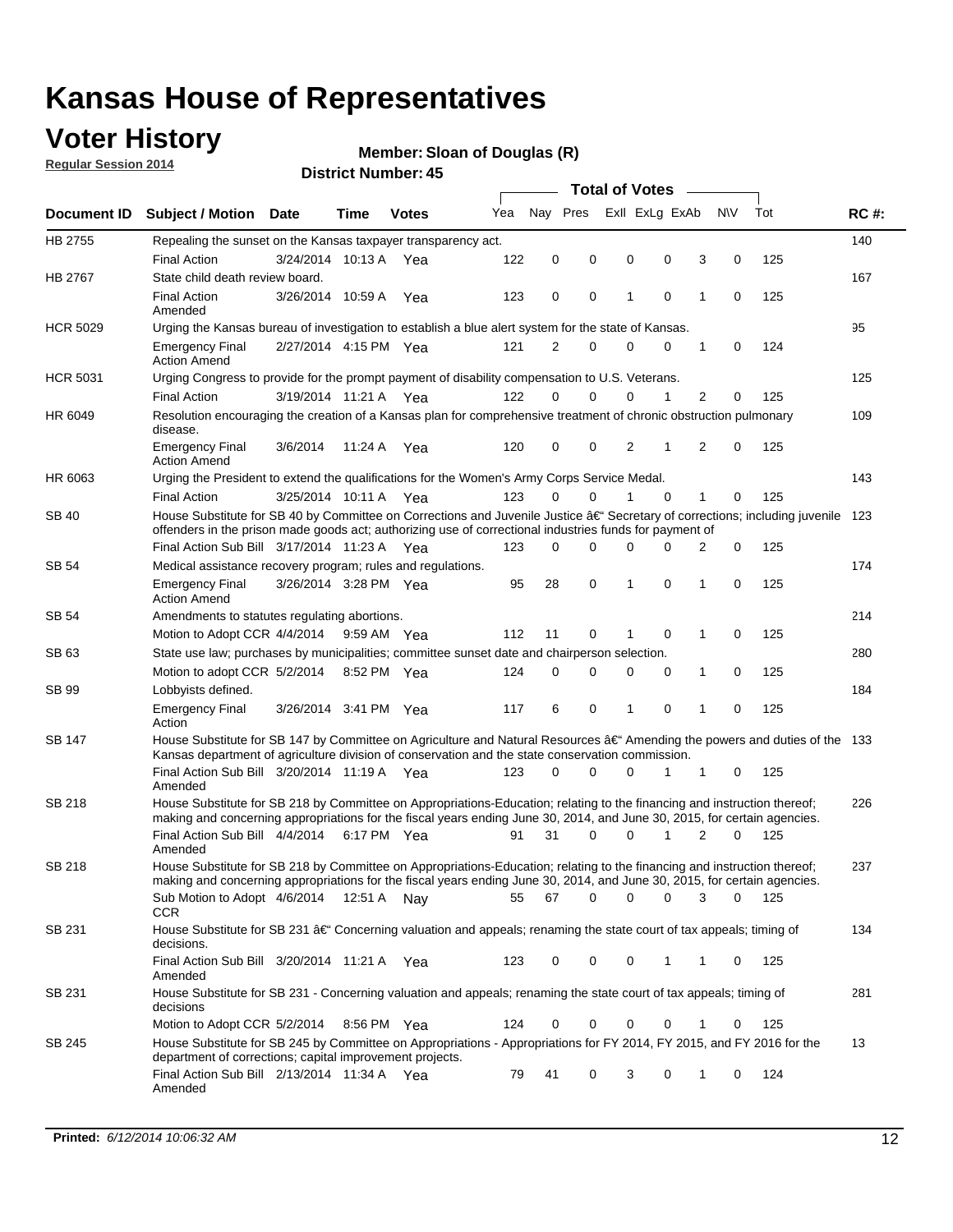## **Voter History**

**Regular Session 2014**

#### **Member: Sloan of Douglas (R)**

| Nav Pres<br>Exll ExLg ExAb<br><b>NV</b><br>Tot<br>Yea<br><b>RC#:</b><br>Document ID Subject / Motion Date<br><b>Votes</b><br>Time<br>HB 2755<br>140<br>Repealing the sunset on the Kansas taxpayer transparency act.<br>0<br>0<br>3<br>0<br>125<br><b>Final Action</b><br>3/24/2014 10:13 A<br>122<br>0<br>0<br>Yea<br>State child death review board.<br>167<br><b>HB 2767</b><br><b>Final Action</b><br>0<br>1<br>0<br>1<br>125<br>3/26/2014 10:59 A<br>123<br>0<br>0<br>Yea<br>Amended<br><b>HCR 5029</b><br>95<br>Urging the Kansas bureau of investigation to establish a blue alert system for the state of Kansas.<br>2/27/2014 4:15 PM Yea<br>121<br>2<br>0<br>0<br>0<br>1<br>0<br>124<br><b>Emergency Final</b><br><b>Action Amend</b><br><b>HCR 5031</b><br>Urging Congress to provide for the prompt payment of disability compensation to U.S. Veterans.<br>125<br>122<br>$\Omega$<br>$\Omega$<br>0<br>1<br>2<br>125<br><b>Final Action</b><br>3/19/2014 11:21 A Yea<br>0<br>HR 6049<br>Resolution encouraging the creation of a Kansas plan for comprehensive treatment of chronic obstruction pulmonary<br>109<br>disease.<br>120<br>0<br>0<br>2<br>1<br>2<br>$\mathbf 0$<br>125<br><b>Emergency Final</b><br>3/6/2014<br>11:24 A<br>Yea<br><b>Action Amend</b><br>143<br>HR 6063<br>Urging the President to extend the qualifications for the Women's Army Corps Service Medal.<br>123<br>$\Omega$<br>0<br>$\Omega$<br>1<br>125<br><b>Final Action</b><br>3/25/2014 10:11 A Yea<br>1<br>0<br>House Substitute for SB 40 by Committee on Corrections and Juvenile Justice †Secretary of corrections; including juvenile<br>SB 40<br>123<br>offenders in the prison made goods act; authorizing use of correctional industries funds for payment of<br>Final Action Sub Bill 3/17/2014 11:23 A Yea<br>0<br>0<br>125<br>123<br>0<br>0<br>0<br>2<br>174<br>SB 54<br>Medical assistance recovery program; rules and regulations.<br>3/26/2014 3:28 PM Yea<br>28<br>0<br>1<br>0<br>1<br>0<br>125<br><b>Emergency Final</b><br>95<br><b>Action Amend</b><br>214<br>SB 54<br>Amendments to statutes regulating abortions.<br>112<br>11<br>0<br>0<br>1<br>0<br>125<br>Motion to Adopt CCR 4/4/2014 9:59 AM Yea<br>State use law; purchases by municipalities; committee sunset date and chairperson selection.<br>280<br>SB 63<br>Motion to adopt CCR 5/2/2014<br>$\mathbf 0$<br>0<br>1<br>0<br>125<br>8:52 PM Yea<br>124<br>0<br>0<br>184<br>SB 99<br>Lobbyists defined.<br>0<br>117<br>6<br>0<br>1<br>$\mathbf 0$<br>125<br><b>Emergency Final</b><br>3/26/2014 3:41 PM Yea<br>1<br>Action<br>House Substitute for SB 147 by Committee on Agriculture and Natural Resources †Amending the powers and duties of the 133<br>SB 147<br>Kansas department of agriculture division of conservation and the state conservation commission.<br>Final Action Sub Bill 3/20/2014 11:19 A Yea<br>0<br>125<br>123<br>0<br>0<br>1<br>1<br>0<br>Amended<br><b>SB 218</b><br>House Substitute for SB 218 by Committee on Appropriations-Education; relating to the financing and instruction thereof;<br>226<br>making and concerning appropriations for the fiscal years ending June 30, 2014, and June 30, 2015, for certain agencies.<br>Final Action Sub Bill 4/4/2014 6:17 PM Yea<br>31<br>$\Omega$<br>0<br>1<br>2<br>$\Omega$<br>125<br>91<br>Amended<br><b>SB 218</b><br>House Substitute for SB 218 by Committee on Appropriations-Education; relating to the financing and instruction thereof;<br>237<br>making and concerning appropriations for the fiscal years ending June 30, 2014, and June 30, 2015, for certain agencies.<br>67<br>0<br>0<br>0<br>0<br>Sub Motion to Adopt 4/6/2014 12:51 A Nay<br>55<br>3<br>- 125<br>CCR<br>134<br>SB 231<br>House Substitute for SB 231 †Concerning valuation and appeals; renaming the state court of tax appeals; timing of<br>decisions.<br>Final Action Sub Bill 3/20/2014 11:21 A Yea<br>123<br>0<br>0<br>0<br>125<br>1<br>1<br>0<br>Amended<br>SB 231<br>House Substitute for SB 231 - Concerning valuation and appeals; renaming the state court of tax appeals; timing of<br>281<br>decisions<br>125<br>Motion to Adopt CCR 5/2/2014 8:56 PM Yea<br>124<br>0<br>0<br>0<br>0<br>1<br>0<br>House Substitute for SB 245 by Committee on Appropriations - Appropriations for FY 2014, FY 2015, and FY 2016 for the<br>13<br>SB 245<br>department of corrections; capital improvement projects.<br>Final Action Sub Bill 2/13/2014 11:34 A Yea<br>79<br>41<br>0<br>3<br>0<br>0<br>124<br>1<br>Amended |  |  |  |  |  |  |  |  | <b>Total of Votes</b> |  |  |  |  |  |
|---------------------------------------------------------------------------------------------------------------------------------------------------------------------------------------------------------------------------------------------------------------------------------------------------------------------------------------------------------------------------------------------------------------------------------------------------------------------------------------------------------------------------------------------------------------------------------------------------------------------------------------------------------------------------------------------------------------------------------------------------------------------------------------------------------------------------------------------------------------------------------------------------------------------------------------------------------------------------------------------------------------------------------------------------------------------------------------------------------------------------------------------------------------------------------------------------------------------------------------------------------------------------------------------------------------------------------------------------------------------------------------------------------------------------------------------------------------------------------------------------------------------------------------------------------------------------------------------------------------------------------------------------------------------------------------------------------------------------------------------------------------------------------------------------------------------------------------------------------------------------------------------------------------------------------------------------------------------------------------------------------------------------------------------------------------------------------------------------------------------------------------------------------------------------------------------------------------------------------------------------------------------------------------------------------------------------------------------------------------------------------------------------------------------------------------------------------------------------------------------------------------------------------------------------------------------------------------------------------------------------------------------------------------------------------------------------------------------------------------------------------------------------------------------------------------------------------------------------------------------------------------------------------------------------------------------------------------------------------------------------------------------------------------------------------------------------------------------------------------------------------------------------------------------------------------------------------------------------------------------------------------------------------------------------------------------------------------------------------------------------------------------------------------------------------------------------------------------------------------------------------------------------------------------------------------------------------------------------------------------------------------------------------------------------------------------------------------------------------------------------------------------------------------------------------------------------------------------------------------------------------------------------------------------------------------------------------------------------------------------------------------------------------------------------------------------------------------------------------------------------------------------------------------------------------------------------------------------------------------------------------------------------------------------------------------------------------------------------------------------------------------------------------------------------------------------------------------------------------------------------------------------------------------------------------|--|--|--|--|--|--|--|--|-----------------------|--|--|--|--|--|
|                                                                                                                                                                                                                                                                                                                                                                                                                                                                                                                                                                                                                                                                                                                                                                                                                                                                                                                                                                                                                                                                                                                                                                                                                                                                                                                                                                                                                                                                                                                                                                                                                                                                                                                                                                                                                                                                                                                                                                                                                                                                                                                                                                                                                                                                                                                                                                                                                                                                                                                                                                                                                                                                                                                                                                                                                                                                                                                                                                                                                                                                                                                                                                                                                                                                                                                                                                                                                                                                                                                                                                                                                                                                                                                                                                                                                                                                                                                                                                                                                                                                                                                                                                                                                                                                                                                                                                                                                                                                                                                                                         |  |  |  |  |  |  |  |  |                       |  |  |  |  |  |
|                                                                                                                                                                                                                                                                                                                                                                                                                                                                                                                                                                                                                                                                                                                                                                                                                                                                                                                                                                                                                                                                                                                                                                                                                                                                                                                                                                                                                                                                                                                                                                                                                                                                                                                                                                                                                                                                                                                                                                                                                                                                                                                                                                                                                                                                                                                                                                                                                                                                                                                                                                                                                                                                                                                                                                                                                                                                                                                                                                                                                                                                                                                                                                                                                                                                                                                                                                                                                                                                                                                                                                                                                                                                                                                                                                                                                                                                                                                                                                                                                                                                                                                                                                                                                                                                                                                                                                                                                                                                                                                                                         |  |  |  |  |  |  |  |  |                       |  |  |  |  |  |
|                                                                                                                                                                                                                                                                                                                                                                                                                                                                                                                                                                                                                                                                                                                                                                                                                                                                                                                                                                                                                                                                                                                                                                                                                                                                                                                                                                                                                                                                                                                                                                                                                                                                                                                                                                                                                                                                                                                                                                                                                                                                                                                                                                                                                                                                                                                                                                                                                                                                                                                                                                                                                                                                                                                                                                                                                                                                                                                                                                                                                                                                                                                                                                                                                                                                                                                                                                                                                                                                                                                                                                                                                                                                                                                                                                                                                                                                                                                                                                                                                                                                                                                                                                                                                                                                                                                                                                                                                                                                                                                                                         |  |  |  |  |  |  |  |  |                       |  |  |  |  |  |
|                                                                                                                                                                                                                                                                                                                                                                                                                                                                                                                                                                                                                                                                                                                                                                                                                                                                                                                                                                                                                                                                                                                                                                                                                                                                                                                                                                                                                                                                                                                                                                                                                                                                                                                                                                                                                                                                                                                                                                                                                                                                                                                                                                                                                                                                                                                                                                                                                                                                                                                                                                                                                                                                                                                                                                                                                                                                                                                                                                                                                                                                                                                                                                                                                                                                                                                                                                                                                                                                                                                                                                                                                                                                                                                                                                                                                                                                                                                                                                                                                                                                                                                                                                                                                                                                                                                                                                                                                                                                                                                                                         |  |  |  |  |  |  |  |  |                       |  |  |  |  |  |
|                                                                                                                                                                                                                                                                                                                                                                                                                                                                                                                                                                                                                                                                                                                                                                                                                                                                                                                                                                                                                                                                                                                                                                                                                                                                                                                                                                                                                                                                                                                                                                                                                                                                                                                                                                                                                                                                                                                                                                                                                                                                                                                                                                                                                                                                                                                                                                                                                                                                                                                                                                                                                                                                                                                                                                                                                                                                                                                                                                                                                                                                                                                                                                                                                                                                                                                                                                                                                                                                                                                                                                                                                                                                                                                                                                                                                                                                                                                                                                                                                                                                                                                                                                                                                                                                                                                                                                                                                                                                                                                                                         |  |  |  |  |  |  |  |  |                       |  |  |  |  |  |
|                                                                                                                                                                                                                                                                                                                                                                                                                                                                                                                                                                                                                                                                                                                                                                                                                                                                                                                                                                                                                                                                                                                                                                                                                                                                                                                                                                                                                                                                                                                                                                                                                                                                                                                                                                                                                                                                                                                                                                                                                                                                                                                                                                                                                                                                                                                                                                                                                                                                                                                                                                                                                                                                                                                                                                                                                                                                                                                                                                                                                                                                                                                                                                                                                                                                                                                                                                                                                                                                                                                                                                                                                                                                                                                                                                                                                                                                                                                                                                                                                                                                                                                                                                                                                                                                                                                                                                                                                                                                                                                                                         |  |  |  |  |  |  |  |  |                       |  |  |  |  |  |
|                                                                                                                                                                                                                                                                                                                                                                                                                                                                                                                                                                                                                                                                                                                                                                                                                                                                                                                                                                                                                                                                                                                                                                                                                                                                                                                                                                                                                                                                                                                                                                                                                                                                                                                                                                                                                                                                                                                                                                                                                                                                                                                                                                                                                                                                                                                                                                                                                                                                                                                                                                                                                                                                                                                                                                                                                                                                                                                                                                                                                                                                                                                                                                                                                                                                                                                                                                                                                                                                                                                                                                                                                                                                                                                                                                                                                                                                                                                                                                                                                                                                                                                                                                                                                                                                                                                                                                                                                                                                                                                                                         |  |  |  |  |  |  |  |  |                       |  |  |  |  |  |
|                                                                                                                                                                                                                                                                                                                                                                                                                                                                                                                                                                                                                                                                                                                                                                                                                                                                                                                                                                                                                                                                                                                                                                                                                                                                                                                                                                                                                                                                                                                                                                                                                                                                                                                                                                                                                                                                                                                                                                                                                                                                                                                                                                                                                                                                                                                                                                                                                                                                                                                                                                                                                                                                                                                                                                                                                                                                                                                                                                                                                                                                                                                                                                                                                                                                                                                                                                                                                                                                                                                                                                                                                                                                                                                                                                                                                                                                                                                                                                                                                                                                                                                                                                                                                                                                                                                                                                                                                                                                                                                                                         |  |  |  |  |  |  |  |  |                       |  |  |  |  |  |
|                                                                                                                                                                                                                                                                                                                                                                                                                                                                                                                                                                                                                                                                                                                                                                                                                                                                                                                                                                                                                                                                                                                                                                                                                                                                                                                                                                                                                                                                                                                                                                                                                                                                                                                                                                                                                                                                                                                                                                                                                                                                                                                                                                                                                                                                                                                                                                                                                                                                                                                                                                                                                                                                                                                                                                                                                                                                                                                                                                                                                                                                                                                                                                                                                                                                                                                                                                                                                                                                                                                                                                                                                                                                                                                                                                                                                                                                                                                                                                                                                                                                                                                                                                                                                                                                                                                                                                                                                                                                                                                                                         |  |  |  |  |  |  |  |  |                       |  |  |  |  |  |
|                                                                                                                                                                                                                                                                                                                                                                                                                                                                                                                                                                                                                                                                                                                                                                                                                                                                                                                                                                                                                                                                                                                                                                                                                                                                                                                                                                                                                                                                                                                                                                                                                                                                                                                                                                                                                                                                                                                                                                                                                                                                                                                                                                                                                                                                                                                                                                                                                                                                                                                                                                                                                                                                                                                                                                                                                                                                                                                                                                                                                                                                                                                                                                                                                                                                                                                                                                                                                                                                                                                                                                                                                                                                                                                                                                                                                                                                                                                                                                                                                                                                                                                                                                                                                                                                                                                                                                                                                                                                                                                                                         |  |  |  |  |  |  |  |  |                       |  |  |  |  |  |
|                                                                                                                                                                                                                                                                                                                                                                                                                                                                                                                                                                                                                                                                                                                                                                                                                                                                                                                                                                                                                                                                                                                                                                                                                                                                                                                                                                                                                                                                                                                                                                                                                                                                                                                                                                                                                                                                                                                                                                                                                                                                                                                                                                                                                                                                                                                                                                                                                                                                                                                                                                                                                                                                                                                                                                                                                                                                                                                                                                                                                                                                                                                                                                                                                                                                                                                                                                                                                                                                                                                                                                                                                                                                                                                                                                                                                                                                                                                                                                                                                                                                                                                                                                                                                                                                                                                                                                                                                                                                                                                                                         |  |  |  |  |  |  |  |  |                       |  |  |  |  |  |
|                                                                                                                                                                                                                                                                                                                                                                                                                                                                                                                                                                                                                                                                                                                                                                                                                                                                                                                                                                                                                                                                                                                                                                                                                                                                                                                                                                                                                                                                                                                                                                                                                                                                                                                                                                                                                                                                                                                                                                                                                                                                                                                                                                                                                                                                                                                                                                                                                                                                                                                                                                                                                                                                                                                                                                                                                                                                                                                                                                                                                                                                                                                                                                                                                                                                                                                                                                                                                                                                                                                                                                                                                                                                                                                                                                                                                                                                                                                                                                                                                                                                                                                                                                                                                                                                                                                                                                                                                                                                                                                                                         |  |  |  |  |  |  |  |  |                       |  |  |  |  |  |
|                                                                                                                                                                                                                                                                                                                                                                                                                                                                                                                                                                                                                                                                                                                                                                                                                                                                                                                                                                                                                                                                                                                                                                                                                                                                                                                                                                                                                                                                                                                                                                                                                                                                                                                                                                                                                                                                                                                                                                                                                                                                                                                                                                                                                                                                                                                                                                                                                                                                                                                                                                                                                                                                                                                                                                                                                                                                                                                                                                                                                                                                                                                                                                                                                                                                                                                                                                                                                                                                                                                                                                                                                                                                                                                                                                                                                                                                                                                                                                                                                                                                                                                                                                                                                                                                                                                                                                                                                                                                                                                                                         |  |  |  |  |  |  |  |  |                       |  |  |  |  |  |
|                                                                                                                                                                                                                                                                                                                                                                                                                                                                                                                                                                                                                                                                                                                                                                                                                                                                                                                                                                                                                                                                                                                                                                                                                                                                                                                                                                                                                                                                                                                                                                                                                                                                                                                                                                                                                                                                                                                                                                                                                                                                                                                                                                                                                                                                                                                                                                                                                                                                                                                                                                                                                                                                                                                                                                                                                                                                                                                                                                                                                                                                                                                                                                                                                                                                                                                                                                                                                                                                                                                                                                                                                                                                                                                                                                                                                                                                                                                                                                                                                                                                                                                                                                                                                                                                                                                                                                                                                                                                                                                                                         |  |  |  |  |  |  |  |  |                       |  |  |  |  |  |
|                                                                                                                                                                                                                                                                                                                                                                                                                                                                                                                                                                                                                                                                                                                                                                                                                                                                                                                                                                                                                                                                                                                                                                                                                                                                                                                                                                                                                                                                                                                                                                                                                                                                                                                                                                                                                                                                                                                                                                                                                                                                                                                                                                                                                                                                                                                                                                                                                                                                                                                                                                                                                                                                                                                                                                                                                                                                                                                                                                                                                                                                                                                                                                                                                                                                                                                                                                                                                                                                                                                                                                                                                                                                                                                                                                                                                                                                                                                                                                                                                                                                                                                                                                                                                                                                                                                                                                                                                                                                                                                                                         |  |  |  |  |  |  |  |  |                       |  |  |  |  |  |
|                                                                                                                                                                                                                                                                                                                                                                                                                                                                                                                                                                                                                                                                                                                                                                                                                                                                                                                                                                                                                                                                                                                                                                                                                                                                                                                                                                                                                                                                                                                                                                                                                                                                                                                                                                                                                                                                                                                                                                                                                                                                                                                                                                                                                                                                                                                                                                                                                                                                                                                                                                                                                                                                                                                                                                                                                                                                                                                                                                                                                                                                                                                                                                                                                                                                                                                                                                                                                                                                                                                                                                                                                                                                                                                                                                                                                                                                                                                                                                                                                                                                                                                                                                                                                                                                                                                                                                                                                                                                                                                                                         |  |  |  |  |  |  |  |  |                       |  |  |  |  |  |
|                                                                                                                                                                                                                                                                                                                                                                                                                                                                                                                                                                                                                                                                                                                                                                                                                                                                                                                                                                                                                                                                                                                                                                                                                                                                                                                                                                                                                                                                                                                                                                                                                                                                                                                                                                                                                                                                                                                                                                                                                                                                                                                                                                                                                                                                                                                                                                                                                                                                                                                                                                                                                                                                                                                                                                                                                                                                                                                                                                                                                                                                                                                                                                                                                                                                                                                                                                                                                                                                                                                                                                                                                                                                                                                                                                                                                                                                                                                                                                                                                                                                                                                                                                                                                                                                                                                                                                                                                                                                                                                                                         |  |  |  |  |  |  |  |  |                       |  |  |  |  |  |
|                                                                                                                                                                                                                                                                                                                                                                                                                                                                                                                                                                                                                                                                                                                                                                                                                                                                                                                                                                                                                                                                                                                                                                                                                                                                                                                                                                                                                                                                                                                                                                                                                                                                                                                                                                                                                                                                                                                                                                                                                                                                                                                                                                                                                                                                                                                                                                                                                                                                                                                                                                                                                                                                                                                                                                                                                                                                                                                                                                                                                                                                                                                                                                                                                                                                                                                                                                                                                                                                                                                                                                                                                                                                                                                                                                                                                                                                                                                                                                                                                                                                                                                                                                                                                                                                                                                                                                                                                                                                                                                                                         |  |  |  |  |  |  |  |  |                       |  |  |  |  |  |
|                                                                                                                                                                                                                                                                                                                                                                                                                                                                                                                                                                                                                                                                                                                                                                                                                                                                                                                                                                                                                                                                                                                                                                                                                                                                                                                                                                                                                                                                                                                                                                                                                                                                                                                                                                                                                                                                                                                                                                                                                                                                                                                                                                                                                                                                                                                                                                                                                                                                                                                                                                                                                                                                                                                                                                                                                                                                                                                                                                                                                                                                                                                                                                                                                                                                                                                                                                                                                                                                                                                                                                                                                                                                                                                                                                                                                                                                                                                                                                                                                                                                                                                                                                                                                                                                                                                                                                                                                                                                                                                                                         |  |  |  |  |  |  |  |  |                       |  |  |  |  |  |
|                                                                                                                                                                                                                                                                                                                                                                                                                                                                                                                                                                                                                                                                                                                                                                                                                                                                                                                                                                                                                                                                                                                                                                                                                                                                                                                                                                                                                                                                                                                                                                                                                                                                                                                                                                                                                                                                                                                                                                                                                                                                                                                                                                                                                                                                                                                                                                                                                                                                                                                                                                                                                                                                                                                                                                                                                                                                                                                                                                                                                                                                                                                                                                                                                                                                                                                                                                                                                                                                                                                                                                                                                                                                                                                                                                                                                                                                                                                                                                                                                                                                                                                                                                                                                                                                                                                                                                                                                                                                                                                                                         |  |  |  |  |  |  |  |  |                       |  |  |  |  |  |
|                                                                                                                                                                                                                                                                                                                                                                                                                                                                                                                                                                                                                                                                                                                                                                                                                                                                                                                                                                                                                                                                                                                                                                                                                                                                                                                                                                                                                                                                                                                                                                                                                                                                                                                                                                                                                                                                                                                                                                                                                                                                                                                                                                                                                                                                                                                                                                                                                                                                                                                                                                                                                                                                                                                                                                                                                                                                                                                                                                                                                                                                                                                                                                                                                                                                                                                                                                                                                                                                                                                                                                                                                                                                                                                                                                                                                                                                                                                                                                                                                                                                                                                                                                                                                                                                                                                                                                                                                                                                                                                                                         |  |  |  |  |  |  |  |  |                       |  |  |  |  |  |
|                                                                                                                                                                                                                                                                                                                                                                                                                                                                                                                                                                                                                                                                                                                                                                                                                                                                                                                                                                                                                                                                                                                                                                                                                                                                                                                                                                                                                                                                                                                                                                                                                                                                                                                                                                                                                                                                                                                                                                                                                                                                                                                                                                                                                                                                                                                                                                                                                                                                                                                                                                                                                                                                                                                                                                                                                                                                                                                                                                                                                                                                                                                                                                                                                                                                                                                                                                                                                                                                                                                                                                                                                                                                                                                                                                                                                                                                                                                                                                                                                                                                                                                                                                                                                                                                                                                                                                                                                                                                                                                                                         |  |  |  |  |  |  |  |  |                       |  |  |  |  |  |
|                                                                                                                                                                                                                                                                                                                                                                                                                                                                                                                                                                                                                                                                                                                                                                                                                                                                                                                                                                                                                                                                                                                                                                                                                                                                                                                                                                                                                                                                                                                                                                                                                                                                                                                                                                                                                                                                                                                                                                                                                                                                                                                                                                                                                                                                                                                                                                                                                                                                                                                                                                                                                                                                                                                                                                                                                                                                                                                                                                                                                                                                                                                                                                                                                                                                                                                                                                                                                                                                                                                                                                                                                                                                                                                                                                                                                                                                                                                                                                                                                                                                                                                                                                                                                                                                                                                                                                                                                                                                                                                                                         |  |  |  |  |  |  |  |  |                       |  |  |  |  |  |
|                                                                                                                                                                                                                                                                                                                                                                                                                                                                                                                                                                                                                                                                                                                                                                                                                                                                                                                                                                                                                                                                                                                                                                                                                                                                                                                                                                                                                                                                                                                                                                                                                                                                                                                                                                                                                                                                                                                                                                                                                                                                                                                                                                                                                                                                                                                                                                                                                                                                                                                                                                                                                                                                                                                                                                                                                                                                                                                                                                                                                                                                                                                                                                                                                                                                                                                                                                                                                                                                                                                                                                                                                                                                                                                                                                                                                                                                                                                                                                                                                                                                                                                                                                                                                                                                                                                                                                                                                                                                                                                                                         |  |  |  |  |  |  |  |  |                       |  |  |  |  |  |
|                                                                                                                                                                                                                                                                                                                                                                                                                                                                                                                                                                                                                                                                                                                                                                                                                                                                                                                                                                                                                                                                                                                                                                                                                                                                                                                                                                                                                                                                                                                                                                                                                                                                                                                                                                                                                                                                                                                                                                                                                                                                                                                                                                                                                                                                                                                                                                                                                                                                                                                                                                                                                                                                                                                                                                                                                                                                                                                                                                                                                                                                                                                                                                                                                                                                                                                                                                                                                                                                                                                                                                                                                                                                                                                                                                                                                                                                                                                                                                                                                                                                                                                                                                                                                                                                                                                                                                                                                                                                                                                                                         |  |  |  |  |  |  |  |  |                       |  |  |  |  |  |
|                                                                                                                                                                                                                                                                                                                                                                                                                                                                                                                                                                                                                                                                                                                                                                                                                                                                                                                                                                                                                                                                                                                                                                                                                                                                                                                                                                                                                                                                                                                                                                                                                                                                                                                                                                                                                                                                                                                                                                                                                                                                                                                                                                                                                                                                                                                                                                                                                                                                                                                                                                                                                                                                                                                                                                                                                                                                                                                                                                                                                                                                                                                                                                                                                                                                                                                                                                                                                                                                                                                                                                                                                                                                                                                                                                                                                                                                                                                                                                                                                                                                                                                                                                                                                                                                                                                                                                                                                                                                                                                                                         |  |  |  |  |  |  |  |  |                       |  |  |  |  |  |
|                                                                                                                                                                                                                                                                                                                                                                                                                                                                                                                                                                                                                                                                                                                                                                                                                                                                                                                                                                                                                                                                                                                                                                                                                                                                                                                                                                                                                                                                                                                                                                                                                                                                                                                                                                                                                                                                                                                                                                                                                                                                                                                                                                                                                                                                                                                                                                                                                                                                                                                                                                                                                                                                                                                                                                                                                                                                                                                                                                                                                                                                                                                                                                                                                                                                                                                                                                                                                                                                                                                                                                                                                                                                                                                                                                                                                                                                                                                                                                                                                                                                                                                                                                                                                                                                                                                                                                                                                                                                                                                                                         |  |  |  |  |  |  |  |  |                       |  |  |  |  |  |
|                                                                                                                                                                                                                                                                                                                                                                                                                                                                                                                                                                                                                                                                                                                                                                                                                                                                                                                                                                                                                                                                                                                                                                                                                                                                                                                                                                                                                                                                                                                                                                                                                                                                                                                                                                                                                                                                                                                                                                                                                                                                                                                                                                                                                                                                                                                                                                                                                                                                                                                                                                                                                                                                                                                                                                                                                                                                                                                                                                                                                                                                                                                                                                                                                                                                                                                                                                                                                                                                                                                                                                                                                                                                                                                                                                                                                                                                                                                                                                                                                                                                                                                                                                                                                                                                                                                                                                                                                                                                                                                                                         |  |  |  |  |  |  |  |  |                       |  |  |  |  |  |
|                                                                                                                                                                                                                                                                                                                                                                                                                                                                                                                                                                                                                                                                                                                                                                                                                                                                                                                                                                                                                                                                                                                                                                                                                                                                                                                                                                                                                                                                                                                                                                                                                                                                                                                                                                                                                                                                                                                                                                                                                                                                                                                                                                                                                                                                                                                                                                                                                                                                                                                                                                                                                                                                                                                                                                                                                                                                                                                                                                                                                                                                                                                                                                                                                                                                                                                                                                                                                                                                                                                                                                                                                                                                                                                                                                                                                                                                                                                                                                                                                                                                                                                                                                                                                                                                                                                                                                                                                                                                                                                                                         |  |  |  |  |  |  |  |  |                       |  |  |  |  |  |
|                                                                                                                                                                                                                                                                                                                                                                                                                                                                                                                                                                                                                                                                                                                                                                                                                                                                                                                                                                                                                                                                                                                                                                                                                                                                                                                                                                                                                                                                                                                                                                                                                                                                                                                                                                                                                                                                                                                                                                                                                                                                                                                                                                                                                                                                                                                                                                                                                                                                                                                                                                                                                                                                                                                                                                                                                                                                                                                                                                                                                                                                                                                                                                                                                                                                                                                                                                                                                                                                                                                                                                                                                                                                                                                                                                                                                                                                                                                                                                                                                                                                                                                                                                                                                                                                                                                                                                                                                                                                                                                                                         |  |  |  |  |  |  |  |  |                       |  |  |  |  |  |
|                                                                                                                                                                                                                                                                                                                                                                                                                                                                                                                                                                                                                                                                                                                                                                                                                                                                                                                                                                                                                                                                                                                                                                                                                                                                                                                                                                                                                                                                                                                                                                                                                                                                                                                                                                                                                                                                                                                                                                                                                                                                                                                                                                                                                                                                                                                                                                                                                                                                                                                                                                                                                                                                                                                                                                                                                                                                                                                                                                                                                                                                                                                                                                                                                                                                                                                                                                                                                                                                                                                                                                                                                                                                                                                                                                                                                                                                                                                                                                                                                                                                                                                                                                                                                                                                                                                                                                                                                                                                                                                                                         |  |  |  |  |  |  |  |  |                       |  |  |  |  |  |
|                                                                                                                                                                                                                                                                                                                                                                                                                                                                                                                                                                                                                                                                                                                                                                                                                                                                                                                                                                                                                                                                                                                                                                                                                                                                                                                                                                                                                                                                                                                                                                                                                                                                                                                                                                                                                                                                                                                                                                                                                                                                                                                                                                                                                                                                                                                                                                                                                                                                                                                                                                                                                                                                                                                                                                                                                                                                                                                                                                                                                                                                                                                                                                                                                                                                                                                                                                                                                                                                                                                                                                                                                                                                                                                                                                                                                                                                                                                                                                                                                                                                                                                                                                                                                                                                                                                                                                                                                                                                                                                                                         |  |  |  |  |  |  |  |  |                       |  |  |  |  |  |
|                                                                                                                                                                                                                                                                                                                                                                                                                                                                                                                                                                                                                                                                                                                                                                                                                                                                                                                                                                                                                                                                                                                                                                                                                                                                                                                                                                                                                                                                                                                                                                                                                                                                                                                                                                                                                                                                                                                                                                                                                                                                                                                                                                                                                                                                                                                                                                                                                                                                                                                                                                                                                                                                                                                                                                                                                                                                                                                                                                                                                                                                                                                                                                                                                                                                                                                                                                                                                                                                                                                                                                                                                                                                                                                                                                                                                                                                                                                                                                                                                                                                                                                                                                                                                                                                                                                                                                                                                                                                                                                                                         |  |  |  |  |  |  |  |  |                       |  |  |  |  |  |
|                                                                                                                                                                                                                                                                                                                                                                                                                                                                                                                                                                                                                                                                                                                                                                                                                                                                                                                                                                                                                                                                                                                                                                                                                                                                                                                                                                                                                                                                                                                                                                                                                                                                                                                                                                                                                                                                                                                                                                                                                                                                                                                                                                                                                                                                                                                                                                                                                                                                                                                                                                                                                                                                                                                                                                                                                                                                                                                                                                                                                                                                                                                                                                                                                                                                                                                                                                                                                                                                                                                                                                                                                                                                                                                                                                                                                                                                                                                                                                                                                                                                                                                                                                                                                                                                                                                                                                                                                                                                                                                                                         |  |  |  |  |  |  |  |  |                       |  |  |  |  |  |
|                                                                                                                                                                                                                                                                                                                                                                                                                                                                                                                                                                                                                                                                                                                                                                                                                                                                                                                                                                                                                                                                                                                                                                                                                                                                                                                                                                                                                                                                                                                                                                                                                                                                                                                                                                                                                                                                                                                                                                                                                                                                                                                                                                                                                                                                                                                                                                                                                                                                                                                                                                                                                                                                                                                                                                                                                                                                                                                                                                                                                                                                                                                                                                                                                                                                                                                                                                                                                                                                                                                                                                                                                                                                                                                                                                                                                                                                                                                                                                                                                                                                                                                                                                                                                                                                                                                                                                                                                                                                                                                                                         |  |  |  |  |  |  |  |  |                       |  |  |  |  |  |
|                                                                                                                                                                                                                                                                                                                                                                                                                                                                                                                                                                                                                                                                                                                                                                                                                                                                                                                                                                                                                                                                                                                                                                                                                                                                                                                                                                                                                                                                                                                                                                                                                                                                                                                                                                                                                                                                                                                                                                                                                                                                                                                                                                                                                                                                                                                                                                                                                                                                                                                                                                                                                                                                                                                                                                                                                                                                                                                                                                                                                                                                                                                                                                                                                                                                                                                                                                                                                                                                                                                                                                                                                                                                                                                                                                                                                                                                                                                                                                                                                                                                                                                                                                                                                                                                                                                                                                                                                                                                                                                                                         |  |  |  |  |  |  |  |  |                       |  |  |  |  |  |
|                                                                                                                                                                                                                                                                                                                                                                                                                                                                                                                                                                                                                                                                                                                                                                                                                                                                                                                                                                                                                                                                                                                                                                                                                                                                                                                                                                                                                                                                                                                                                                                                                                                                                                                                                                                                                                                                                                                                                                                                                                                                                                                                                                                                                                                                                                                                                                                                                                                                                                                                                                                                                                                                                                                                                                                                                                                                                                                                                                                                                                                                                                                                                                                                                                                                                                                                                                                                                                                                                                                                                                                                                                                                                                                                                                                                                                                                                                                                                                                                                                                                                                                                                                                                                                                                                                                                                                                                                                                                                                                                                         |  |  |  |  |  |  |  |  |                       |  |  |  |  |  |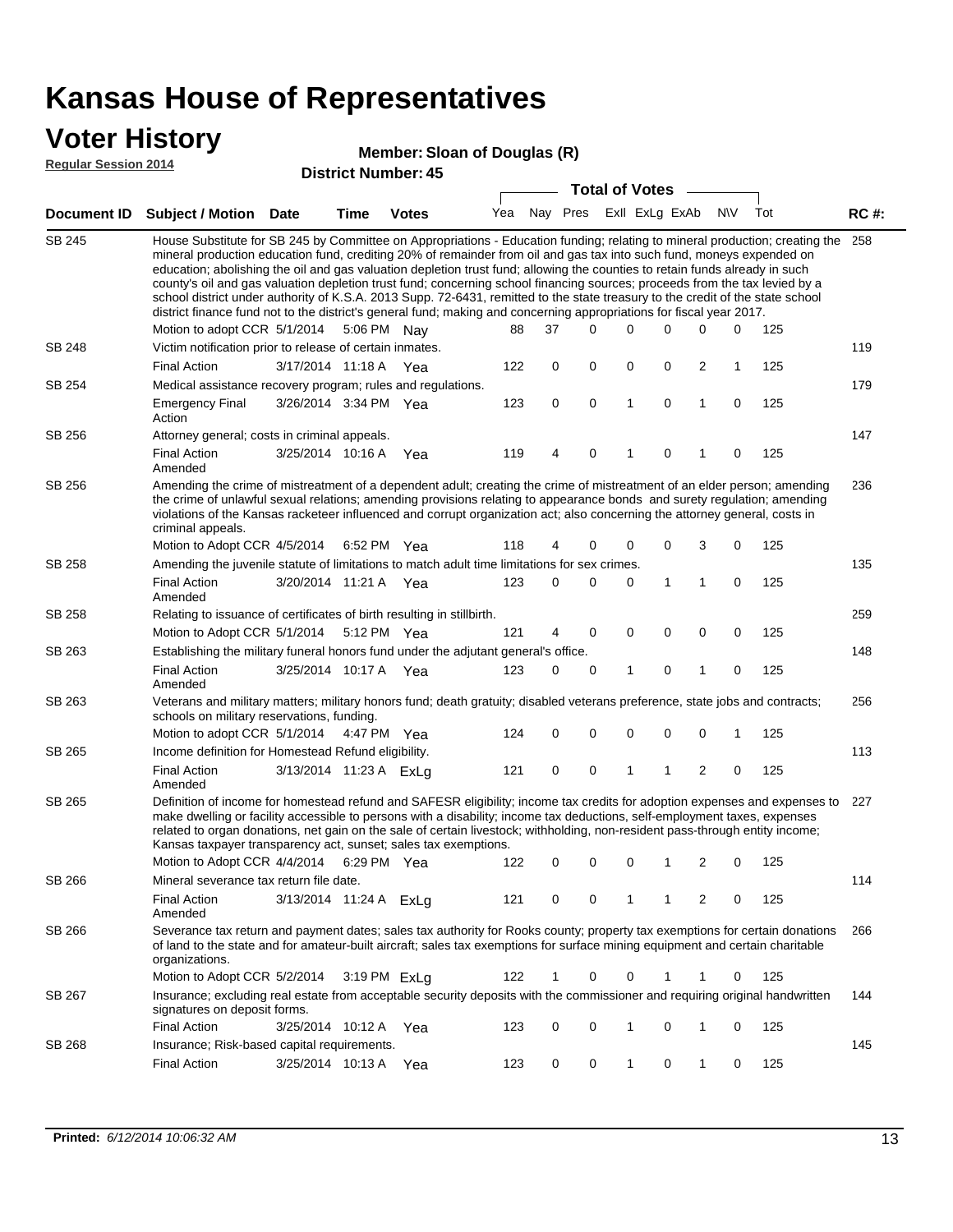### **Voter History**

#### **Member: Sloan of Douglas (R)**

**Regular Session 2014**

|               |                                                                                                                                                                                                                                                                                                                                                                                                                                                                                                                                                                                                                                                                                                                                                                                                               |                        |      | DISTICT MAILING 1.45 |     |    |             |             | <b>Total of Votes</b>   |             |              |             |     |             |
|---------------|---------------------------------------------------------------------------------------------------------------------------------------------------------------------------------------------------------------------------------------------------------------------------------------------------------------------------------------------------------------------------------------------------------------------------------------------------------------------------------------------------------------------------------------------------------------------------------------------------------------------------------------------------------------------------------------------------------------------------------------------------------------------------------------------------------------|------------------------|------|----------------------|-----|----|-------------|-------------|-------------------------|-------------|--------------|-------------|-----|-------------|
|               | Document ID Subject / Motion Date                                                                                                                                                                                                                                                                                                                                                                                                                                                                                                                                                                                                                                                                                                                                                                             |                        | Time | <b>Votes</b>         | Yea |    |             |             | Nay Pres Exll ExLg ExAb |             |              | <b>NV</b>   | Tot | <b>RC#:</b> |
| <b>SB 245</b> | House Substitute for SB 245 by Committee on Appropriations - Education funding; relating to mineral production; creating the<br>mineral production education fund, crediting 20% of remainder from oil and gas tax into such fund, moneys expended on<br>education; abolishing the oil and gas valuation depletion trust fund; allowing the counties to retain funds already in such<br>county's oil and gas valuation depletion trust fund; concerning school financing sources; proceeds from the tax levied by a<br>school district under authority of K.S.A. 2013 Supp. 72-6431, remitted to the state treasury to the credit of the state school<br>district finance fund not to the district's general fund; making and concerning appropriations for fiscal year 2017.<br>Motion to adopt CCR 5/1/2014 |                        |      | 5:06 PM Nay          | 88  | 37 |             | $\Omega$    | 0                       | 0           | 0            | 0           | 125 | 258         |
| SB 248        | Victim notification prior to release of certain inmates.                                                                                                                                                                                                                                                                                                                                                                                                                                                                                                                                                                                                                                                                                                                                                      |                        |      |                      |     |    |             |             |                         |             |              |             |     | 119         |
|               | <b>Final Action</b>                                                                                                                                                                                                                                                                                                                                                                                                                                                                                                                                                                                                                                                                                                                                                                                           | 3/17/2014 11:18 A Yea  |      |                      | 122 |    | 0           | 0           | 0                       | 0           | 2            | $\mathbf 1$ | 125 |             |
| SB 254        | Medical assistance recovery program; rules and regulations.                                                                                                                                                                                                                                                                                                                                                                                                                                                                                                                                                                                                                                                                                                                                                   |                        |      |                      |     |    |             |             |                         |             |              |             |     | 179         |
|               | <b>Emergency Final</b><br>Action                                                                                                                                                                                                                                                                                                                                                                                                                                                                                                                                                                                                                                                                                                                                                                              | 3/26/2014 3:34 PM Yea  |      |                      | 123 |    | $\mathbf 0$ | $\mathbf 0$ | 1                       | $\mathbf 0$ | $\mathbf{1}$ | $\mathbf 0$ | 125 |             |
| SB 256        | Attorney general; costs in criminal appeals.                                                                                                                                                                                                                                                                                                                                                                                                                                                                                                                                                                                                                                                                                                                                                                  |                        |      |                      |     |    |             |             |                         |             |              |             |     | 147         |
|               | <b>Final Action</b><br>Amended                                                                                                                                                                                                                                                                                                                                                                                                                                                                                                                                                                                                                                                                                                                                                                                | 3/25/2014 10:16 A      |      | Yea                  | 119 |    | 4           | 0           | 1                       | 0           | 1            | 0           | 125 |             |
| SB 256        | Amending the crime of mistreatment of a dependent adult; creating the crime of mistreatment of an elder person; amending<br>the crime of unlawful sexual relations; amending provisions relating to appearance bonds and surety regulation; amending<br>violations of the Kansas racketeer influenced and corrupt organization act; also concerning the attorney general, costs in<br>criminal appeals.                                                                                                                                                                                                                                                                                                                                                                                                       |                        |      |                      |     |    |             |             |                         |             |              |             |     | 236         |
|               | Motion to Adopt CCR 4/5/2014 6:52 PM Yea                                                                                                                                                                                                                                                                                                                                                                                                                                                                                                                                                                                                                                                                                                                                                                      |                        |      |                      | 118 |    | 4           | 0           | 0                       | 0           | 3            | 0           | 125 |             |
| SB 258        | Amending the juvenile statute of limitations to match adult time limitations for sex crimes.                                                                                                                                                                                                                                                                                                                                                                                                                                                                                                                                                                                                                                                                                                                  |                        |      |                      |     |    |             |             |                         |             |              |             |     | 135         |
|               | <b>Final Action</b><br>Amended                                                                                                                                                                                                                                                                                                                                                                                                                                                                                                                                                                                                                                                                                                                                                                                | 3/20/2014 11:21 A Yea  |      |                      | 123 |    | 0           | 0           | 0                       | 1           | 1            | 0           | 125 |             |
| SB 258        | Relating to issuance of certificates of birth resulting in stillbirth.                                                                                                                                                                                                                                                                                                                                                                                                                                                                                                                                                                                                                                                                                                                                        |                        |      |                      |     |    |             |             |                         |             |              |             |     | 259         |
|               | Motion to Adopt CCR 5/1/2014 5:12 PM Yea                                                                                                                                                                                                                                                                                                                                                                                                                                                                                                                                                                                                                                                                                                                                                                      |                        |      |                      | 121 |    | 4           | 0           | 0                       | 0           | 0            | 0           | 125 |             |
| SB 263        | Establishing the military funeral honors fund under the adjutant general's office.                                                                                                                                                                                                                                                                                                                                                                                                                                                                                                                                                                                                                                                                                                                            |                        |      |                      |     |    |             |             |                         |             |              |             |     | 148         |
|               | <b>Final Action</b><br>Amended                                                                                                                                                                                                                                                                                                                                                                                                                                                                                                                                                                                                                                                                                                                                                                                | 3/25/2014 10:17 A Yea  |      |                      | 123 |    | 0           | 0           | 1                       | 0           | $\mathbf{1}$ | 0           | 125 |             |
| SB 263        | Veterans and military matters; military honors fund; death gratuity; disabled veterans preference, state jobs and contracts;<br>schools on military reservations, funding.                                                                                                                                                                                                                                                                                                                                                                                                                                                                                                                                                                                                                                    |                        |      |                      |     |    |             |             |                         |             |              |             |     | 256         |
|               | Motion to adopt CCR 5/1/2014 4:47 PM Yea                                                                                                                                                                                                                                                                                                                                                                                                                                                                                                                                                                                                                                                                                                                                                                      |                        |      |                      | 124 |    | 0           | 0           | 0                       | 0           | 0            | 1           | 125 |             |
| SB 265        | Income definition for Homestead Refund eligibility.                                                                                                                                                                                                                                                                                                                                                                                                                                                                                                                                                                                                                                                                                                                                                           |                        |      |                      |     |    |             |             |                         |             |              |             |     | 113         |
|               | <b>Final Action</b><br>Amended                                                                                                                                                                                                                                                                                                                                                                                                                                                                                                                                                                                                                                                                                                                                                                                | 3/13/2014 11:23 A ExLg |      |                      | 121 |    | 0           | 0           | 1                       | 1           | 2            | 0           | 125 |             |
| SB 265        | Definition of income for homestead refund and SAFESR eligibility; income tax credits for adoption expenses and expenses to<br>make dwelling or facility accessible to persons with a disability; income tax deductions, self-employment taxes, expenses<br>related to organ donations, net gain on the sale of certain livestock; withholding, non-resident pass-through entity income;<br>Kansas taxpayer transparency act, sunset; sales tax exemptions.<br>Motion to Adopt CCR 4/4/2014<br>2<br>125<br>6:29 PM Yea<br>122<br>0<br>0<br>0<br>1<br>0                                                                                                                                                                                                                                                         |                        |      |                      |     |    |             |             |                         |             |              | 227         |     |             |
| SB 266        | Mineral severance tax return file date.                                                                                                                                                                                                                                                                                                                                                                                                                                                                                                                                                                                                                                                                                                                                                                       |                        |      |                      |     |    |             |             |                         |             |              |             |     | 114         |
|               | <b>Final Action</b><br>Amended                                                                                                                                                                                                                                                                                                                                                                                                                                                                                                                                                                                                                                                                                                                                                                                | 3/13/2014 11:24 A ExLg |      |                      | 121 |    | 0           | 0           | 1                       | 1           | 2            | 0           | 125 |             |
| SB 266        | Severance tax return and payment dates; sales tax authority for Rooks county; property tax exemptions for certain donations<br>of land to the state and for amateur-built aircraft; sales tax exemptions for surface mining equipment and certain charitable<br>organizations.                                                                                                                                                                                                                                                                                                                                                                                                                                                                                                                                |                        |      |                      |     |    |             |             |                         |             |              |             |     | 266         |
|               | Motion to Adopt CCR 5/2/2014                                                                                                                                                                                                                                                                                                                                                                                                                                                                                                                                                                                                                                                                                                                                                                                  |                        |      | 3:19 PM ExLa         | 122 |    | 1           | 0           | 0                       | 1           | 1            | 0           | 125 |             |
| SB 267        | Insurance; excluding real estate from acceptable security deposits with the commissioner and requiring original handwritten<br>signatures on deposit forms.                                                                                                                                                                                                                                                                                                                                                                                                                                                                                                                                                                                                                                                   |                        |      |                      |     |    |             |             |                         |             |              |             |     | 144         |
|               | <b>Final Action</b>                                                                                                                                                                                                                                                                                                                                                                                                                                                                                                                                                                                                                                                                                                                                                                                           | 3/25/2014 10:12 A      |      | Yea                  | 123 |    | 0           | 0           | 1                       | 0           | 1            | 0           | 125 |             |
| SB 268        | Insurance; Risk-based capital requirements.                                                                                                                                                                                                                                                                                                                                                                                                                                                                                                                                                                                                                                                                                                                                                                   |                        |      |                      |     |    |             |             |                         |             |              |             |     | 145         |
|               | <b>Final Action</b>                                                                                                                                                                                                                                                                                                                                                                                                                                                                                                                                                                                                                                                                                                                                                                                           | 3/25/2014 10:13 A      |      | Yea                  | 123 |    | 0           | 0           | 1                       | 0           | 1            | 0           | 125 |             |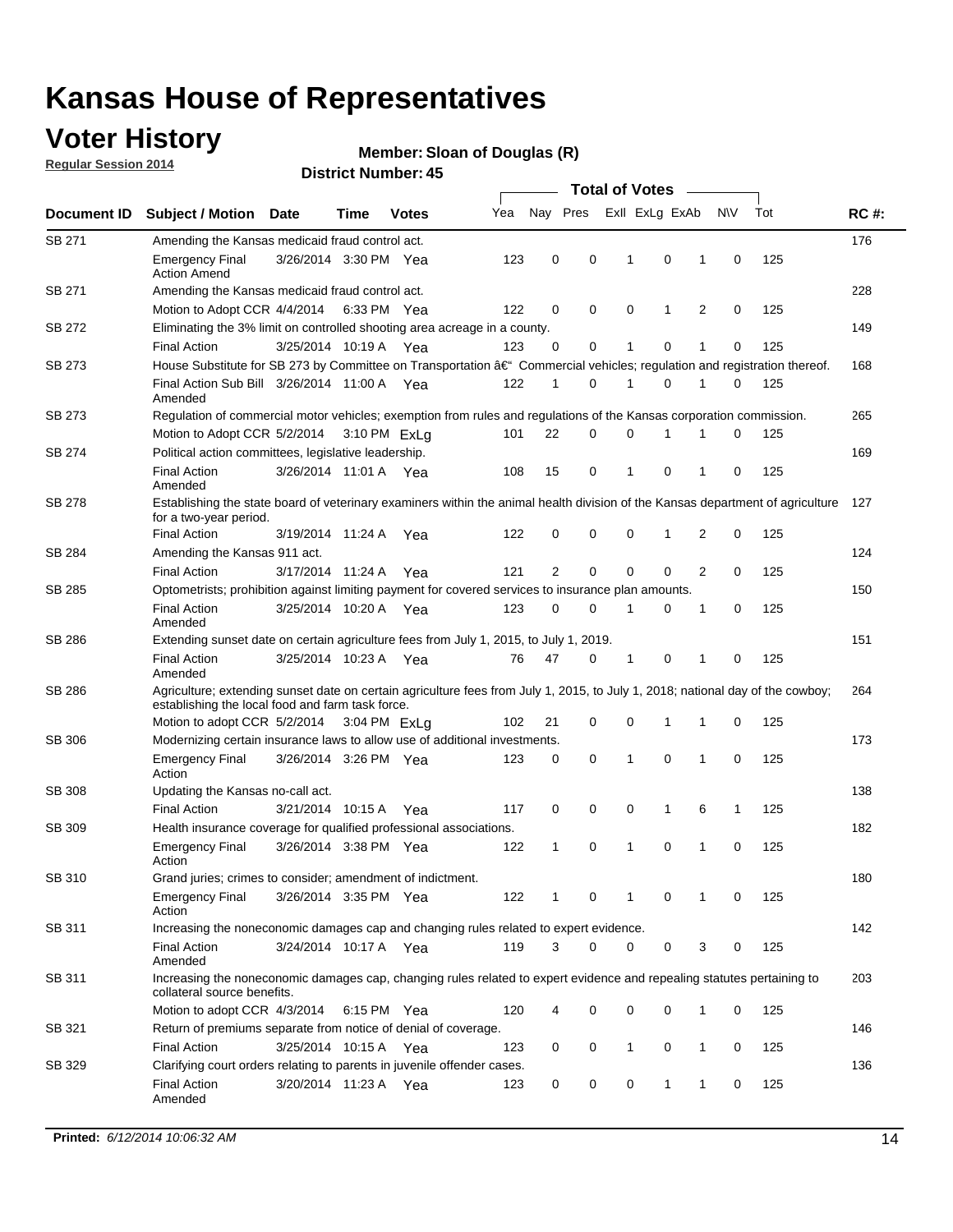## **Voter History**

**Regular Session 2014**

#### **Member: Sloan of Douglas (R)**

| Nay Pres<br>Exll ExLg ExAb<br>N\V<br>Tot<br>Yea<br>Document ID<br><b>Subject / Motion Date</b><br>Time<br><b>Votes</b><br>SB 271<br>Amending the Kansas medicaid fraud control act.<br>123<br>0<br>0<br>0<br>$\mathbf 0$<br>125<br><b>Emergency Final</b><br>3/26/2014 3:30 PM Yea<br>1<br>1<br><b>Action Amend</b><br>SB 271<br>Amending the Kansas medicaid fraud control act.<br>2<br>125<br>122<br>0<br>0<br>0<br>1<br>0<br>Motion to Adopt CCR 4/4/2014 6:33 PM Yea<br>SB 272<br>Eliminating the 3% limit on controlled shooting area acreage in a county.<br>125<br>3/25/2014 10:19 A Yea<br>123<br>0<br>0<br>1<br>0<br>1<br>$\mathbf 0$<br><b>Final Action</b><br>House Substitute for SB 273 by Committee on Transportation †Commercial vehicles; regulation and registration thereof.<br>SB 273<br>Final Action Sub Bill 3/26/2014 11:00 A Yea<br>122<br>0<br>1<br>0<br>125<br>1<br>1<br>0<br>Amended<br>SB 273<br>Regulation of commercial motor vehicles; exemption from rules and regulations of the Kansas corporation commission. | <b>RC#:</b><br>176<br>228<br>149<br>168<br>265 |
|-------------------------------------------------------------------------------------------------------------------------------------------------------------------------------------------------------------------------------------------------------------------------------------------------------------------------------------------------------------------------------------------------------------------------------------------------------------------------------------------------------------------------------------------------------------------------------------------------------------------------------------------------------------------------------------------------------------------------------------------------------------------------------------------------------------------------------------------------------------------------------------------------------------------------------------------------------------------------------------------------------------------------------------------------|------------------------------------------------|
|                                                                                                                                                                                                                                                                                                                                                                                                                                                                                                                                                                                                                                                                                                                                                                                                                                                                                                                                                                                                                                                 |                                                |
|                                                                                                                                                                                                                                                                                                                                                                                                                                                                                                                                                                                                                                                                                                                                                                                                                                                                                                                                                                                                                                                 |                                                |
|                                                                                                                                                                                                                                                                                                                                                                                                                                                                                                                                                                                                                                                                                                                                                                                                                                                                                                                                                                                                                                                 |                                                |
|                                                                                                                                                                                                                                                                                                                                                                                                                                                                                                                                                                                                                                                                                                                                                                                                                                                                                                                                                                                                                                                 |                                                |
|                                                                                                                                                                                                                                                                                                                                                                                                                                                                                                                                                                                                                                                                                                                                                                                                                                                                                                                                                                                                                                                 |                                                |
|                                                                                                                                                                                                                                                                                                                                                                                                                                                                                                                                                                                                                                                                                                                                                                                                                                                                                                                                                                                                                                                 |                                                |
|                                                                                                                                                                                                                                                                                                                                                                                                                                                                                                                                                                                                                                                                                                                                                                                                                                                                                                                                                                                                                                                 |                                                |
|                                                                                                                                                                                                                                                                                                                                                                                                                                                                                                                                                                                                                                                                                                                                                                                                                                                                                                                                                                                                                                                 |                                                |
|                                                                                                                                                                                                                                                                                                                                                                                                                                                                                                                                                                                                                                                                                                                                                                                                                                                                                                                                                                                                                                                 |                                                |
|                                                                                                                                                                                                                                                                                                                                                                                                                                                                                                                                                                                                                                                                                                                                                                                                                                                                                                                                                                                                                                                 |                                                |
| 22<br>0<br>0<br>0<br>125<br>Motion to Adopt CCR 5/2/2014 3:10 PM ExLq<br>101<br>1<br>1                                                                                                                                                                                                                                                                                                                                                                                                                                                                                                                                                                                                                                                                                                                                                                                                                                                                                                                                                          |                                                |
| SB 274<br>Political action committees, legislative leadership.                                                                                                                                                                                                                                                                                                                                                                                                                                                                                                                                                                                                                                                                                                                                                                                                                                                                                                                                                                                  | 169                                            |
| 15<br>0<br>0<br>125<br><b>Final Action</b><br>3/26/2014 11:01 A Yea<br>108<br>-1<br>1<br>0<br>Amended                                                                                                                                                                                                                                                                                                                                                                                                                                                                                                                                                                                                                                                                                                                                                                                                                                                                                                                                           |                                                |
| <b>SB 278</b><br>Establishing the state board of veterinary examiners within the animal health division of the Kansas department of agriculture<br>for a two-year period.                                                                                                                                                                                                                                                                                                                                                                                                                                                                                                                                                                                                                                                                                                                                                                                                                                                                       | 127                                            |
| <b>Final Action</b><br>122<br>0<br>0<br>0<br>125<br>3/19/2014 11:24 A<br>0<br>1<br>2<br>Yea                                                                                                                                                                                                                                                                                                                                                                                                                                                                                                                                                                                                                                                                                                                                                                                                                                                                                                                                                     |                                                |
| SB 284<br>Amending the Kansas 911 act.                                                                                                                                                                                                                                                                                                                                                                                                                                                                                                                                                                                                                                                                                                                                                                                                                                                                                                                                                                                                          | 124                                            |
| $\overline{2}$<br>$\mathbf 0$<br>$\mathbf 0$<br>$\mathbf 0$<br>2<br>0<br>125<br><b>Final Action</b><br>3/17/2014 11:24 A<br>121<br>Yea                                                                                                                                                                                                                                                                                                                                                                                                                                                                                                                                                                                                                                                                                                                                                                                                                                                                                                          |                                                |
| SB 285<br>Optometrists; prohibition against limiting payment for covered services to insurance plan amounts.                                                                                                                                                                                                                                                                                                                                                                                                                                                                                                                                                                                                                                                                                                                                                                                                                                                                                                                                    | 150                                            |
| 3/25/2014 10:20 A<br>0<br>125<br><b>Final Action</b><br>123<br>0<br>$\mathbf{1}$<br>0<br>1<br>0<br>Yea<br>Amended                                                                                                                                                                                                                                                                                                                                                                                                                                                                                                                                                                                                                                                                                                                                                                                                                                                                                                                               |                                                |
| SB 286<br>Extending sunset date on certain agriculture fees from July 1, 2015, to July 1, 2019.                                                                                                                                                                                                                                                                                                                                                                                                                                                                                                                                                                                                                                                                                                                                                                                                                                                                                                                                                 | 151                                            |
| 125<br>3/25/2014 10:23 A Yea<br>47<br>0<br>$\mathbf{1}$<br>0<br><b>Final Action</b><br>76<br>1<br>0<br>Amended                                                                                                                                                                                                                                                                                                                                                                                                                                                                                                                                                                                                                                                                                                                                                                                                                                                                                                                                  |                                                |
| SB 286<br>Agriculture; extending sunset date on certain agriculture fees from July 1, 2015, to July 1, 2018; national day of the cowboy;<br>establishing the local food and farm task force.                                                                                                                                                                                                                                                                                                                                                                                                                                                                                                                                                                                                                                                                                                                                                                                                                                                    | 264                                            |
| 102<br>21<br>0<br>0<br>125<br>Motion to adopt CCR 5/2/2014 3:04 PM ExLa<br>1<br>1<br>0                                                                                                                                                                                                                                                                                                                                                                                                                                                                                                                                                                                                                                                                                                                                                                                                                                                                                                                                                          |                                                |
| SB 306<br>Modernizing certain insurance laws to allow use of additional investments.                                                                                                                                                                                                                                                                                                                                                                                                                                                                                                                                                                                                                                                                                                                                                                                                                                                                                                                                                            | 173                                            |
| $\mathbf 0$<br>3/26/2014 3:26 PM Yea<br>0<br>1<br>1<br>0<br>125<br><b>Emergency Final</b><br>123<br>0                                                                                                                                                                                                                                                                                                                                                                                                                                                                                                                                                                                                                                                                                                                                                                                                                                                                                                                                           |                                                |
| Action                                                                                                                                                                                                                                                                                                                                                                                                                                                                                                                                                                                                                                                                                                                                                                                                                                                                                                                                                                                                                                          |                                                |
| <b>SB 308</b><br>Updating the Kansas no-call act.                                                                                                                                                                                                                                                                                                                                                                                                                                                                                                                                                                                                                                                                                                                                                                                                                                                                                                                                                                                               | 138                                            |
| 0<br>0<br>0<br>$\mathbf{1}$<br>6<br>125<br><b>Final Action</b><br>3/21/2014 10:15 A<br>117<br>1<br>Yea                                                                                                                                                                                                                                                                                                                                                                                                                                                                                                                                                                                                                                                                                                                                                                                                                                                                                                                                          |                                                |
| SB 309<br>Health insurance coverage for qualified professional associations.                                                                                                                                                                                                                                                                                                                                                                                                                                                                                                                                                                                                                                                                                                                                                                                                                                                                                                                                                                    | 182                                            |
| 0<br>125<br><b>Emergency Final</b><br>3/26/2014 3:38 PM Yea<br>122<br>1<br>0<br>1<br>1<br>0<br>Action                                                                                                                                                                                                                                                                                                                                                                                                                                                                                                                                                                                                                                                                                                                                                                                                                                                                                                                                           |                                                |
| SB 310<br>Grand juries; crimes to consider; amendment of indictment.                                                                                                                                                                                                                                                                                                                                                                                                                                                                                                                                                                                                                                                                                                                                                                                                                                                                                                                                                                            | 180                                            |
| 3/26/2014 3:35 PM Yea<br>122<br>0<br>125<br>0<br>1<br>0<br><b>Emergency Final</b><br>1<br>1<br>Action                                                                                                                                                                                                                                                                                                                                                                                                                                                                                                                                                                                                                                                                                                                                                                                                                                                                                                                                           |                                                |
| SB 311<br>Increasing the noneconomic damages cap and changing rules related to expert evidence.                                                                                                                                                                                                                                                                                                                                                                                                                                                                                                                                                                                                                                                                                                                                                                                                                                                                                                                                                 | 142                                            |
| 119<br>3<br>$\Omega$<br>0<br>3<br>125<br><b>Final Action</b><br>3/24/2014 10:17 A Yea<br>0<br>0<br>Amended                                                                                                                                                                                                                                                                                                                                                                                                                                                                                                                                                                                                                                                                                                                                                                                                                                                                                                                                      |                                                |
| SB 311<br>Increasing the noneconomic damages cap, changing rules related to expert evidence and repealing statutes pertaining to<br>collateral source benefits.                                                                                                                                                                                                                                                                                                                                                                                                                                                                                                                                                                                                                                                                                                                                                                                                                                                                                 | 203                                            |
| Motion to adopt CCR 4/3/2014 6:15 PM Yea<br>120<br>0<br>0<br>0<br>1<br>0<br>125<br>4                                                                                                                                                                                                                                                                                                                                                                                                                                                                                                                                                                                                                                                                                                                                                                                                                                                                                                                                                            |                                                |
| SB 321<br>Return of premiums separate from notice of denial of coverage.                                                                                                                                                                                                                                                                                                                                                                                                                                                                                                                                                                                                                                                                                                                                                                                                                                                                                                                                                                        | 146                                            |
| 3/25/2014 10:15 A Yea<br><b>Final Action</b><br>123<br>0<br>0<br>1<br>0<br>1<br>0<br>125                                                                                                                                                                                                                                                                                                                                                                                                                                                                                                                                                                                                                                                                                                                                                                                                                                                                                                                                                        |                                                |
| SB 329<br>Clarifying court orders relating to parents in juvenile offender cases.<br>3/20/2014 11:23 A Yea<br>125<br><b>Final Action</b><br>123<br>0<br>0<br>0<br>1<br>1<br>0<br>Amended                                                                                                                                                                                                                                                                                                                                                                                                                                                                                                                                                                                                                                                                                                                                                                                                                                                        | 136                                            |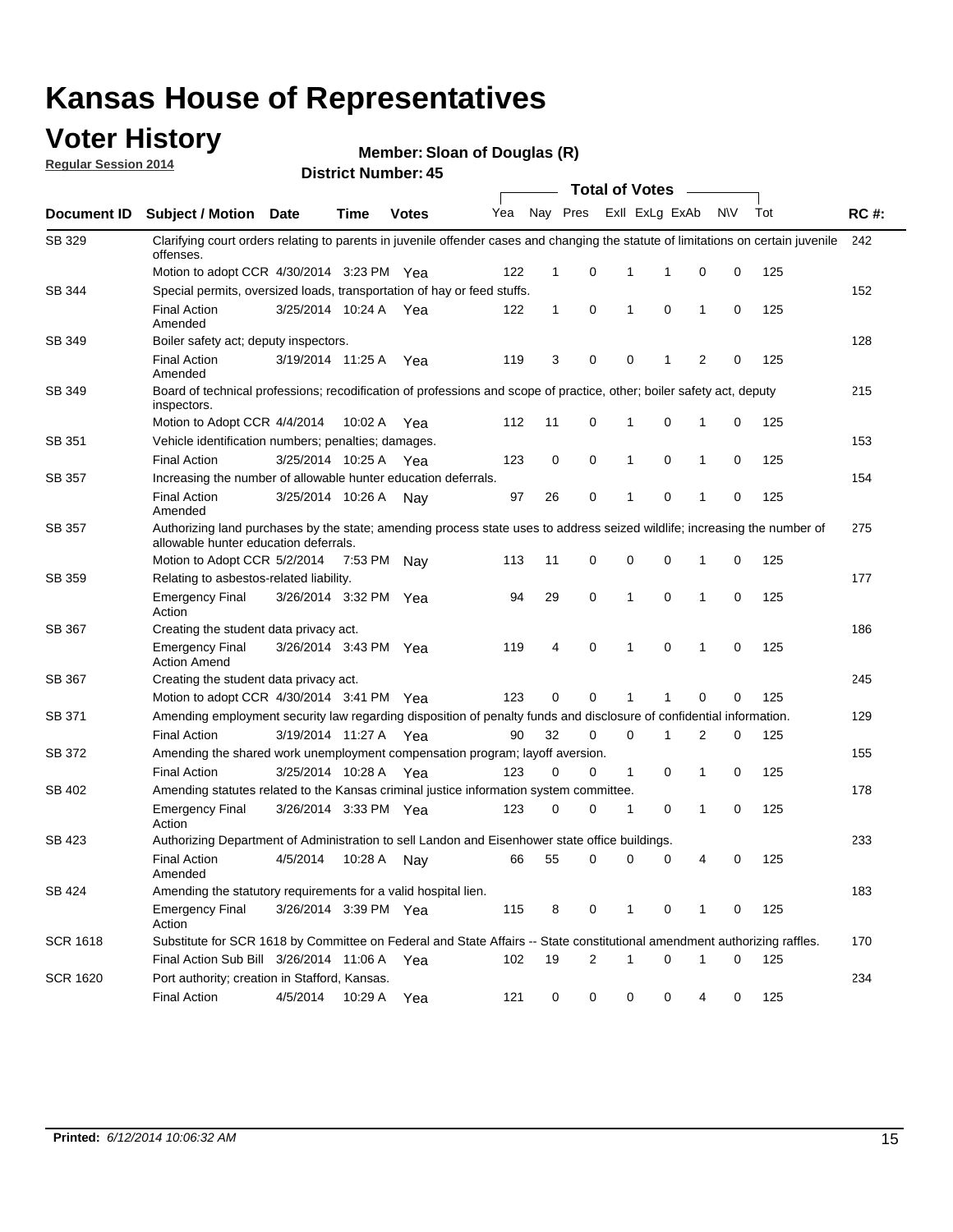### **Voter History**

**Regular Session 2014**

**Member: Sloan of Douglas (R)** 

|                 |                                                                                                                                                                    |                       |             |              |     |              |                |              | <b>Total of Votes</b> |                |             |     |             |
|-----------------|--------------------------------------------------------------------------------------------------------------------------------------------------------------------|-----------------------|-------------|--------------|-----|--------------|----------------|--------------|-----------------------|----------------|-------------|-----|-------------|
| Document ID     | <b>Subject / Motion</b>                                                                                                                                            | Date                  | Time        | <b>Votes</b> | Yea | Nay Pres     |                |              | Exll ExLg ExAb        |                | <b>NV</b>   | Tot | <b>RC#:</b> |
| SB 329          | Clarifying court orders relating to parents in juvenile offender cases and changing the statute of limitations on certain juvenile<br>offenses.                    |                       |             |              |     |              |                |              |                       |                |             |     | 242         |
|                 | Motion to adopt CCR 4/30/2014 3:23 PM Yea                                                                                                                          |                       |             |              | 122 | 1            | 0              | 1            | 1                     | 0              | 0           | 125 |             |
| SB 344          | Special permits, oversized loads, transportation of hay or feed stuffs.                                                                                            |                       |             |              |     |              |                |              |                       |                |             |     | 152         |
|                 | <b>Final Action</b><br>Amended                                                                                                                                     | 3/25/2014 10:24 A     |             | Yea          | 122 | $\mathbf{1}$ | 0              | 1            | 0                     | 1              | 0           | 125 |             |
| SB 349          | Boiler safety act; deputy inspectors.                                                                                                                              |                       |             |              |     |              |                |              |                       |                |             |     | 128         |
|                 | <b>Final Action</b><br>Amended                                                                                                                                     | 3/19/2014 11:25 A     |             | Yea          | 119 | 3            | 0              | 0            | 1                     | $\overline{2}$ | $\mathbf 0$ | 125 |             |
| SB 349          | Board of technical professions; recodification of professions and scope of practice, other; boiler safety act, deputy<br>inspectors.                               |                       |             |              |     |              |                |              |                       |                |             |     | 215         |
|                 | Motion to Adopt CCR 4/4/2014                                                                                                                                       |                       | 10:02 A     | Yea          | 112 | 11           | 0              | 1            | 0                     | 1              | 0           | 125 |             |
| SB 351          | Vehicle identification numbers; penalties; damages.                                                                                                                |                       |             |              |     |              |                |              |                       |                |             |     | 153         |
|                 | <b>Final Action</b>                                                                                                                                                | 3/25/2014 10:25 A     |             | Yea          | 123 | 0            | 0              | 1            | 0                     | 1              | 0           | 125 |             |
| SB 357          | Increasing the number of allowable hunter education deferrals.                                                                                                     |                       |             |              |     |              |                |              |                       |                |             |     | 154         |
|                 | <b>Final Action</b><br>Amended                                                                                                                                     | 3/25/2014 10:26 A     |             | Nav          | 97  | 26           | 0              | 1            | 0                     | 1              | 0           | 125 |             |
| <b>SB 357</b>   | Authorizing land purchases by the state; amending process state uses to address seized wildlife; increasing the number of<br>allowable hunter education deferrals. |                       |             |              |     |              |                |              |                       |                |             |     | 275         |
|                 | Motion to Adopt CCR 5/2/2014                                                                                                                                       |                       | 7:53 PM Nay |              | 113 | 11           | 0              | 0            | 0                     | 1              | 0           | 125 |             |
| SB 359          | Relating to asbestos-related liability.                                                                                                                            |                       |             |              |     |              |                |              |                       |                |             | 177 |             |
|                 | <b>Emergency Final</b><br>Action                                                                                                                                   | 3/26/2014 3:32 PM Yea |             |              | 94  | 29           | 0              | 1            | 0                     | $\mathbf 1$    | 0           | 125 |             |
| <b>SB 367</b>   | Creating the student data privacy act.                                                                                                                             |                       |             |              |     |              |                |              |                       |                |             |     | 186         |
|                 | <b>Emergency Final</b><br><b>Action Amend</b>                                                                                                                      | 3/26/2014 3:43 PM Yea |             |              | 119 | 4            | 0              | 1            | $\mathbf 0$           | 1              | 0           | 125 |             |
| SB 367          | Creating the student data privacy act.                                                                                                                             |                       |             |              |     |              |                |              |                       |                |             |     | 245         |
|                 | Motion to adopt CCR 4/30/2014 3:41 PM Yea                                                                                                                          |                       |             |              | 123 | 0            | 0              | 1            | 1                     | $\mathbf 0$    | 0           | 125 |             |
| SB 371          | Amending employment security law regarding disposition of penalty funds and disclosure of confidential information.                                                |                       |             |              |     |              |                |              |                       |                |             |     | 129         |
|                 | <b>Final Action</b>                                                                                                                                                | 3/19/2014 11:27 A     |             | Yea          | 90  | 32           | 0              | 0            | 1                     | 2              | 0           | 125 |             |
| SB 372          | Amending the shared work unemployment compensation program; layoff aversion.                                                                                       |                       |             |              |     |              |                |              |                       |                |             |     | 155         |
|                 | <b>Final Action</b>                                                                                                                                                | 3/25/2014 10:28 A     |             | Yea          | 123 | 0            | 0              | $\mathbf{1}$ | 0                     | 1              | 0           | 125 |             |
| SB 402          | Amending statutes related to the Kansas criminal justice information system committee.                                                                             |                       |             |              |     |              |                |              |                       |                |             |     | 178         |
|                 | <b>Emergency Final</b><br>Action                                                                                                                                   | 3/26/2014 3:33 PM     |             | Yea          | 123 | 0            | 0              | 1            | 0                     | 1              | 0           | 125 |             |
| SB 423          | Authorizing Department of Administration to sell Landon and Eisenhower state office buildings.                                                                     |                       |             |              |     |              |                |              |                       |                |             |     | 233         |
|                 | <b>Final Action</b><br>Amended                                                                                                                                     | 4/5/2014              | 10:28 A     | Nay          | 66  | 55           | 0              | 0            | 0                     | 4              | 0           | 125 |             |
| SB 424          | Amending the statutory requirements for a valid hospital lien.                                                                                                     |                       |             |              |     |              |                |              |                       |                |             |     | 183         |
|                 | <b>Emergency Final</b><br>Action                                                                                                                                   | 3/26/2014 3:39 PM Yea |             |              | 115 | 8            | 0              | 1            | 0                     | 1              | 0           | 125 |             |
| <b>SCR 1618</b> | Substitute for SCR 1618 by Committee on Federal and State Affairs -- State constitutional amendment authorizing raffles.                                           |                       |             |              |     |              |                |              |                       |                |             |     | 170         |
|                 | Final Action Sub Bill 3/26/2014 11:06 A Yea                                                                                                                        |                       |             |              | 102 | 19           | $\overline{2}$ | 1            | 0                     | 1              | 0           | 125 |             |
| <b>SCR 1620</b> | Port authority; creation in Stafford, Kansas.                                                                                                                      |                       |             |              |     |              |                |              |                       |                |             |     | 234         |
|                 | <b>Final Action</b>                                                                                                                                                | 4/5/2014              | 10:29 A     | Yea          | 121 | 0            | 0              | 0            | 0                     | 4              | 0           | 125 |             |